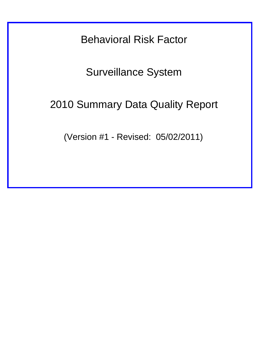Behavioral Risk Factor

Surveillance System

# 2010 Summary Data Quality Report

(Version #1 - Revised: 05/02/2011)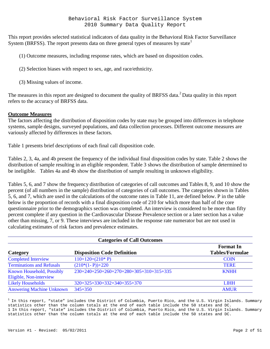This report provides selected statistical indicators of data quality in the Behavioral Risk Factor Surveillance System (BRFSS). The report presents data on three general types of measures by state<sup>1</sup>

(1) Outcome measures, including response rates, which are based on disposition codes.

(2) Selection biases with respect to sex, age, and race/ethnicity.

(3) Missing values of income.

The measures in this report are designed to document the quality of BRFSS data.<sup>2</sup> Data quality in this report refers to the accuracy of BRFSS data.

## **Outcome Measures**

The factors affecting the distribution of disposition codes by state may be grouped into differences in telephone systems, sample designs, surveyed populations, and data collection processes. Different outcome measures are variously affected by differences in these factors.

Table 1 presents brief descriptions of each final call disposition code.

Tables 2, 3, 4a, and 4b present the frequency of the individual final disposition codes by state. Table 2 shows the distribution of sample resulting in an eligible respondent. Table 3 shows the distribution of sample determined to be ineligible. Tables 4a and 4b show the distribution of sample resulting in unknown eligibility.

Tables 5, 6, and 7 show the frequency distribution of categories of call outcomes and Tables 8, 9, and 10 show the percent (of all numbers in the sample) distribution of categories of call outcomes. The categories shown in Tables 5, 6, and 7, which are used in the calculations of the outcome rates in Table 11, are defined below. P in the table below is the proportion of records with a final disposition code of 210 for which more than half of the core questionnaire prior to the demographics section was completed. An interview is considered to be more than fifty percent complete if any question in the Cardiovascular Disease Prevalence section or a later section has a value other than missing, 7, or 9. These interviews are included in the response rate numerator but are not used in calculating estimates of risk factors and prevalence estimates.

| <b>Categories of Call Outcomes</b>                   |                                         |                                            |  |  |  |  |  |  |
|------------------------------------------------------|-----------------------------------------|--------------------------------------------|--|--|--|--|--|--|
| Category                                             | <b>Disposition Code Definition</b>      | <b>Format In</b><br><b>Tables/Formulae</b> |  |  |  |  |  |  |
| <b>Completed Interview</b>                           | $110+120+(210*P)$                       | <b>COIN</b>                                |  |  |  |  |  |  |
| <b>Terminations and Refusals</b>                     | $(210*(1-P))+220$                       | <b>TERE</b>                                |  |  |  |  |  |  |
| Known Household, Possibly<br>Eligible, Non-interview | 230+240+250+260+270+280+305+310+315+335 | <b>KNHH</b>                                |  |  |  |  |  |  |
| <b>Likely Households</b>                             | $320+325+330+332+340+355+370$           | <b>LIHH</b>                                |  |  |  |  |  |  |
| <b>Answering Machine Unknown</b>                     | $345 + 350$                             | <b>AMUR</b>                                |  |  |  |  |  |  |

 $1$  In this report, "state" includes the District of Columbia, Puerto Rico, and the U.S. Virgin Islands. Summary statistics other than the column totals at the end of each table include the 50 states and DC. 1 In this report, "state" includes the District of Columbia, Puerto Rico, and the U.S. Virgin Islands. Summary statistics other than the column totals at the end of each table include the 50 states and DC.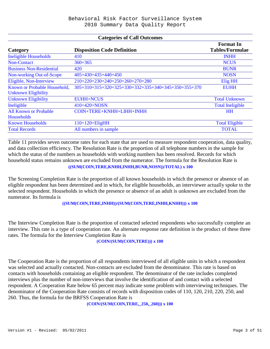#### **Categories of Call Outcomes**

|                                 |                                                     | <b>Format</b> In        |
|---------------------------------|-----------------------------------------------------|-------------------------|
| Category                        | <b>Disposition Code Definition</b>                  | <b>Tables/Formulae</b>  |
| <b>Ineligible Households</b>    | 410                                                 | <b>INHH</b>             |
| <b>Non-Contact</b>              | $360 + 365$                                         | <b>NCUS</b>             |
| <b>Business Non-Residential</b> | 420                                                 | <b>BUNR</b>             |
| Non-working Out-of-Scope        | $405+430+435+440+450$                               | <b>NOSN</b>             |
| Eligible, Non-Interview         | 210+220+230+240+250+260+270+280                     | <b>Elig HH</b>          |
| Known or Probable Household,    | 305+310+315+320+325+330+332+335+340+345+350+355+370 | <b>EUHH</b>             |
| <b>Unknown Eligibility</b>      |                                                     |                         |
| <b>Unknown Eligibility</b>      | <b>EUHH+NCUS</b>                                    | <b>Total Unknown</b>    |
| Ineligible                      | $410+420+NOSN$                                      | <b>Total Ineligible</b> |
| <b>All Known or Probable</b>    | COIN+TERE+KNHH+LIHH+INHH                            | <b>HH</b>               |
| <b>Households</b>               |                                                     |                         |
| <b>Known Households</b>         | $110+120+EligHH$                                    | <b>Total Eligible</b>   |
| <b>Total Records</b>            | All numbers in sample                               | <b>TOTAL</b>            |

Table 11 provides seven outcome rates for each state that are used to measure respondent cooperation, data quality, and data collection efficiency. The Resolution Rate is the proportion of all telephone numbers in the sample for which the status of the numbers as households with working numbers has been resolved. Records for which household status remains unknown are excluded from the numerator. The formula for the Resolution Rate is **((SUM(COIN,TERE,KNHH,INHH,BUNR,NOSN))/TOTAL) x 100**

The Screening Completion Rate is the proportion of all known households in which the presence or absence of an eligible respondent has been determined and in which, for eligible households, an interviewer actually spoke to the selected respondent. Households in which the presence or absence of an adult is unknown are excluded from the numerator. Its formula is

#### **((SUM(COIN,TERE,INHH))/(SUM(COIN,TERE,INHH,KNHH))) x 100**

The Interview Completion Rate is the proportion of contacted selected respondents who successfully complete an interview. This rate is a type of cooperation rate. An alternate response rate definition is the product of these three rates. The formula for the Interview Completion Rate is

#### **(COIN/(SUM(COIN,TERE))) x 100**

The Cooperation Rate is the proportion of all respondents interviewed of all eligible units in which a respondent was selected and actually contacted. Non-contacts are excluded from the denominator. This rate is based on contacts with households containing an eligible respondent. The denominator of the rate includes completed interviews plus the number of non-interviews that involve the identification of and contact with a selected respondent. A Cooperation Rate below 65 percent may indicate some problem with interviewing techniques. The denominator of the Cooperation Rate consists of records with disposition codes of 110, 120, 210, 220, 250, and 260. Thus, the formula for the BRFSS Cooperation Rate is

**(COIN/(SUM(COIN,TERE,\_250,\_260))) x 100**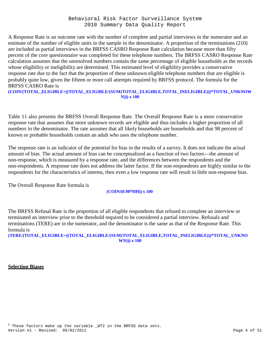A Response Rate is an outcome rate with the number of complete and partial interviews in the numerator and an estimate of the number of eligible units in the sample in the denominator. A proportion of the terminations (210) are included as partial interviews in the BRFSS CASRO Response Rate calculation because more than fifty percent of the core questionnaire was completed for these telephone numbers. The BRFSS CASRO Response Rate calculation assumes that the unresolved numbers contain the same percentage of eligible households as the records whose eligibility or ineligibility are determined. This estimated level of eligibility provides a conservative response rate due to the fact that the proportion of these unknown eligible telephone numbers that are eligible is probably quite low, given the fifteen or more call attempts required by BRFSS protocol. The formula for the BRFSS CASRO Rate is

#### **(COIN/(TOTAL\_ELIGIBLE+((TOTAL\_ELIGIBLE/(SUM(TOTAL\_ELIGIBLE,TOTAL\_INELIGIBLE)))\*TOTAL\_UNKNOW N))) x 100**

Table 11 also presents the BRFSS Overall Response Rate. The Overall Response Rate is a more conservative response rate that assumes that more unknown records are eligible and thus includes a higher proportion of all numbers in the denominator. The rate assumes that all likely households are households and that 98 percent of known or probable households contain an adult who uses the telephone number.

The response rate is an indicator of the potential for bias in the results of a survey. It does not indicate the actual amount of bias. The actual amount of bias can be conceptualized as a function of two factors—the amount of non-response, which is measured by a response rate, and the differences between the respondents and the non-respondents. A response rate does not address the latter factor. If the non-respondents are highly similar to the respondents for the characteristics of interest, then even a low response rate will result in little non-response bias.

The Overall Response Rate formula is

**(COIN/(0.98\*HH)) x 100**

The BRFSS Refusal Rate is the proportion of all eligible respondents that refused to complete an interview or terminated an interview prior to the threshold required to be considered a partial interview. Refusals and terminations (TERE) are in the numerator, and the denominator is the same as that of the Response Rate. This formula is

**(TERE/(TOTAL\_ELIGIBLE+((TOTAL\_ELIGIBLE/(SUM(TOTAL\_ELIGIBLE,TOTAL\_INELIGIBLE)))\*TOTAL\_UNKNO WN))) x 100**

## **Selection Biases**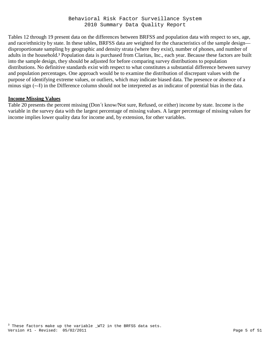Tables 12 through 19 present data on the differences between BRFSS and population data with respect to sex, age, and race/ethnicity by state. In these tables, BRFSS data are weighted for the characteristics of the sample design disproportionate sampling by geographic and density strata (where they exist), number of phones, and number of adults in the household.<sup>3</sup> Population data is purchased from Claritas, Inc., each year. Because these factors are built into the sample design, they should be adjusted for before comparing survey distributions to population distributions. No definitive standards exist with respect to what constitutes a substantial difference between survey and population percentages. One approach would be to examine the distribution of discrepant values with the purpose of identifying extreme values, or outliers, which may indicate biased data. The presence or absence of a minus sign (―-‖) in the Difference column should not be interpreted as an indicator of potential bias in the data.

#### **Income Missing Values**

Table 20 presents the percent missing (Don´t know/Not sure, Refused, or either) income by state. Income is the variable in the survey data with the largest percentage of missing values. A larger percentage of missing values for income implies lower quality data for income and, by extension, for other variables.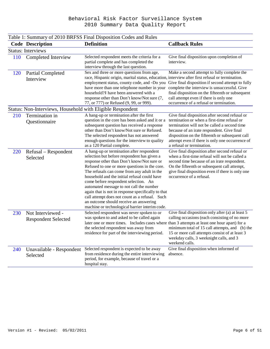|            |                                                            | Table 1: Summary of 2010 BRFSS Final Disposition Codes and Rules                                                                                                                                                                                                                                                                                                                                                                                                                                                                                                               |                                                                                                                                                                                                                                                                                                                                |
|------------|------------------------------------------------------------|--------------------------------------------------------------------------------------------------------------------------------------------------------------------------------------------------------------------------------------------------------------------------------------------------------------------------------------------------------------------------------------------------------------------------------------------------------------------------------------------------------------------------------------------------------------------------------|--------------------------------------------------------------------------------------------------------------------------------------------------------------------------------------------------------------------------------------------------------------------------------------------------------------------------------|
|            | <b>Code Description</b>                                    | <b>Definition</b>                                                                                                                                                                                                                                                                                                                                                                                                                                                                                                                                                              | <b>Callback Rules</b>                                                                                                                                                                                                                                                                                                          |
|            | <b>Status: Interviews</b>                                  |                                                                                                                                                                                                                                                                                                                                                                                                                                                                                                                                                                                |                                                                                                                                                                                                                                                                                                                                |
| 110        | Completed Interview                                        | Selected respondent meets the criteria for a<br>partial complete and has completed the<br>interview through the last question.                                                                                                                                                                                                                                                                                                                                                                                                                                                 | Give final disposition upon completion of<br>interview.                                                                                                                                                                                                                                                                        |
| 120        | <b>Partial Completed</b><br>Interview                      | Sex and three or more questions from age,<br>race, Hispanic origin, marital status, education, interview after first refusal or termination.<br>employment status, county code, and -Do you<br>have more than one telephone number in your<br>household? have been answered with a<br>response other than Don't know/Not sure (7,<br>77, or 777) or Refused (9, 99, or 999).                                                                                                                                                                                                   | Make a second attempt to fully complete the<br>Give final disposition if second attempt to fully<br>complete the interview is unsuccessful. Give<br>final disposition on the fifteenth or subsequent<br>call attempt even if there is only one<br>occurrence of a refusal or termination.                                      |
|            | Status: Non-Interviews, Household with Eligible Respondent |                                                                                                                                                                                                                                                                                                                                                                                                                                                                                                                                                                                |                                                                                                                                                                                                                                                                                                                                |
| 210        | Termination in<br>Questionnaire                            | A hang-up or termination after the first<br>question in the core has been asked and it or a<br>subsequent question has received a response<br>other than Don't know/Not sure or Refused.<br>The selected respondent has not answered<br>enough questions for the interview to quality<br>as a 120 Partial complete.                                                                                                                                                                                                                                                            | Give final disposition after second refusal or<br>termination or when a first-time refusal or<br>termination will not be called a second time<br>because of an irate respondent. Give final<br>disposition on the fifteenth or subsequent call<br>attempt even if there is only one occurrence of<br>a refusal or termination. |
| <b>220</b> | Refusal – Respondent<br>Selected                           | A hang-up or termination after respondent<br>selection but before respondent has given a<br>response other than Don't know/Not sure or<br>Refused to one or more questions in the core.<br>The refusals can come from any adult in the<br>household and the initial refusal could have<br>come before respondent selection. An<br>automated message to not call the number<br>again that is not in response specifically to that<br>call attempt does not count as a refusal. Such<br>an outcome should receive an answering<br>machine or technological barrier interim code. | Give final disposition after second refusal or<br>when a first-time refusal will not be called a<br>second time because of an irate respondent.<br>On the fifteenth or subsequent call attempt,<br>give final disposition even if there is only one<br>occurrence of a refusal.                                                |
| 230        | Not Interviewed -<br><b>Respondent Selected</b>            | Selected respondent was never spoken to or<br>was spoken to and asked to be called again<br>later one or more times. Includes cases where than 3 attempts at least one hour apart) for a<br>the selected respondent was away from<br>residence for part of the interviewing period.                                                                                                                                                                                                                                                                                            | Give final disposition only after (a) at least 5<br>calling occasions (each consisting of no more<br>minimum total of 15 call attempts, and (b) the<br>15 or more call attempts consist of at least 3<br>weekday calls, 3 weeknight calls, and 3<br>weekend calls.                                                             |
| 240        | Unavailable - Respondent<br>Selected                       | Selected respondent is expected to be away<br>from residence during the entire interviewing<br>period, for example, because of travel or a<br>hospital stay.                                                                                                                                                                                                                                                                                                                                                                                                                   | Give final disposition when informed of<br>absence.                                                                                                                                                                                                                                                                            |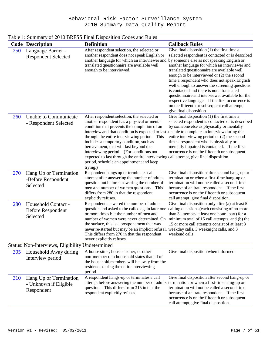|            | <b>Code Description</b>                                       | <b>Definition</b>                                                                                                                                                                                                                                                                                                                                                                                                                                                                                                                                                            | <b>Callback Rules</b>                                                                                                                                                                                                                                                                                                                                                                                                                                                                                                                                                           |
|------------|---------------------------------------------------------------|------------------------------------------------------------------------------------------------------------------------------------------------------------------------------------------------------------------------------------------------------------------------------------------------------------------------------------------------------------------------------------------------------------------------------------------------------------------------------------------------------------------------------------------------------------------------------|---------------------------------------------------------------------------------------------------------------------------------------------------------------------------------------------------------------------------------------------------------------------------------------------------------------------------------------------------------------------------------------------------------------------------------------------------------------------------------------------------------------------------------------------------------------------------------|
| <b>250</b> | Language Barrier -<br><b>Respondent Selected</b>              | After respondent selection, the selected or<br>another respondent does not speak English or<br>another language for which an interviewer and by someone else as not speaking English or<br>translated questionnaire are available well<br>enough to be interviewed.                                                                                                                                                                                                                                                                                                          | Give final disposition $(1)$ the first time a<br>selected respondent is contacted or is described<br>another language for which an interviewer and<br>translated questionnaire are available well<br>enough to be interviewed or (2) the second<br>time a respondent who does not speak English<br>well enough to answer the screening questions<br>is contacted and there is not a translated<br>questionnaire and interviewer available for the<br>respective language. If the first occurrence is<br>on the fifteenth or subsequent call attempt,<br>give final disposition. |
| 260        | Unable to Communicate<br>- Respondent Selected                | After respondent selection, the selected or<br>another respondent has a physical or mental<br>condition that prevents the completion of an<br>interview and that condition is expected to last unable to complete an interview during the<br>through the entire interviewing period. This<br>includes a temporary condition, such as<br>bereavement, that will last beyond the<br>interviewing period. (For conditions not<br>expected to last through the entire interviewing call attempt, give final disposition.<br>period, schedule an appointment and keep<br>trying.) | Give final disposition $(1)$ the first time a<br>selected respondent is contacted or is described<br>by someone else as physically or mentally<br>entire interviewing period or (2) the second<br>time a respondent who is physically or<br>mentally impaired is contacted. If the first<br>occurrence is on the fifteenth or subsequent                                                                                                                                                                                                                                        |
| 270        | Hang Up or Termination<br>-Before Respondent<br>Selected      | Respondent hangs up or terminates call<br>attempt after answering the number of adults<br>question but before answering the number of<br>men and number of women questions. This<br>differs from 280 in that the respondent<br>explicitly refuses.                                                                                                                                                                                                                                                                                                                           | Give final disposition after second hang-up or<br>termination or when a first-time hang-up or<br>termination will not be called a second time<br>because of an irate respondent. If the first<br>occurrence is on the fifteenth or subsequent<br>call attempt, give final disposition.                                                                                                                                                                                                                                                                                          |
| 280        | Household Contact -<br><b>Before Respondent</b><br>Selected   | Respondent answered the number of adults<br>question and asked to be called again later one calling occasions (each consisting of no more<br>or more times but the number of men and<br>number of women were never determined. On minimum total of 15 call attempts, and (b) the<br>the surface, this is a postponement that was<br>never re-started but may be an implicit refusal.<br>This differs from 270 in that the respondent<br>never explicitly refuses.                                                                                                            | Give final disposition only after (a) at least 5<br>than 3 attempts at least one hour apart) for a<br>15 or more call attempts consist of at least 3<br>weekday calls, 3 weeknight calls, and 3<br>weekend calls.                                                                                                                                                                                                                                                                                                                                                               |
|            | Status: Non-Interviews, Eligibility Undetermined              |                                                                                                                                                                                                                                                                                                                                                                                                                                                                                                                                                                              |                                                                                                                                                                                                                                                                                                                                                                                                                                                                                                                                                                                 |
| 305        | Household Away during<br>Interview period                     | A house sitter, house cleaner, or other<br>non-member of a household states that all of<br>the household members will be away from the<br>residence during the entire interviewing<br>period.                                                                                                                                                                                                                                                                                                                                                                                | Give final disposition when informed.                                                                                                                                                                                                                                                                                                                                                                                                                                                                                                                                           |
| 310        | Hang Up or Termination<br>- Unknown if Eligible<br>Respondent | A respondent hangs-up or terminates a call<br>attempt before answering the number of adults termination or when a first-time hang-up or<br>question. This differs from 315 in that the<br>respondent explicitly refuses.                                                                                                                                                                                                                                                                                                                                                     | Give final disposition after second hang-up or<br>termination will not be called a second time<br>because of an irate respondent. If the first<br>occurrence is on the fifteenth or subsequent<br>call attempt, give final disposition.                                                                                                                                                                                                                                                                                                                                         |

Table 1: Summary of 2010 BRFSS Final Disposition Codes and Rules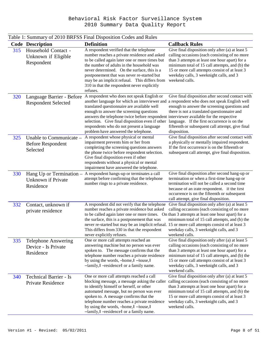|     | <b>Code Description</b>                                         | There is building to 2010 DRI DD I that Disposition Codes and Raids<br><b>Definition</b>                                                                                                                                                                                                                                                                                                                                                                              | <b>Callback Rules</b>                                                                                                                                                                                                                                                                                                |
|-----|-----------------------------------------------------------------|-----------------------------------------------------------------------------------------------------------------------------------------------------------------------------------------------------------------------------------------------------------------------------------------------------------------------------------------------------------------------------------------------------------------------------------------------------------------------|----------------------------------------------------------------------------------------------------------------------------------------------------------------------------------------------------------------------------------------------------------------------------------------------------------------------|
| 315 | Household Contact -<br>Unknown if Eligible<br>Respondent        | A respondent verified that the telephone<br>number reaches a private residence and asked<br>to be called again later one or more times but<br>the number of adults in the household was<br>never determined. On the surface, this is a<br>postponement that was never re-started but<br>may be an implicit refusal. This differs from<br>310 in that the respondent never explicitly<br>refuses.                                                                      | Give final disposition only after (a) at least 5<br>calling occasions (each consisting of no more<br>than 3 attempts at least one hour apart) for a<br>minimum total of 15 call attempts, and (b) the<br>15 or more call attempts consist of at least 3<br>weekday calls, 3 weeknight calls, and 3<br>weekend calls. |
| 320 | Language Barrier - Before<br><b>Respondent Selected</b>         | A respondent who does not speak English or<br>another language for which an interviewer and a respondent who does not speak English well<br>translated questionnaire are available well<br>enough to answer the screening questions<br>answers the telephone twice before respondent interviewer available for the respective<br>selection. Give final disposition even if other<br>respondents who do not present a language<br>problem have answered the telephone. | Give final disposition after second contact with<br>enough to answer the screening questions and<br>there is not a translated questionnaire and<br>language. If the first occurrence is on the<br>fifteenth or subsequent call attempt, give final<br>disposition.                                                   |
| 325 | Unable to Communicate -<br><b>Before Respondent</b><br>Selected | A respondent whose physical or mental<br>impairment prevents him or her from<br>completing the screening questions answers<br>the phone twice before respondent selection.<br>Give final disposition even if other<br>respondents without a physical or mental<br>impairment have answered the telephone.                                                                                                                                                             | Give final disposition after second contact with<br>a physically or mentally impaired respondent.<br>If the first occurrence is on the fifteenth or<br>subsequent call attempt, give final disposition.                                                                                                              |
| 330 | Hang Up or Termination -<br>Unknown if Private<br>Residence     | A respondent hangs-up or terminates a call<br>attempt before confirming that the telephone<br>number rings to a private residence.                                                                                                                                                                                                                                                                                                                                    | Give final disposition after second hang-up or<br>termination or when a first-time hang-up or<br>termination will not be called a second time<br>because of an irate respondent. If the first<br>occurrence is on the fifteenth or subsequent<br>call attempt, give final disposition.                               |
| 332 | Contact, unknown if<br>private residence                        | A respondent did not verify that the telephone<br>number reaches a private residence but asked<br>to be called again later one or more times. On than 3 attempts at least one hour apart) for a<br>the surface, this is a postponement that was<br>never re-started but may be an implicit refusal. 15 or more call attempts consist of at least 3<br>This differs from 330 in that the respondent<br>never explicitly refuses.                                       | Give final disposition only after (a) at least 5<br>calling occasions (each consisting of no more<br>minimum total of 15 call attempts, and (b) the<br>weekday calls, 3 weeknight calls, and 3<br>weekend calls.                                                                                                     |
| 335 | <b>Telephone Answering</b><br>Device - Is Private<br>Residence  | One or more call attempts reached an<br>answering machine but no person was ever<br>spoken to. The message confirms that the<br>telephone number reaches a private residence<br>by using the words, -home, $\ $ -house, $\ $<br>-family, $\ $ -residence $\ $ or a family name.                                                                                                                                                                                       | Give final disposition only after (a) at least 5<br>calling occasions (each consisting of no more<br>than 3 attempts at least one hour apart) for a<br>minimum total of 15 call attempts, and (b) the<br>15 or more call attempts consist of at least 3<br>weekday calls, 3 weeknight calls, and 3<br>weekend calls. |
| 340 | <b>Technical Barrier - Is</b><br>Private Residence              | One or more call attempts reached a call<br>blocking message, a message asking the caller calling occasions (each consisting of no more<br>to identify himself or herself, or other<br>automated message, but no person was ever<br>spoken to. A message confirms that the<br>telephone number reaches a private residence<br>by using the words, -home, $\ $ -house, $\ $<br>-family, $\ $ -residence $\ $ or a family name.                                         | Give final disposition only after (a) at least 5<br>than 3 attempts at least one hour apart) for a<br>minimum total of 15 call attempts, and (b) the<br>15 or more call attempts consist of at least 3<br>weekday calls, 3 weeknight calls, and 3<br>weekend calls.                                                  |

# Table 1: Summary of 2010 BRFSS Final Disposition Codes and Rules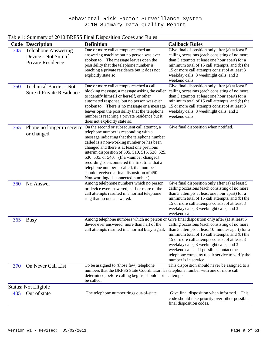|     | <b>Code Description</b>                                                        | I able 1. Building y 01 2010 DIXI BB 1 mai Disposition Coucs and Kuics<br><b>Definition</b>                                                                                                                                                                                                                                                                                                                                                                                                                    | <b>Callback Rules</b>                                                                                                                                                                                                                                                                                                                                                  |
|-----|--------------------------------------------------------------------------------|----------------------------------------------------------------------------------------------------------------------------------------------------------------------------------------------------------------------------------------------------------------------------------------------------------------------------------------------------------------------------------------------------------------------------------------------------------------------------------------------------------------|------------------------------------------------------------------------------------------------------------------------------------------------------------------------------------------------------------------------------------------------------------------------------------------------------------------------------------------------------------------------|
| 345 | <b>Telephone Answering</b><br>Device - Not Sure if<br><b>Private Residence</b> | One or more call attempts reached an<br>answering machine but no person was ever<br>spoken to. The message leaves open the<br>possibility that the telephone number is<br>reaching a private residence but it does not<br>explicitly state so.                                                                                                                                                                                                                                                                 | Give final disposition only after (a) at least 5<br>calling occasions (each consisting of no more<br>than 3 attempts at least one hour apart) for a<br>minimum total of 15 call attempts, and (b) the<br>15 or more call attempts consist of at least 3<br>weekday calls, 3 weeknight calls, and 3<br>weekend calls.                                                   |
| 350 | <b>Technical Barrier - Not</b><br>Sure if Private Residence                    | One or more call attempts reached a call<br>blocking message, a message asking the caller<br>to identify himself or herself, or other<br>automated response, but no person was ever<br>spoken to. There is no message or a message<br>leaves open the possibility that the telephone<br>number is reaching a private residence but it<br>does not explicitly state so.                                                                                                                                         | Give final disposition only after (a) at least 5<br>calling occasions (each consisting of no more<br>than 3 attempts at least one hour apart) for a<br>minimum total of 15 call attempts, and (b) the<br>15 or more call attempts consist of at least 3<br>weekday calls, 3 weeknight calls, and 3<br>weekend calls.                                                   |
| 355 | Phone no longer in service<br>or changed                                       | On the second or subsequent call attempt, a<br>telephone number is responding with a<br>message indicating that the telephone number<br>called is a non-working number or has been<br>changed and there is at least one previous<br>interim disposition of 505, 510, 515, 520, 525,<br>530, 535, or 540. (If a -number changed<br>recording is encountered the first time that a<br>telephone number is called, that number<br>should received a final disposition of 450<br>Non-working/disconnected number.) | Give final disposition when notified.                                                                                                                                                                                                                                                                                                                                  |
| 360 | No Answer                                                                      | Among telelphone numbers which no person<br>or device ever answered, half or more of the<br>call attempts resulted in a normal telephone<br>ring that no one answered.                                                                                                                                                                                                                                                                                                                                         | Give final disposition only after (a) at least 5<br>calling occasions (each consisting of no more<br>than 3 attempts at least one hour apart) for a<br>minimum total of 15 call attempts, and (b) the<br>15 or more call attempts consist of at least 3<br>weekday calls, 3 weeknight calls, and 3<br>weekend calls.                                                   |
| 365 | <b>Busy</b>                                                                    | Among telephone numbers which no person or Give final disposition only after (a) at least 5<br>device ever answered, more than half of the<br>call attempts resulted in a normal busy signal.                                                                                                                                                                                                                                                                                                                  | calling occasions (each consisting of no more<br>than 3 attempts at least 10 minutes apart) for a<br>minimum total of 15 call attempts, and (b) the<br>15 or more call attempts consist of at least 3<br>weekday calls, 3 weeknight calls, and 3<br>weekend calls. If possible, contact the<br>telephone company repair service to verify the<br>number is in service. |
| 370 | On Never Call List                                                             | To be assigned to (those few) telephone<br>numbers that the BRFSS State Coordinator has telephone number with one or more call<br>determined, before calling begins, should not<br>be called.                                                                                                                                                                                                                                                                                                                  | This disposition should never be assigned to a<br>attempts.                                                                                                                                                                                                                                                                                                            |
|     | <b>Status: Not Eligible</b>                                                    |                                                                                                                                                                                                                                                                                                                                                                                                                                                                                                                |                                                                                                                                                                                                                                                                                                                                                                        |
| 405 | Out of state                                                                   | The telephone number rings out-of-state.                                                                                                                                                                                                                                                                                                                                                                                                                                                                       | Give final disposition when informed. This<br>code should take priority over other possible<br>final disposition codes.                                                                                                                                                                                                                                                |

# Table 1: Summary of 2010 BRFSS Final Disposition Codes and Rules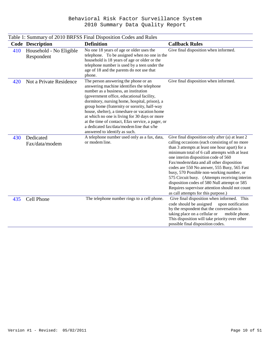|     |                                       | Table 1: Summary of 2010 BRFSS Final Disposition Codes and Rules                                                                                                                                                                                                                                                                                                                                                                                                                                              |                                                                                                                                                                                                                                                                                                                                                                                                                                                                                                                                                                                |
|-----|---------------------------------------|---------------------------------------------------------------------------------------------------------------------------------------------------------------------------------------------------------------------------------------------------------------------------------------------------------------------------------------------------------------------------------------------------------------------------------------------------------------------------------------------------------------|--------------------------------------------------------------------------------------------------------------------------------------------------------------------------------------------------------------------------------------------------------------------------------------------------------------------------------------------------------------------------------------------------------------------------------------------------------------------------------------------------------------------------------------------------------------------------------|
|     | <b>Code Description</b>               | <b>Definition</b>                                                                                                                                                                                                                                                                                                                                                                                                                                                                                             | <b>Callback Rules</b>                                                                                                                                                                                                                                                                                                                                                                                                                                                                                                                                                          |
| 410 | Household - No Eligible<br>Respondent | No one 18 years of age or older uses the<br>telephone. To be assigned when no one in the<br>household is 18 years of age or older or the<br>telephone number is used by a teen under the<br>age of 18 and the parents do not use that<br>phone.                                                                                                                                                                                                                                                               | Give final disposition when informed.                                                                                                                                                                                                                                                                                                                                                                                                                                                                                                                                          |
| 420 | Not a Private Residence               | The person answering the phone or an<br>answering machine identifies the telephone<br>number as a business, an institution<br>(government office, educational facility,<br>dormitory, nursing home, hospital, prison), a<br>group home (fraternity or sorority, half-way<br>house, shelter), a timeshare or vacation home<br>at which no one is living for 30 days or more<br>at the time of contact, Efax service, a pager, or<br>a dedicated fax/data/modem line that s/he<br>answered to identify as such. | Give final disposition when informed.                                                                                                                                                                                                                                                                                                                                                                                                                                                                                                                                          |
| 430 | Dedicated<br>Fax/data/modem           | A telephone number used only as a fax, data,<br>or modem line.                                                                                                                                                                                                                                                                                                                                                                                                                                                | Give final disposition only after (a) at least 2<br>calling occasions (each consisting of no more<br>than 3 attempts at least one hour apart) for a<br>minimum total of 6 call attempts with at least<br>one interim disposition code of 560<br>Fax/modem/data and all other disposition<br>codes are 550 No answer, 555 Busy, 565 Fast<br>busy, 570 Possible non-working number, or<br>575 Circuit busy. (Attempts receiving interim<br>disposition codes of 580 Null attempt or 585<br>Requires supervisor attention should not count<br>as call attempts for this purpose.) |
| 435 | Cell Phone                            | The telephone number rings to a cell phone.                                                                                                                                                                                                                                                                                                                                                                                                                                                                   | Give final disposition when informed. This<br>code should be assigned<br>upon notification<br>by the respondent that the conversation is<br>taking place on a cellular or<br>mobile phone.<br>This disposition will take priority over other<br>possible final disposition codes.                                                                                                                                                                                                                                                                                              |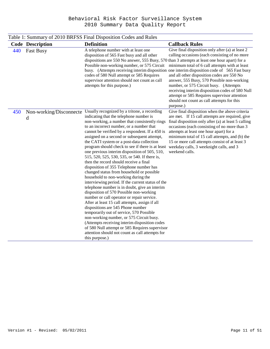|     |                              | Table 1: Summary of 2010 BRFSS Final Disposition Codes and Rules                                                                                                                                                                                                                                                                                                                                                                                                                                                                                                                                                                                                                                                                                                                                                                                                                                                                                                                                                                                                                                                                                                                                                                                                 |                                                                                                                                                                                                                                                                                                                                                                                                                                                                                                                                                        |
|-----|------------------------------|------------------------------------------------------------------------------------------------------------------------------------------------------------------------------------------------------------------------------------------------------------------------------------------------------------------------------------------------------------------------------------------------------------------------------------------------------------------------------------------------------------------------------------------------------------------------------------------------------------------------------------------------------------------------------------------------------------------------------------------------------------------------------------------------------------------------------------------------------------------------------------------------------------------------------------------------------------------------------------------------------------------------------------------------------------------------------------------------------------------------------------------------------------------------------------------------------------------------------------------------------------------|--------------------------------------------------------------------------------------------------------------------------------------------------------------------------------------------------------------------------------------------------------------------------------------------------------------------------------------------------------------------------------------------------------------------------------------------------------------------------------------------------------------------------------------------------------|
|     | <b>Code Description</b>      | <b>Definition</b>                                                                                                                                                                                                                                                                                                                                                                                                                                                                                                                                                                                                                                                                                                                                                                                                                                                                                                                                                                                                                                                                                                                                                                                                                                                | <b>Callback Rules</b>                                                                                                                                                                                                                                                                                                                                                                                                                                                                                                                                  |
| 440 | <b>Fast Busy</b>             | A telephone number with at least one<br>disposition of 565 Fast busy and all other<br>dispositions are 550 No answer, 555 Busy, 570 than 3 attempts at least one hour apart) for a<br>Possible non-working number, or 575 Circuit<br>codes of 580 Null attempt or 585 Requires<br>supervisor attention should not count as call<br>attempts for this purpose.)                                                                                                                                                                                                                                                                                                                                                                                                                                                                                                                                                                                                                                                                                                                                                                                                                                                                                                   | Give final disposition only after (a) at least 2<br>calling occasions (each consisting of no more<br>minimum total of 6 call attempts with at least<br>busy. (Attempts receiving interim disposition one interim disposition code of 565 Fast busy<br>and all other disposition codes are 550 No<br>answer, 555 Busy, 570 Possible non-working<br>number, or 575 Circuit busy. (Attempts<br>receiving interim disposition codes of 580 Null<br>attempt or 585 Requires supervisor attention<br>should not count as call attempts for this<br>purpose.) |
| 450 | Non-working/Disconnecte<br>d | Usually recognized by a tritone, a recording<br>indicating that the telephone number is<br>non-working, a number that consistently rings<br>to an incorrect number, or a number that<br>cannot be verified by a respondent. If a 450 is<br>assigned on a second or subsequent attempt,<br>the CATI system or a post-data collection<br>program should check to see if there is at least weekday calls, 3 weeknight calls, and 3<br>one previous interim disposition of 505, 510,<br>515, 520, 525, 530, 535, or 540. If there is,<br>then the record should receive a final<br>disposition of 355 Telephone number has<br>changed status from household or possible<br>household to non-working during the<br>interviewing period. If the current status of the<br>telephone number is in doubt, give an interim<br>disposition of 570 Possible non-working<br>number or call operator or repair service.<br>After at least 15 call attempts, assign if all<br>dispositions are 545 Phone number<br>temporarily out of service, 570 Possible<br>non-working number, or 575 Circuit busy.<br>(Attempts receiving interim disposition codes<br>of 580 Null attempt or 585 Requires supervisor<br>attention should not count as call attempts for<br>this purpose.) | Give final disposition when the above criteria<br>are met. If 15 call attempts are required, give<br>final disposition only after (a) at least 5 calling<br>occasions (each consisting of no more than 3<br>attempts at least one hour apart) for a<br>minimum total of 15 call attempts, and (b) the<br>15 or more call attempts consist of at least 3<br>weekend calls.                                                                                                                                                                              |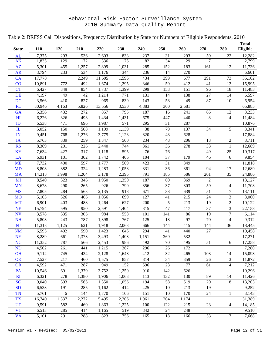| <b>Total</b><br>Eligible<br>120<br><b>State</b><br><b>110</b><br>210<br>220<br>230<br>240<br>250<br>260<br>270<br>280<br>7,375<br>2,603<br>833<br>AL<br>293<br>536<br>237<br>31<br>293<br>59<br>22<br>12,282<br>$\overline{7}$<br>1,835<br>175<br>82<br>34<br>29<br>AK<br>129<br>172<br>336<br>2,799<br>AZ<br>5,301<br>1,031<br>285<br>152<br>183<br>455<br>1,257<br>2,899<br>161<br>12<br>11,736<br>344<br>236<br><b>AR</b><br>3,794<br>233<br>534<br>1,176<br>14<br>270<br>6,601<br>434<br>399<br>677<br><b>CA</b><br>17,778<br>2,249<br>11,605<br>1,596<br>291<br>35,102<br>73<br>346<br>59<br>CO<br>772<br>492<br>1,674<br>412<br>41<br>13<br>15,995<br>10,891<br>1,295<br><b>CT</b><br>6,427<br>349<br>854<br>1,399<br>299<br>153<br>151<br>96<br>18<br>1,737<br>11,483<br><b>DE</b><br>49<br>4,197<br>42<br>771<br>131<br>14<br>138<br>$27\,$<br>14<br>6,597<br>1,214<br>58<br>839<br>49<br><b>DC</b><br>3,566<br>410<br>827<br>965<br>143<br>$87\,$<br>$10\,$<br>6,954<br>FL<br>13,556<br>3,530<br>4,883<br>300<br>2,681<br>65,885<br>30,946<br>4,163<br>5,826<br>857<br>187<br>65<br>GA<br>5,356<br>432<br>272<br>795<br>16<br>241<br>12<br>8,233<br>H1<br>675<br>440<br>$8\,$<br>6,226<br>326<br>493<br>1,434<br>1,431<br>447<br>$\overline{4}$<br>11,484<br>ID<br>6,538<br>1,987<br>571<br>295<br>31<br>287<br>10,876<br>471<br>696<br>38<br>34<br>5<br>508<br>1,139<br>79<br>8,341<br>$\mathbf{L}$<br>5,052<br>150<br>1,199<br>137<br>IN<br>9,451<br>768<br>820<br>43<br>628<br>17,884<br>1,276<br>3,775<br>1,123<br>48<br>IA<br>5,763<br>339<br>259<br>1,347<br>500<br>234<br>206<br>13<br>$\mathbf{2}$<br>8,711<br><b>KS</b><br>8,369<br>744<br>361<br>36<br>278<br>33<br>$1\,$<br>12,689<br>201<br>226<br>2,440<br>KY<br>595<br>76<br>49<br>10,317<br>7,634<br>427<br>317<br>1,118<br>76<br>25<br>406<br>37<br>179<br>9,854<br>LA<br>6,931<br>101<br>302<br>1,742<br>104<br>46<br>$\sqrt{6}$<br><b>ME</b><br>7,732<br>597<br>509<br>423<br>31<br>349<br>11,818<br>400<br>1,777<br>331<br><b>MD</b><br>8,803<br>382<br>324<br>1,058<br>36<br>361<br>94<br>17<br>12,689<br>1,283<br><b>MA</b><br>3,178<br>791<br>185<br>586<br>201<br>35<br>14,313<br>1,998<br>1,204<br>2,395<br>24,886<br>187<br>MI<br>8,540<br>323<br>1,350<br>$60\,$<br>369<br>$\mathbf{2}$<br>13,127<br>346<br>1,950<br>59<br><b>MN</b><br>8,678<br>290<br>265<br>926<br>790<br>356<br>37<br>303<br>11,708<br>$\overline{4}$<br><b>MS</b><br>918<br>671<br>38<br>$\tau$<br>7,805<br>284<br>563<br>2,135<br>639<br>51<br>13,111<br><b>MO</b><br>699<br>127<br>215<br>5,103<br>326<br>466<br>1,056<br>41<br>24<br>3<br>8,060<br>5<br><b>MT</b><br>6,901<br>627<br>200<br>213<br>19<br>$\boldsymbol{2}$<br>10,122<br>403<br>488<br>1,264<br>315<br>3<br>NE<br>2,591<br>47<br>417<br>37<br>15,794<br>595<br>950<br>1,404<br>22,153<br>$\boldsymbol{7}$<br><b>NV</b><br>3,578<br>335<br>984<br>558<br>101<br>141<br>86<br>19<br>305<br>6,114<br>18<br>97<br>NH<br>5,803<br>243<br>787<br>1,398<br>767<br>125<br>70<br>$\overline{4}$<br>9,312<br><b>NJ</b><br>415<br>11,313<br>1,125<br>666<br>144<br>144<br>18,445<br>621<br>1,918<br>2,063<br>36<br>NM<br>590<br>646<br>294<br>41<br>440<br>27<br>10,458<br>6,595<br>402<br>1,423<br>8,289<br>532<br>17,271<br><b>NY</b><br>1,373<br>3,493<br>1,403<br>369<br>661<br>1,151<br><b>NC</b><br>492<br>$70\,$<br>495<br>51<br>17,258<br>11,352<br>787<br>2,453<br>986<br>6<br>566<br>367<br>296<br>7,280<br><b>ND</b><br>4,502<br>441<br>26<br>172<br>261<br>1,215<br><b>OH</b><br>9,112<br>412<br>32<br>15,093<br>745<br>434<br>2,128<br>1,648<br>465<br>103<br>14<br>OK<br>7,527<br>1,575<br>857<br>814<br>34<br>359<br>11,872<br>217<br>460<br>26<br>3<br><b>OR</b><br>4,592<br>152<br>596<br>$23\,$<br>77<br>287<br>949<br>$\overline{4}$<br>7,212<br>471<br>61<br>PA<br>3,752<br>1,250<br>910<br>142<br>626<br>19,296<br>10,546<br>691<br>1,379<br>R <sub>I</sub><br>6,321<br>278<br>1,380<br>113<br>132<br>130<br>89<br>11,426<br>1,906<br>1,063<br>14<br><b>SC</b><br>194<br>58<br>519<br>8<br>13,203<br>9,040<br>393<br>565<br>1,350<br>1,056<br>20<br><b>SD</b><br>285<br>414<br>425<br>$10\,$<br>213<br>19<br>9,252<br>6,533<br>191<br>1,162<br><b>TN</b><br>5,761<br>6<br>106<br>151<br>10<br>170<br>$\mathbf{1}$<br>8,143<br>144<br>1,770<br>24<br><b>TX</b><br>204<br>31,389<br>16,740<br>1,337<br>2,272<br>5,495<br>2,206<br>1,961<br>1,174<br><b>UT</b><br>100<br>215<br>23<br>14,185<br>9,591<br>582<br>460<br>1,863<br>1,225<br>122<br>4<br><b>VT</b><br>6,513<br>519<br>342<br>9,510<br>285<br>414<br>1,165<br>24<br>248<br><b>VA</b><br>756<br>18<br>5,101<br>291<br>288<br>823<br>165<br>166<br>53<br>$\tau$<br>7,668 | Table 2: BRFSS Call Dispositions, Frequency Distribution by State for Numbers of Eligible Respondents, 2010 |  |  |  |  |  |  |  |  |  |  |  |
|-------------------------------------------------------------------------------------------------------------------------------------------------------------------------------------------------------------------------------------------------------------------------------------------------------------------------------------------------------------------------------------------------------------------------------------------------------------------------------------------------------------------------------------------------------------------------------------------------------------------------------------------------------------------------------------------------------------------------------------------------------------------------------------------------------------------------------------------------------------------------------------------------------------------------------------------------------------------------------------------------------------------------------------------------------------------------------------------------------------------------------------------------------------------------------------------------------------------------------------------------------------------------------------------------------------------------------------------------------------------------------------------------------------------------------------------------------------------------------------------------------------------------------------------------------------------------------------------------------------------------------------------------------------------------------------------------------------------------------------------------------------------------------------------------------------------------------------------------------------------------------------------------------------------------------------------------------------------------------------------------------------------------------------------------------------------------------------------------------------------------------------------------------------------------------------------------------------------------------------------------------------------------------------------------------------------------------------------------------------------------------------------------------------------------------------------------------------------------------------------------------------------------------------------------------------------------------------------------------------------------------------------------------------------------------------------------------------------------------------------------------------------------------------------------------------------------------------------------------------------------------------------------------------------------------------------------------------------------------------------------------------------------------------------------------------------------------------------------------------------------------------------------------------------------------------------------------------------------------------------------------------------------------------------------------------------------------------------------------------------------------------------------------------------------------------------------------------------------------------------------------------------------------------------------------------------------------------------------------------------------------------------------------------------------------------------------------------------------------------------------------------------------------------------------------------------------------------------------------------------------------------------------------------------------------------------------------------------------------------------------------------------------------------------------------------------------------------------------------------------------------------------------------------------------------------------------------------------------------------------------------------------------------------------------------------------------------------------------------------------------------------------------------------------------------------------------------------------------------------------------------------------------------------------------------------------------------------------------------------------------------------------------------------------|-------------------------------------------------------------------------------------------------------------|--|--|--|--|--|--|--|--|--|--|--|
|                                                                                                                                                                                                                                                                                                                                                                                                                                                                                                                                                                                                                                                                                                                                                                                                                                                                                                                                                                                                                                                                                                                                                                                                                                                                                                                                                                                                                                                                                                                                                                                                                                                                                                                                                                                                                                                                                                                                                                                                                                                                                                                                                                                                                                                                                                                                                                                                                                                                                                                                                                                                                                                                                                                                                                                                                                                                                                                                                                                                                                                                                                                                                                                                                                                                                                                                                                                                                                                                                                                                                                                                                                                                                                                                                                                                                                                                                                                                                                                                                                                                                                                                                                                                                                                                                                                                                                                                                                                                                                                                                                                                                                                                   |                                                                                                             |  |  |  |  |  |  |  |  |  |  |  |
|                                                                                                                                                                                                                                                                                                                                                                                                                                                                                                                                                                                                                                                                                                                                                                                                                                                                                                                                                                                                                                                                                                                                                                                                                                                                                                                                                                                                                                                                                                                                                                                                                                                                                                                                                                                                                                                                                                                                                                                                                                                                                                                                                                                                                                                                                                                                                                                                                                                                                                                                                                                                                                                                                                                                                                                                                                                                                                                                                                                                                                                                                                                                                                                                                                                                                                                                                                                                                                                                                                                                                                                                                                                                                                                                                                                                                                                                                                                                                                                                                                                                                                                                                                                                                                                                                                                                                                                                                                                                                                                                                                                                                                                                   |                                                                                                             |  |  |  |  |  |  |  |  |  |  |  |
|                                                                                                                                                                                                                                                                                                                                                                                                                                                                                                                                                                                                                                                                                                                                                                                                                                                                                                                                                                                                                                                                                                                                                                                                                                                                                                                                                                                                                                                                                                                                                                                                                                                                                                                                                                                                                                                                                                                                                                                                                                                                                                                                                                                                                                                                                                                                                                                                                                                                                                                                                                                                                                                                                                                                                                                                                                                                                                                                                                                                                                                                                                                                                                                                                                                                                                                                                                                                                                                                                                                                                                                                                                                                                                                                                                                                                                                                                                                                                                                                                                                                                                                                                                                                                                                                                                                                                                                                                                                                                                                                                                                                                                                                   |                                                                                                             |  |  |  |  |  |  |  |  |  |  |  |
|                                                                                                                                                                                                                                                                                                                                                                                                                                                                                                                                                                                                                                                                                                                                                                                                                                                                                                                                                                                                                                                                                                                                                                                                                                                                                                                                                                                                                                                                                                                                                                                                                                                                                                                                                                                                                                                                                                                                                                                                                                                                                                                                                                                                                                                                                                                                                                                                                                                                                                                                                                                                                                                                                                                                                                                                                                                                                                                                                                                                                                                                                                                                                                                                                                                                                                                                                                                                                                                                                                                                                                                                                                                                                                                                                                                                                                                                                                                                                                                                                                                                                                                                                                                                                                                                                                                                                                                                                                                                                                                                                                                                                                                                   |                                                                                                             |  |  |  |  |  |  |  |  |  |  |  |
|                                                                                                                                                                                                                                                                                                                                                                                                                                                                                                                                                                                                                                                                                                                                                                                                                                                                                                                                                                                                                                                                                                                                                                                                                                                                                                                                                                                                                                                                                                                                                                                                                                                                                                                                                                                                                                                                                                                                                                                                                                                                                                                                                                                                                                                                                                                                                                                                                                                                                                                                                                                                                                                                                                                                                                                                                                                                                                                                                                                                                                                                                                                                                                                                                                                                                                                                                                                                                                                                                                                                                                                                                                                                                                                                                                                                                                                                                                                                                                                                                                                                                                                                                                                                                                                                                                                                                                                                                                                                                                                                                                                                                                                                   |                                                                                                             |  |  |  |  |  |  |  |  |  |  |  |
|                                                                                                                                                                                                                                                                                                                                                                                                                                                                                                                                                                                                                                                                                                                                                                                                                                                                                                                                                                                                                                                                                                                                                                                                                                                                                                                                                                                                                                                                                                                                                                                                                                                                                                                                                                                                                                                                                                                                                                                                                                                                                                                                                                                                                                                                                                                                                                                                                                                                                                                                                                                                                                                                                                                                                                                                                                                                                                                                                                                                                                                                                                                                                                                                                                                                                                                                                                                                                                                                                                                                                                                                                                                                                                                                                                                                                                                                                                                                                                                                                                                                                                                                                                                                                                                                                                                                                                                                                                                                                                                                                                                                                                                                   |                                                                                                             |  |  |  |  |  |  |  |  |  |  |  |
|                                                                                                                                                                                                                                                                                                                                                                                                                                                                                                                                                                                                                                                                                                                                                                                                                                                                                                                                                                                                                                                                                                                                                                                                                                                                                                                                                                                                                                                                                                                                                                                                                                                                                                                                                                                                                                                                                                                                                                                                                                                                                                                                                                                                                                                                                                                                                                                                                                                                                                                                                                                                                                                                                                                                                                                                                                                                                                                                                                                                                                                                                                                                                                                                                                                                                                                                                                                                                                                                                                                                                                                                                                                                                                                                                                                                                                                                                                                                                                                                                                                                                                                                                                                                                                                                                                                                                                                                                                                                                                                                                                                                                                                                   |                                                                                                             |  |  |  |  |  |  |  |  |  |  |  |
|                                                                                                                                                                                                                                                                                                                                                                                                                                                                                                                                                                                                                                                                                                                                                                                                                                                                                                                                                                                                                                                                                                                                                                                                                                                                                                                                                                                                                                                                                                                                                                                                                                                                                                                                                                                                                                                                                                                                                                                                                                                                                                                                                                                                                                                                                                                                                                                                                                                                                                                                                                                                                                                                                                                                                                                                                                                                                                                                                                                                                                                                                                                                                                                                                                                                                                                                                                                                                                                                                                                                                                                                                                                                                                                                                                                                                                                                                                                                                                                                                                                                                                                                                                                                                                                                                                                                                                                                                                                                                                                                                                                                                                                                   |                                                                                                             |  |  |  |  |  |  |  |  |  |  |  |
|                                                                                                                                                                                                                                                                                                                                                                                                                                                                                                                                                                                                                                                                                                                                                                                                                                                                                                                                                                                                                                                                                                                                                                                                                                                                                                                                                                                                                                                                                                                                                                                                                                                                                                                                                                                                                                                                                                                                                                                                                                                                                                                                                                                                                                                                                                                                                                                                                                                                                                                                                                                                                                                                                                                                                                                                                                                                                                                                                                                                                                                                                                                                                                                                                                                                                                                                                                                                                                                                                                                                                                                                                                                                                                                                                                                                                                                                                                                                                                                                                                                                                                                                                                                                                                                                                                                                                                                                                                                                                                                                                                                                                                                                   |                                                                                                             |  |  |  |  |  |  |  |  |  |  |  |
|                                                                                                                                                                                                                                                                                                                                                                                                                                                                                                                                                                                                                                                                                                                                                                                                                                                                                                                                                                                                                                                                                                                                                                                                                                                                                                                                                                                                                                                                                                                                                                                                                                                                                                                                                                                                                                                                                                                                                                                                                                                                                                                                                                                                                                                                                                                                                                                                                                                                                                                                                                                                                                                                                                                                                                                                                                                                                                                                                                                                                                                                                                                                                                                                                                                                                                                                                                                                                                                                                                                                                                                                                                                                                                                                                                                                                                                                                                                                                                                                                                                                                                                                                                                                                                                                                                                                                                                                                                                                                                                                                                                                                                                                   |                                                                                                             |  |  |  |  |  |  |  |  |  |  |  |
|                                                                                                                                                                                                                                                                                                                                                                                                                                                                                                                                                                                                                                                                                                                                                                                                                                                                                                                                                                                                                                                                                                                                                                                                                                                                                                                                                                                                                                                                                                                                                                                                                                                                                                                                                                                                                                                                                                                                                                                                                                                                                                                                                                                                                                                                                                                                                                                                                                                                                                                                                                                                                                                                                                                                                                                                                                                                                                                                                                                                                                                                                                                                                                                                                                                                                                                                                                                                                                                                                                                                                                                                                                                                                                                                                                                                                                                                                                                                                                                                                                                                                                                                                                                                                                                                                                                                                                                                                                                                                                                                                                                                                                                                   |                                                                                                             |  |  |  |  |  |  |  |  |  |  |  |
|                                                                                                                                                                                                                                                                                                                                                                                                                                                                                                                                                                                                                                                                                                                                                                                                                                                                                                                                                                                                                                                                                                                                                                                                                                                                                                                                                                                                                                                                                                                                                                                                                                                                                                                                                                                                                                                                                                                                                                                                                                                                                                                                                                                                                                                                                                                                                                                                                                                                                                                                                                                                                                                                                                                                                                                                                                                                                                                                                                                                                                                                                                                                                                                                                                                                                                                                                                                                                                                                                                                                                                                                                                                                                                                                                                                                                                                                                                                                                                                                                                                                                                                                                                                                                                                                                                                                                                                                                                                                                                                                                                                                                                                                   |                                                                                                             |  |  |  |  |  |  |  |  |  |  |  |
|                                                                                                                                                                                                                                                                                                                                                                                                                                                                                                                                                                                                                                                                                                                                                                                                                                                                                                                                                                                                                                                                                                                                                                                                                                                                                                                                                                                                                                                                                                                                                                                                                                                                                                                                                                                                                                                                                                                                                                                                                                                                                                                                                                                                                                                                                                                                                                                                                                                                                                                                                                                                                                                                                                                                                                                                                                                                                                                                                                                                                                                                                                                                                                                                                                                                                                                                                                                                                                                                                                                                                                                                                                                                                                                                                                                                                                                                                                                                                                                                                                                                                                                                                                                                                                                                                                                                                                                                                                                                                                                                                                                                                                                                   |                                                                                                             |  |  |  |  |  |  |  |  |  |  |  |
|                                                                                                                                                                                                                                                                                                                                                                                                                                                                                                                                                                                                                                                                                                                                                                                                                                                                                                                                                                                                                                                                                                                                                                                                                                                                                                                                                                                                                                                                                                                                                                                                                                                                                                                                                                                                                                                                                                                                                                                                                                                                                                                                                                                                                                                                                                                                                                                                                                                                                                                                                                                                                                                                                                                                                                                                                                                                                                                                                                                                                                                                                                                                                                                                                                                                                                                                                                                                                                                                                                                                                                                                                                                                                                                                                                                                                                                                                                                                                                                                                                                                                                                                                                                                                                                                                                                                                                                                                                                                                                                                                                                                                                                                   |                                                                                                             |  |  |  |  |  |  |  |  |  |  |  |
|                                                                                                                                                                                                                                                                                                                                                                                                                                                                                                                                                                                                                                                                                                                                                                                                                                                                                                                                                                                                                                                                                                                                                                                                                                                                                                                                                                                                                                                                                                                                                                                                                                                                                                                                                                                                                                                                                                                                                                                                                                                                                                                                                                                                                                                                                                                                                                                                                                                                                                                                                                                                                                                                                                                                                                                                                                                                                                                                                                                                                                                                                                                                                                                                                                                                                                                                                                                                                                                                                                                                                                                                                                                                                                                                                                                                                                                                                                                                                                                                                                                                                                                                                                                                                                                                                                                                                                                                                                                                                                                                                                                                                                                                   |                                                                                                             |  |  |  |  |  |  |  |  |  |  |  |
|                                                                                                                                                                                                                                                                                                                                                                                                                                                                                                                                                                                                                                                                                                                                                                                                                                                                                                                                                                                                                                                                                                                                                                                                                                                                                                                                                                                                                                                                                                                                                                                                                                                                                                                                                                                                                                                                                                                                                                                                                                                                                                                                                                                                                                                                                                                                                                                                                                                                                                                                                                                                                                                                                                                                                                                                                                                                                                                                                                                                                                                                                                                                                                                                                                                                                                                                                                                                                                                                                                                                                                                                                                                                                                                                                                                                                                                                                                                                                                                                                                                                                                                                                                                                                                                                                                                                                                                                                                                                                                                                                                                                                                                                   |                                                                                                             |  |  |  |  |  |  |  |  |  |  |  |
|                                                                                                                                                                                                                                                                                                                                                                                                                                                                                                                                                                                                                                                                                                                                                                                                                                                                                                                                                                                                                                                                                                                                                                                                                                                                                                                                                                                                                                                                                                                                                                                                                                                                                                                                                                                                                                                                                                                                                                                                                                                                                                                                                                                                                                                                                                                                                                                                                                                                                                                                                                                                                                                                                                                                                                                                                                                                                                                                                                                                                                                                                                                                                                                                                                                                                                                                                                                                                                                                                                                                                                                                                                                                                                                                                                                                                                                                                                                                                                                                                                                                                                                                                                                                                                                                                                                                                                                                                                                                                                                                                                                                                                                                   |                                                                                                             |  |  |  |  |  |  |  |  |  |  |  |
|                                                                                                                                                                                                                                                                                                                                                                                                                                                                                                                                                                                                                                                                                                                                                                                                                                                                                                                                                                                                                                                                                                                                                                                                                                                                                                                                                                                                                                                                                                                                                                                                                                                                                                                                                                                                                                                                                                                                                                                                                                                                                                                                                                                                                                                                                                                                                                                                                                                                                                                                                                                                                                                                                                                                                                                                                                                                                                                                                                                                                                                                                                                                                                                                                                                                                                                                                                                                                                                                                                                                                                                                                                                                                                                                                                                                                                                                                                                                                                                                                                                                                                                                                                                                                                                                                                                                                                                                                                                                                                                                                                                                                                                                   |                                                                                                             |  |  |  |  |  |  |  |  |  |  |  |
|                                                                                                                                                                                                                                                                                                                                                                                                                                                                                                                                                                                                                                                                                                                                                                                                                                                                                                                                                                                                                                                                                                                                                                                                                                                                                                                                                                                                                                                                                                                                                                                                                                                                                                                                                                                                                                                                                                                                                                                                                                                                                                                                                                                                                                                                                                                                                                                                                                                                                                                                                                                                                                                                                                                                                                                                                                                                                                                                                                                                                                                                                                                                                                                                                                                                                                                                                                                                                                                                                                                                                                                                                                                                                                                                                                                                                                                                                                                                                                                                                                                                                                                                                                                                                                                                                                                                                                                                                                                                                                                                                                                                                                                                   |                                                                                                             |  |  |  |  |  |  |  |  |  |  |  |
|                                                                                                                                                                                                                                                                                                                                                                                                                                                                                                                                                                                                                                                                                                                                                                                                                                                                                                                                                                                                                                                                                                                                                                                                                                                                                                                                                                                                                                                                                                                                                                                                                                                                                                                                                                                                                                                                                                                                                                                                                                                                                                                                                                                                                                                                                                                                                                                                                                                                                                                                                                                                                                                                                                                                                                                                                                                                                                                                                                                                                                                                                                                                                                                                                                                                                                                                                                                                                                                                                                                                                                                                                                                                                                                                                                                                                                                                                                                                                                                                                                                                                                                                                                                                                                                                                                                                                                                                                                                                                                                                                                                                                                                                   |                                                                                                             |  |  |  |  |  |  |  |  |  |  |  |
|                                                                                                                                                                                                                                                                                                                                                                                                                                                                                                                                                                                                                                                                                                                                                                                                                                                                                                                                                                                                                                                                                                                                                                                                                                                                                                                                                                                                                                                                                                                                                                                                                                                                                                                                                                                                                                                                                                                                                                                                                                                                                                                                                                                                                                                                                                                                                                                                                                                                                                                                                                                                                                                                                                                                                                                                                                                                                                                                                                                                                                                                                                                                                                                                                                                                                                                                                                                                                                                                                                                                                                                                                                                                                                                                                                                                                                                                                                                                                                                                                                                                                                                                                                                                                                                                                                                                                                                                                                                                                                                                                                                                                                                                   |                                                                                                             |  |  |  |  |  |  |  |  |  |  |  |
|                                                                                                                                                                                                                                                                                                                                                                                                                                                                                                                                                                                                                                                                                                                                                                                                                                                                                                                                                                                                                                                                                                                                                                                                                                                                                                                                                                                                                                                                                                                                                                                                                                                                                                                                                                                                                                                                                                                                                                                                                                                                                                                                                                                                                                                                                                                                                                                                                                                                                                                                                                                                                                                                                                                                                                                                                                                                                                                                                                                                                                                                                                                                                                                                                                                                                                                                                                                                                                                                                                                                                                                                                                                                                                                                                                                                                                                                                                                                                                                                                                                                                                                                                                                                                                                                                                                                                                                                                                                                                                                                                                                                                                                                   |                                                                                                             |  |  |  |  |  |  |  |  |  |  |  |
|                                                                                                                                                                                                                                                                                                                                                                                                                                                                                                                                                                                                                                                                                                                                                                                                                                                                                                                                                                                                                                                                                                                                                                                                                                                                                                                                                                                                                                                                                                                                                                                                                                                                                                                                                                                                                                                                                                                                                                                                                                                                                                                                                                                                                                                                                                                                                                                                                                                                                                                                                                                                                                                                                                                                                                                                                                                                                                                                                                                                                                                                                                                                                                                                                                                                                                                                                                                                                                                                                                                                                                                                                                                                                                                                                                                                                                                                                                                                                                                                                                                                                                                                                                                                                                                                                                                                                                                                                                                                                                                                                                                                                                                                   |                                                                                                             |  |  |  |  |  |  |  |  |  |  |  |
|                                                                                                                                                                                                                                                                                                                                                                                                                                                                                                                                                                                                                                                                                                                                                                                                                                                                                                                                                                                                                                                                                                                                                                                                                                                                                                                                                                                                                                                                                                                                                                                                                                                                                                                                                                                                                                                                                                                                                                                                                                                                                                                                                                                                                                                                                                                                                                                                                                                                                                                                                                                                                                                                                                                                                                                                                                                                                                                                                                                                                                                                                                                                                                                                                                                                                                                                                                                                                                                                                                                                                                                                                                                                                                                                                                                                                                                                                                                                                                                                                                                                                                                                                                                                                                                                                                                                                                                                                                                                                                                                                                                                                                                                   |                                                                                                             |  |  |  |  |  |  |  |  |  |  |  |
|                                                                                                                                                                                                                                                                                                                                                                                                                                                                                                                                                                                                                                                                                                                                                                                                                                                                                                                                                                                                                                                                                                                                                                                                                                                                                                                                                                                                                                                                                                                                                                                                                                                                                                                                                                                                                                                                                                                                                                                                                                                                                                                                                                                                                                                                                                                                                                                                                                                                                                                                                                                                                                                                                                                                                                                                                                                                                                                                                                                                                                                                                                                                                                                                                                                                                                                                                                                                                                                                                                                                                                                                                                                                                                                                                                                                                                                                                                                                                                                                                                                                                                                                                                                                                                                                                                                                                                                                                                                                                                                                                                                                                                                                   |                                                                                                             |  |  |  |  |  |  |  |  |  |  |  |
|                                                                                                                                                                                                                                                                                                                                                                                                                                                                                                                                                                                                                                                                                                                                                                                                                                                                                                                                                                                                                                                                                                                                                                                                                                                                                                                                                                                                                                                                                                                                                                                                                                                                                                                                                                                                                                                                                                                                                                                                                                                                                                                                                                                                                                                                                                                                                                                                                                                                                                                                                                                                                                                                                                                                                                                                                                                                                                                                                                                                                                                                                                                                                                                                                                                                                                                                                                                                                                                                                                                                                                                                                                                                                                                                                                                                                                                                                                                                                                                                                                                                                                                                                                                                                                                                                                                                                                                                                                                                                                                                                                                                                                                                   |                                                                                                             |  |  |  |  |  |  |  |  |  |  |  |
|                                                                                                                                                                                                                                                                                                                                                                                                                                                                                                                                                                                                                                                                                                                                                                                                                                                                                                                                                                                                                                                                                                                                                                                                                                                                                                                                                                                                                                                                                                                                                                                                                                                                                                                                                                                                                                                                                                                                                                                                                                                                                                                                                                                                                                                                                                                                                                                                                                                                                                                                                                                                                                                                                                                                                                                                                                                                                                                                                                                                                                                                                                                                                                                                                                                                                                                                                                                                                                                                                                                                                                                                                                                                                                                                                                                                                                                                                                                                                                                                                                                                                                                                                                                                                                                                                                                                                                                                                                                                                                                                                                                                                                                                   |                                                                                                             |  |  |  |  |  |  |  |  |  |  |  |
|                                                                                                                                                                                                                                                                                                                                                                                                                                                                                                                                                                                                                                                                                                                                                                                                                                                                                                                                                                                                                                                                                                                                                                                                                                                                                                                                                                                                                                                                                                                                                                                                                                                                                                                                                                                                                                                                                                                                                                                                                                                                                                                                                                                                                                                                                                                                                                                                                                                                                                                                                                                                                                                                                                                                                                                                                                                                                                                                                                                                                                                                                                                                                                                                                                                                                                                                                                                                                                                                                                                                                                                                                                                                                                                                                                                                                                                                                                                                                                                                                                                                                                                                                                                                                                                                                                                                                                                                                                                                                                                                                                                                                                                                   |                                                                                                             |  |  |  |  |  |  |  |  |  |  |  |
|                                                                                                                                                                                                                                                                                                                                                                                                                                                                                                                                                                                                                                                                                                                                                                                                                                                                                                                                                                                                                                                                                                                                                                                                                                                                                                                                                                                                                                                                                                                                                                                                                                                                                                                                                                                                                                                                                                                                                                                                                                                                                                                                                                                                                                                                                                                                                                                                                                                                                                                                                                                                                                                                                                                                                                                                                                                                                                                                                                                                                                                                                                                                                                                                                                                                                                                                                                                                                                                                                                                                                                                                                                                                                                                                                                                                                                                                                                                                                                                                                                                                                                                                                                                                                                                                                                                                                                                                                                                                                                                                                                                                                                                                   |                                                                                                             |  |  |  |  |  |  |  |  |  |  |  |
|                                                                                                                                                                                                                                                                                                                                                                                                                                                                                                                                                                                                                                                                                                                                                                                                                                                                                                                                                                                                                                                                                                                                                                                                                                                                                                                                                                                                                                                                                                                                                                                                                                                                                                                                                                                                                                                                                                                                                                                                                                                                                                                                                                                                                                                                                                                                                                                                                                                                                                                                                                                                                                                                                                                                                                                                                                                                                                                                                                                                                                                                                                                                                                                                                                                                                                                                                                                                                                                                                                                                                                                                                                                                                                                                                                                                                                                                                                                                                                                                                                                                                                                                                                                                                                                                                                                                                                                                                                                                                                                                                                                                                                                                   |                                                                                                             |  |  |  |  |  |  |  |  |  |  |  |
|                                                                                                                                                                                                                                                                                                                                                                                                                                                                                                                                                                                                                                                                                                                                                                                                                                                                                                                                                                                                                                                                                                                                                                                                                                                                                                                                                                                                                                                                                                                                                                                                                                                                                                                                                                                                                                                                                                                                                                                                                                                                                                                                                                                                                                                                                                                                                                                                                                                                                                                                                                                                                                                                                                                                                                                                                                                                                                                                                                                                                                                                                                                                                                                                                                                                                                                                                                                                                                                                                                                                                                                                                                                                                                                                                                                                                                                                                                                                                                                                                                                                                                                                                                                                                                                                                                                                                                                                                                                                                                                                                                                                                                                                   |                                                                                                             |  |  |  |  |  |  |  |  |  |  |  |
|                                                                                                                                                                                                                                                                                                                                                                                                                                                                                                                                                                                                                                                                                                                                                                                                                                                                                                                                                                                                                                                                                                                                                                                                                                                                                                                                                                                                                                                                                                                                                                                                                                                                                                                                                                                                                                                                                                                                                                                                                                                                                                                                                                                                                                                                                                                                                                                                                                                                                                                                                                                                                                                                                                                                                                                                                                                                                                                                                                                                                                                                                                                                                                                                                                                                                                                                                                                                                                                                                                                                                                                                                                                                                                                                                                                                                                                                                                                                                                                                                                                                                                                                                                                                                                                                                                                                                                                                                                                                                                                                                                                                                                                                   |                                                                                                             |  |  |  |  |  |  |  |  |  |  |  |
|                                                                                                                                                                                                                                                                                                                                                                                                                                                                                                                                                                                                                                                                                                                                                                                                                                                                                                                                                                                                                                                                                                                                                                                                                                                                                                                                                                                                                                                                                                                                                                                                                                                                                                                                                                                                                                                                                                                                                                                                                                                                                                                                                                                                                                                                                                                                                                                                                                                                                                                                                                                                                                                                                                                                                                                                                                                                                                                                                                                                                                                                                                                                                                                                                                                                                                                                                                                                                                                                                                                                                                                                                                                                                                                                                                                                                                                                                                                                                                                                                                                                                                                                                                                                                                                                                                                                                                                                                                                                                                                                                                                                                                                                   |                                                                                                             |  |  |  |  |  |  |  |  |  |  |  |
|                                                                                                                                                                                                                                                                                                                                                                                                                                                                                                                                                                                                                                                                                                                                                                                                                                                                                                                                                                                                                                                                                                                                                                                                                                                                                                                                                                                                                                                                                                                                                                                                                                                                                                                                                                                                                                                                                                                                                                                                                                                                                                                                                                                                                                                                                                                                                                                                                                                                                                                                                                                                                                                                                                                                                                                                                                                                                                                                                                                                                                                                                                                                                                                                                                                                                                                                                                                                                                                                                                                                                                                                                                                                                                                                                                                                                                                                                                                                                                                                                                                                                                                                                                                                                                                                                                                                                                                                                                                                                                                                                                                                                                                                   |                                                                                                             |  |  |  |  |  |  |  |  |  |  |  |
|                                                                                                                                                                                                                                                                                                                                                                                                                                                                                                                                                                                                                                                                                                                                                                                                                                                                                                                                                                                                                                                                                                                                                                                                                                                                                                                                                                                                                                                                                                                                                                                                                                                                                                                                                                                                                                                                                                                                                                                                                                                                                                                                                                                                                                                                                                                                                                                                                                                                                                                                                                                                                                                                                                                                                                                                                                                                                                                                                                                                                                                                                                                                                                                                                                                                                                                                                                                                                                                                                                                                                                                                                                                                                                                                                                                                                                                                                                                                                                                                                                                                                                                                                                                                                                                                                                                                                                                                                                                                                                                                                                                                                                                                   |                                                                                                             |  |  |  |  |  |  |  |  |  |  |  |
|                                                                                                                                                                                                                                                                                                                                                                                                                                                                                                                                                                                                                                                                                                                                                                                                                                                                                                                                                                                                                                                                                                                                                                                                                                                                                                                                                                                                                                                                                                                                                                                                                                                                                                                                                                                                                                                                                                                                                                                                                                                                                                                                                                                                                                                                                                                                                                                                                                                                                                                                                                                                                                                                                                                                                                                                                                                                                                                                                                                                                                                                                                                                                                                                                                                                                                                                                                                                                                                                                                                                                                                                                                                                                                                                                                                                                                                                                                                                                                                                                                                                                                                                                                                                                                                                                                                                                                                                                                                                                                                                                                                                                                                                   |                                                                                                             |  |  |  |  |  |  |  |  |  |  |  |
|                                                                                                                                                                                                                                                                                                                                                                                                                                                                                                                                                                                                                                                                                                                                                                                                                                                                                                                                                                                                                                                                                                                                                                                                                                                                                                                                                                                                                                                                                                                                                                                                                                                                                                                                                                                                                                                                                                                                                                                                                                                                                                                                                                                                                                                                                                                                                                                                                                                                                                                                                                                                                                                                                                                                                                                                                                                                                                                                                                                                                                                                                                                                                                                                                                                                                                                                                                                                                                                                                                                                                                                                                                                                                                                                                                                                                                                                                                                                                                                                                                                                                                                                                                                                                                                                                                                                                                                                                                                                                                                                                                                                                                                                   |                                                                                                             |  |  |  |  |  |  |  |  |  |  |  |
|                                                                                                                                                                                                                                                                                                                                                                                                                                                                                                                                                                                                                                                                                                                                                                                                                                                                                                                                                                                                                                                                                                                                                                                                                                                                                                                                                                                                                                                                                                                                                                                                                                                                                                                                                                                                                                                                                                                                                                                                                                                                                                                                                                                                                                                                                                                                                                                                                                                                                                                                                                                                                                                                                                                                                                                                                                                                                                                                                                                                                                                                                                                                                                                                                                                                                                                                                                                                                                                                                                                                                                                                                                                                                                                                                                                                                                                                                                                                                                                                                                                                                                                                                                                                                                                                                                                                                                                                                                                                                                                                                                                                                                                                   |                                                                                                             |  |  |  |  |  |  |  |  |  |  |  |
|                                                                                                                                                                                                                                                                                                                                                                                                                                                                                                                                                                                                                                                                                                                                                                                                                                                                                                                                                                                                                                                                                                                                                                                                                                                                                                                                                                                                                                                                                                                                                                                                                                                                                                                                                                                                                                                                                                                                                                                                                                                                                                                                                                                                                                                                                                                                                                                                                                                                                                                                                                                                                                                                                                                                                                                                                                                                                                                                                                                                                                                                                                                                                                                                                                                                                                                                                                                                                                                                                                                                                                                                                                                                                                                                                                                                                                                                                                                                                                                                                                                                                                                                                                                                                                                                                                                                                                                                                                                                                                                                                                                                                                                                   |                                                                                                             |  |  |  |  |  |  |  |  |  |  |  |
|                                                                                                                                                                                                                                                                                                                                                                                                                                                                                                                                                                                                                                                                                                                                                                                                                                                                                                                                                                                                                                                                                                                                                                                                                                                                                                                                                                                                                                                                                                                                                                                                                                                                                                                                                                                                                                                                                                                                                                                                                                                                                                                                                                                                                                                                                                                                                                                                                                                                                                                                                                                                                                                                                                                                                                                                                                                                                                                                                                                                                                                                                                                                                                                                                                                                                                                                                                                                                                                                                                                                                                                                                                                                                                                                                                                                                                                                                                                                                                                                                                                                                                                                                                                                                                                                                                                                                                                                                                                                                                                                                                                                                                                                   |                                                                                                             |  |  |  |  |  |  |  |  |  |  |  |
|                                                                                                                                                                                                                                                                                                                                                                                                                                                                                                                                                                                                                                                                                                                                                                                                                                                                                                                                                                                                                                                                                                                                                                                                                                                                                                                                                                                                                                                                                                                                                                                                                                                                                                                                                                                                                                                                                                                                                                                                                                                                                                                                                                                                                                                                                                                                                                                                                                                                                                                                                                                                                                                                                                                                                                                                                                                                                                                                                                                                                                                                                                                                                                                                                                                                                                                                                                                                                                                                                                                                                                                                                                                                                                                                                                                                                                                                                                                                                                                                                                                                                                                                                                                                                                                                                                                                                                                                                                                                                                                                                                                                                                                                   |                                                                                                             |  |  |  |  |  |  |  |  |  |  |  |
|                                                                                                                                                                                                                                                                                                                                                                                                                                                                                                                                                                                                                                                                                                                                                                                                                                                                                                                                                                                                                                                                                                                                                                                                                                                                                                                                                                                                                                                                                                                                                                                                                                                                                                                                                                                                                                                                                                                                                                                                                                                                                                                                                                                                                                                                                                                                                                                                                                                                                                                                                                                                                                                                                                                                                                                                                                                                                                                                                                                                                                                                                                                                                                                                                                                                                                                                                                                                                                                                                                                                                                                                                                                                                                                                                                                                                                                                                                                                                                                                                                                                                                                                                                                                                                                                                                                                                                                                                                                                                                                                                                                                                                                                   |                                                                                                             |  |  |  |  |  |  |  |  |  |  |  |
|                                                                                                                                                                                                                                                                                                                                                                                                                                                                                                                                                                                                                                                                                                                                                                                                                                                                                                                                                                                                                                                                                                                                                                                                                                                                                                                                                                                                                                                                                                                                                                                                                                                                                                                                                                                                                                                                                                                                                                                                                                                                                                                                                                                                                                                                                                                                                                                                                                                                                                                                                                                                                                                                                                                                                                                                                                                                                                                                                                                                                                                                                                                                                                                                                                                                                                                                                                                                                                                                                                                                                                                                                                                                                                                                                                                                                                                                                                                                                                                                                                                                                                                                                                                                                                                                                                                                                                                                                                                                                                                                                                                                                                                                   |                                                                                                             |  |  |  |  |  |  |  |  |  |  |  |
|                                                                                                                                                                                                                                                                                                                                                                                                                                                                                                                                                                                                                                                                                                                                                                                                                                                                                                                                                                                                                                                                                                                                                                                                                                                                                                                                                                                                                                                                                                                                                                                                                                                                                                                                                                                                                                                                                                                                                                                                                                                                                                                                                                                                                                                                                                                                                                                                                                                                                                                                                                                                                                                                                                                                                                                                                                                                                                                                                                                                                                                                                                                                                                                                                                                                                                                                                                                                                                                                                                                                                                                                                                                                                                                                                                                                                                                                                                                                                                                                                                                                                                                                                                                                                                                                                                                                                                                                                                                                                                                                                                                                                                                                   |                                                                                                             |  |  |  |  |  |  |  |  |  |  |  |
|                                                                                                                                                                                                                                                                                                                                                                                                                                                                                                                                                                                                                                                                                                                                                                                                                                                                                                                                                                                                                                                                                                                                                                                                                                                                                                                                                                                                                                                                                                                                                                                                                                                                                                                                                                                                                                                                                                                                                                                                                                                                                                                                                                                                                                                                                                                                                                                                                                                                                                                                                                                                                                                                                                                                                                                                                                                                                                                                                                                                                                                                                                                                                                                                                                                                                                                                                                                                                                                                                                                                                                                                                                                                                                                                                                                                                                                                                                                                                                                                                                                                                                                                                                                                                                                                                                                                                                                                                                                                                                                                                                                                                                                                   |                                                                                                             |  |  |  |  |  |  |  |  |  |  |  |
|                                                                                                                                                                                                                                                                                                                                                                                                                                                                                                                                                                                                                                                                                                                                                                                                                                                                                                                                                                                                                                                                                                                                                                                                                                                                                                                                                                                                                                                                                                                                                                                                                                                                                                                                                                                                                                                                                                                                                                                                                                                                                                                                                                                                                                                                                                                                                                                                                                                                                                                                                                                                                                                                                                                                                                                                                                                                                                                                                                                                                                                                                                                                                                                                                                                                                                                                                                                                                                                                                                                                                                                                                                                                                                                                                                                                                                                                                                                                                                                                                                                                                                                                                                                                                                                                                                                                                                                                                                                                                                                                                                                                                                                                   |                                                                                                             |  |  |  |  |  |  |  |  |  |  |  |
|                                                                                                                                                                                                                                                                                                                                                                                                                                                                                                                                                                                                                                                                                                                                                                                                                                                                                                                                                                                                                                                                                                                                                                                                                                                                                                                                                                                                                                                                                                                                                                                                                                                                                                                                                                                                                                                                                                                                                                                                                                                                                                                                                                                                                                                                                                                                                                                                                                                                                                                                                                                                                                                                                                                                                                                                                                                                                                                                                                                                                                                                                                                                                                                                                                                                                                                                                                                                                                                                                                                                                                                                                                                                                                                                                                                                                                                                                                                                                                                                                                                                                                                                                                                                                                                                                                                                                                                                                                                                                                                                                                                                                                                                   |                                                                                                             |  |  |  |  |  |  |  |  |  |  |  |
|                                                                                                                                                                                                                                                                                                                                                                                                                                                                                                                                                                                                                                                                                                                                                                                                                                                                                                                                                                                                                                                                                                                                                                                                                                                                                                                                                                                                                                                                                                                                                                                                                                                                                                                                                                                                                                                                                                                                                                                                                                                                                                                                                                                                                                                                                                                                                                                                                                                                                                                                                                                                                                                                                                                                                                                                                                                                                                                                                                                                                                                                                                                                                                                                                                                                                                                                                                                                                                                                                                                                                                                                                                                                                                                                                                                                                                                                                                                                                                                                                                                                                                                                                                                                                                                                                                                                                                                                                                                                                                                                                                                                                                                                   |                                                                                                             |  |  |  |  |  |  |  |  |  |  |  |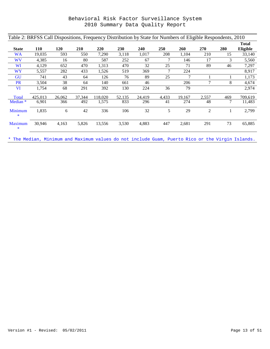| Table 2: BRFSS Call Dispositions, Frequency Distribution by State for Numbers of Eligible Respondents, 2010 |            |        |        |         |            |        |       |        |                |     |              |
|-------------------------------------------------------------------------------------------------------------|------------|--------|--------|---------|------------|--------|-------|--------|----------------|-----|--------------|
|                                                                                                             |            |        |        |         |            |        |       |        |                |     | <b>Total</b> |
| <b>State</b>                                                                                                | <b>110</b> | 120    | 210    | 220     | <b>230</b> | 240    | 250   | 260    | 270            | 280 | Eligible     |
| WA                                                                                                          | 19,035     | 593    | 550    | 7,290   | 3,118      | 1,017  | 208   | 1,104  | 210            | 15  | 33,140       |
| <b>WV</b>                                                                                                   | 4,385      | 16     | 80     | 587     | 252        | 67     | 7     | 146    | 17             | 3   | 5,560        |
| WI                                                                                                          | 4,129      | 652    | 470    | 1,313   | 470        | 32     | 25    | 71     | 89             | 46  | 7,297        |
| WY                                                                                                          | 5,557      | 282    | 433    | 1,526   | 519        | 369    | 7     | 224    |                |     | 8,917        |
| GU                                                                                                          | 741        | 43     | 64     | 126     | 76         | 89     | 25    | 7      |                |     | 1,173        |
| <b>PR</b>                                                                                                   | 3,504      | 38     | 64     | 140     | 661        | 46     |       | 206    | 7              | 8   | 4,674        |
| <b>VI</b>                                                                                                   | 1,754      | 68     | 291    | 392     | 130        | 224    | 36    | 79     |                |     | 2,974        |
| Total                                                                                                       | 425,013    | 26,062 | 37.344 | 118.020 | 52.135     | 24.419 | 4,433 | 19.167 | 2,557          | 469 | 709,619      |
| Median <sup>*</sup>                                                                                         | 6,901      | 366    | 492    | 1,575   | 833        | 296    | 41    | 274    | 48             | 7   | 11,483       |
| Minimum<br>$\ast$                                                                                           | 1,835      | 6      | 42     | 336     | 106        | 32     | 5     | 29     | $\mathfrak{2}$ |     | 2,799        |
| <b>Maximum</b><br>$\ast$                                                                                    | 30,946     | 4,163  | 5,826  | 13,556  | 3,530      | 4,883  | 447   | 2,681  | 291            | 73  | 65,885       |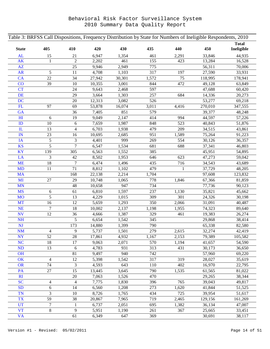| Table 3: BRFSS Call Dispositions, Frequency Distribution by State for Numbers of Ineligible Respondents, 2010 |                  |                         |        |        |       |              |         |              |  |  |  |
|---------------------------------------------------------------------------------------------------------------|------------------|-------------------------|--------|--------|-------|--------------|---------|--------------|--|--|--|
|                                                                                                               |                  |                         |        |        |       |              |         | <b>Total</b> |  |  |  |
| <b>State</b>                                                                                                  | 405              | 410                     | 420    | 430    | 435   | 440          | 450     | Ineligible   |  |  |  |
| <b>AL</b>                                                                                                     | 15               | 21                      | 6,947  | 1,354  | 461   | 2,291        | 33,846  | 44,935       |  |  |  |
| <b>AK</b>                                                                                                     | 1                | $\overline{c}$          | 2,202  | 461    | 155   | 423          | 13,284  | 16,528       |  |  |  |
| $\mathbf{A}\mathbf{Z}$                                                                                        |                  | 25                      | 9,946  | 2,949  | 775   |              | 56,311  | 70,006       |  |  |  |
| <b>AR</b>                                                                                                     | 5                | 11                      | 4,708  | 1,103  | 317   | 197          | 27,590  | 33,931       |  |  |  |
| <b>CA</b>                                                                                                     | 22               | 34                      | 27,942 | 30,301 | 1,572 | 75           | 118,995 | 178,941      |  |  |  |
| CO                                                                                                            | 39               | 10                      | 10,355 | 3,001  | 844   | 472          | 49,128  | 63,849       |  |  |  |
| <b>CT</b>                                                                                                     |                  | 24                      | 9,643  | 2,468  | 597   |              | 47,688  | 60,420       |  |  |  |
| DE                                                                                                            |                  | 29                      | 3,664  | 1,303  | 257   | 684          | 14,336  | 20,273       |  |  |  |
| <b>DC</b>                                                                                                     |                  | $20\,$                  | 12,313 | 3,082  | 526   |              | 53,277  | 69,218       |  |  |  |
| FL                                                                                                            | 97               | 69                      | 53,878 | 16,074 | 3,011 | 4,416        | 270,010 | 347,555      |  |  |  |
| GA                                                                                                            |                  | 36                      | 7,405  | 851    | 579   |              | 39,377  | 48,248       |  |  |  |
| H1                                                                                                            | 6                | 19                      | 9,049  | 2,147  | 414   | 994          | 44,597  | 57,226       |  |  |  |
| ID                                                                                                            | 10               | 6                       | 7,659  | 1,987  | 848   | 523          | 40,843  | 51,876       |  |  |  |
| ${\rm I\!L}$                                                                                                  | 13               | 4                       | 6,703  | 1,938  | 479   | 209          | 34,515  | 43,861       |  |  |  |
| $\mathbf{IN}$                                                                                                 | 23               | 16                      | 10,695 | 2,685  | 951   | 1,589        | 75,264  | 91,223       |  |  |  |
| IA                                                                                                            | $\sqrt{5}$       | 3                       | 4,401  | 999    | 269   | 554          | 30,126  | 36,357       |  |  |  |
| <b>KS</b>                                                                                                     | 5                | 7                       | 6,547  | 1,534  | 681   | 688          | 37,341  | 46,803       |  |  |  |
| <b>KY</b>                                                                                                     | 139              | 305                     | 6,563  | 1,552  | 385   |              | 45,951  | 54,895       |  |  |  |
| LA                                                                                                            | 3                | 42                      | 8,502  | 1,953  | 646   | 623          | 47,273  | 59,042       |  |  |  |
| <b>ME</b>                                                                                                     | 18               | $\tau$                  | 6,474  | 1,496  | 435   | 716          | 34,543  | 43,689       |  |  |  |
| <b>MD</b>                                                                                                     | 11               | $71\,$                  | 8,812  | 1,102  | 479   | $\mathbf{1}$ | 37,729  | 48,205       |  |  |  |
| <b>MA</b>                                                                                                     |                  | 168                     | 22,138 | 2,214  | 1,704 |              | 97,608  | 123,832      |  |  |  |
| MI                                                                                                            | $27\,$           | 29                      | 10,748 | 1,065  | 778   | 1,846        | 67,366  | 81,859       |  |  |  |
| <b>MN</b>                                                                                                     |                  | 48                      | 10,658 | 947    | 734   |              | 77,736  | 90,123       |  |  |  |
| <b>MS</b>                                                                                                     | $\boldsymbol{6}$ | 61                      | 6,810  | 1,597  | 237   | 1,130        | 35,821  | 45,662       |  |  |  |
| <b>MO</b>                                                                                                     | 5                | 13                      | 4,229  | 1,015  | 309   | 301          | 24,326  | 30,198       |  |  |  |
| <b>MT</b>                                                                                                     | 16               | 12                      | 5,659  | 1,293  | 350   | 2,066        | 31,091  | 40,487       |  |  |  |
| NE                                                                                                            | $\tau$           | 18                      | 10,002 | 2,137  | 1,198 | 1,955        | 74,323  | 89,640       |  |  |  |
| <b>NV</b>                                                                                                     | 12               | 36                      | 4,666  | 1,387  | 329   | 461          | 19,383  | 26,274       |  |  |  |
| <b>NH</b>                                                                                                     |                  | 5                       | 6,654  | 1,542  | 345   |              | 29,868  | 38,414       |  |  |  |
| <b>NJ</b>                                                                                                     |                  | 173                     | 14,880 | 1,399  | 790   |              | 65,338  | 82,580       |  |  |  |
| $\mathbf{NM}$                                                                                                 | $\overline{4}$   | 9                       | 5,737  | 1,501  | 279   | 2,615        | 32,274  | 42,419       |  |  |  |
| <b>NY</b>                                                                                                     | 52               | 28                      | 17,861 | 4,932  | 1,167 | 2,153        | 79,389  | 105,582      |  |  |  |
| <b>NC</b>                                                                                                     | 18               | 17                      | 9,063  | 2,071  | 570   | 1,194        | 41,657  | 54,590       |  |  |  |
| ND                                                                                                            | 13               | 6                       | 4,783  | 931    | 313   | 431          | 30,173  | 36,650       |  |  |  |
| OH                                                                                                            |                  | 81                      | 9,497  | 940    | 742   |              | 57,960  | 69,220       |  |  |  |
| OK                                                                                                            | $\overline{4}$   | 12                      | 5,398  | 1,542  | 317   | 319          | 28,027  | 35,619       |  |  |  |
| <b>OR</b>                                                                                                     | 74               | 3                       | 4,593  | 643    | 110   | 402          | 16,970  | 22,795       |  |  |  |
| PA                                                                                                            | 27               | 15                      | 13,445 | 3,645  | 790   | 1,535        | 61,565  | 81,022       |  |  |  |
| RI                                                                                                            |                  | $20\,$                  | 7,063  | 1,526  | 470   |              | 29,265  | 38,344       |  |  |  |
| <b>SC</b>                                                                                                     | $\overline{4}$   | $\overline{\mathbf{4}}$ | 7,775  | 1,830  | 396   | 765          | 39,043  | 49,817       |  |  |  |
| <b>SD</b>                                                                                                     | $\sqrt{6}$       | 14                      | 6,560  | 1,208  | 273   | 1,620        | 41,844  | 51,525       |  |  |  |
| <b>TN</b>                                                                                                     | 3                | 10                      | 8,726  | 1,765  | 434   | 725          | 39,954  | 51,617       |  |  |  |
| <b>TX</b>                                                                                                     | 59               | 38                      | 20,867 | 7,965  | 719   | 2,465        | 129,156 | 161,269      |  |  |  |
| <b>UT</b>                                                                                                     | $\overline{7}$   | $\mathbf{1}$            | 6,737  | 2,051  | 695   | 1,382        | 36,134  | 47,007       |  |  |  |
| <b>VT</b>                                                                                                     | $8\,$            | 9                       | 5,951  | 1,190  | 261   | 367          | 25,665  | 33,451       |  |  |  |
| <b>VA</b>                                                                                                     |                  | 61                      | 6,349  | 647    | 369   |              | 30,691  | 38,117       |  |  |  |
|                                                                                                               |                  |                         |        |        |       |              |         |              |  |  |  |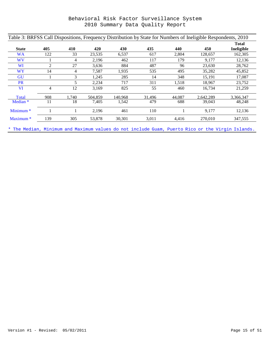| Table 3: BRFSS Call Dispositions, Frequency Distribution by State for Numbers of Ineligible Respondents, 2010 |     |       |         |         |        |        |           |                            |  |  |  |
|---------------------------------------------------------------------------------------------------------------|-----|-------|---------|---------|--------|--------|-----------|----------------------------|--|--|--|
| <b>State</b>                                                                                                  | 405 | 410   | 420     | 430     | 435    | 440    | 450       | <b>Total</b><br>Ineligible |  |  |  |
| <b>WA</b>                                                                                                     | 122 | 33    | 23,535  | 6,537   | 617    | 2,804  | 128,657   | 162,305                    |  |  |  |
| <b>WV</b>                                                                                                     |     | 4     | 2,196   | 462     | 117    | 179    | 9,177     | 12,136                     |  |  |  |
| WI                                                                                                            | 2   | 27    | 3,636   | 884     | 487    | 96     | 23,630    | 28,762                     |  |  |  |
| <b>WY</b>                                                                                                     | 14  | 4     | 7,587   | 1,935   | 535    | 495    | 35,282    | 45,852                     |  |  |  |
| <b>GU</b>                                                                                                     |     | 3     | 1,245   | 285     | 14     | 348    | 15,191    | 17,087                     |  |  |  |
| <b>PR</b>                                                                                                     |     | 5     | 2,234   | 717     | 311    | 1,518  | 18,967    | 23,752                     |  |  |  |
| VI                                                                                                            | 4   | 12    | 3,169   | 825     | 55     | 460    | 16,734    | 21,259                     |  |  |  |
| Total                                                                                                         | 908 | 1.740 | 504.859 | 140.968 | 31.496 | 44.087 | 2.642.289 | 3.366.347                  |  |  |  |
| Median <sup>*</sup>                                                                                           | 11  | 18    | 7,405   | 1,542   | 479    | 688    | 39,043    | 48,248                     |  |  |  |
| Minimum <sup>*</sup>                                                                                          |     | 1     | 2,196   | 461     | 110    |        | 9,177     | 12,136                     |  |  |  |
| Maximum <sup>*</sup>                                                                                          | 139 | 305   | 53,878  | 30,301  | 3,011  | 4,416  | 270,010   | 347,555                    |  |  |  |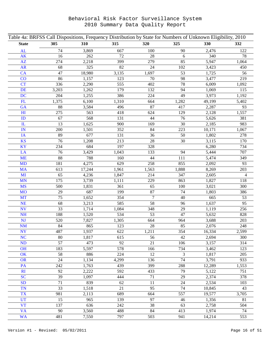| Table 4a: BRFSS Call Dispositions, Frequency Distribution by State for Numbers of Unknown Eligibility, 2010 |       |        |       |         |                |        |                |  |
|-------------------------------------------------------------------------------------------------------------|-------|--------|-------|---------|----------------|--------|----------------|--|
| <b>State</b>                                                                                                | 305   | 310    | 315   | 320     | 325            | 330    | 332            |  |
| <b>AL</b>                                                                                                   | 74    | 3,869  | 667   | $100\,$ | 90             | 2,476  | 122            |  |
| <b>AK</b>                                                                                                   | 16    | 262    | 72    | 28      | 6              | 340    | 78             |  |
| AZ                                                                                                          | 274   | 2,218  | 399   | 279     | 85             | 5,947  | 1,064          |  |
| AR                                                                                                          | 68    | 325    | 82    | 24      | 102            | 3,423  | 450            |  |
| CA                                                                                                          | 47    | 18,980 | 3,135 | 1,697   | 53             | 1,725  | 56             |  |
| CO                                                                                                          | 86    | 1,157  | 123   | 70      | 98             | 3,477  | 219            |  |
| <b>CT</b>                                                                                                   | 336   | 2,290  | 555   | 402     | $78\,$         | 6,009  | 1,092          |  |
| <b>DE</b>                                                                                                   | 3,203 | 1,262  | 179   | 132     | 94             | 1,069  | 115            |  |
| DC                                                                                                          | 204   | 1,255  | 386   | 224     | 49             | 3,973  | 1,192          |  |
| FL                                                                                                          | 1,375 | 6,100  | 1,310 | 664     | 1,282          | 49,199 | 5,402          |  |
| GA                                                                                                          | 88    | 3,584  | 496   | 87      | 417            | 2,287  | 93             |  |
| H <sub>I</sub>                                                                                              | 275   | 563    | 418   | 624     | 129            | 2,128  | 1,557          |  |
| ID                                                                                                          | 67    | 568    | 131   | 44      | 76             | 5,626  | 381            |  |
| $\mathbf{I}$                                                                                                | 13    | 1,625  | 900   | 169     | 30             | 2,185  | 983            |  |
| $\mathbb{I}$ N                                                                                              | 200   | 1,501  | 352   | 84      | 223            | 10,171 | 1,067          |  |
| IA                                                                                                          | 89    | 677    | 131   | 36      | 50             | 1,802  | 278            |  |
| <b>KS</b>                                                                                                   | 76    | 1,208  | 213   | 28      | 30             | 3,115  | 170            |  |
| <b>KY</b>                                                                                                   | 234   | 684    | 197   | 328     |                | 6,280  | 734            |  |
| LA                                                                                                          | 76    | 3,429  | 1,043 | 133     | 94             | 5,444  | 707            |  |
| <b>ME</b>                                                                                                   | 88    | 788    | 160   | 44      | 111            | 5,474  | 349            |  |
| <b>MD</b>                                                                                                   | 181   | 4,275  | 629   | 258     | 855            | 2,092  | 93             |  |
| <b>MA</b>                                                                                                   | 613   | 17,244 | 1,961 | 1,563   | 1,888          | 8,269  | 203            |  |
| MI                                                                                                          | 65    | 4,236  | 1,847 | 214     | 347            | 2,605  | $\overline{4}$ |  |
| <b>MN</b>                                                                                                   | 175   | 3,739  | 1,111 | 229     | 863            | 1,827  | 118            |  |
| <b>MS</b>                                                                                                   | 500   | 1,831  | 361   | 65      | 100            | 3,021  | 300            |  |
| <b>MO</b>                                                                                                   | 29    | 687    | 199   | 87      | 74             | 1,803  | 386            |  |
| <b>MT</b>                                                                                                   | 75    | 1,652  | 354   | $\tau$  | 40             | 665    | 53             |  |
| <b>NE</b>                                                                                                   | 68    | 3,213  | 585   | 58      | 96             | 1,637  | 95             |  |
| $\mathbf{N}\mathbf{V}$                                                                                      | 33    | 1,714  | 1,084 | 348     | 29             | 1,119  | 256            |  |
| <b>NH</b>                                                                                                   | 188   | 1,520  | 534   | 53      | 47             | 5,632  | 828            |  |
| NJ                                                                                                          | 520   | 7,827  | 1,305 | 664     | 964            | 3,688  | 203            |  |
| <b>NM</b>                                                                                                   | 84    | 865    | 123   | 28      | 85             | 2,076  | 248            |  |
| <b>NY</b>                                                                                                   | 487   | 1,937  | 622   | 1,211   | 354            | 16,334 | 2,599          |  |
| <b>NC</b>                                                                                                   | 80    | 1,817  | 615   | 56      | 42             | 2,694  | 300            |  |
| <b>ND</b>                                                                                                   | 57    | 473    | 92    | 21      | 106            | 3,157  | 314            |  |
| <b>OH</b>                                                                                                   | 183   | 5,597  | 578   | 166     | 734            | 3,462  | 123            |  |
| OK                                                                                                          | 58    | 886    | 224   | 12      | $\mathfrak{Z}$ | 1,817  | 205            |  |
| <b>OR</b>                                                                                                   | 24    | 1,134  | 4,299 | 136     | 74             | 3,791  | 933            |  |
| PA                                                                                                          | 242   | 1,763  | 439   | 399     | 288            | 12,289 | 1,553          |  |
| R <sub>I</sub>                                                                                              | 92    | 2,222  | 592   | 433     | 79             | 5,122  | 751            |  |
| <b>SC</b>                                                                                                   | 39    | 1,097  | 444   | 71      | 29             | 2,374  | 378            |  |
| <b>SD</b>                                                                                                   | 71    | 839    | 62    | 11      | 24             | 2,534  | 103            |  |
| <b>TN</b>                                                                                                   | 33    | 1,518  | 21    | 95      | 74             | 10,845 | 43             |  |
| <b>TX</b>                                                                                                   | 981   | 2,113  | 689   | 664     | 557            | 19,577 | 3,705          |  |
| <b>UT</b>                                                                                                   | 15    | 965    | 139   | 97      | 46             | 1,356  | 81             |  |
| <b>VT</b>                                                                                                   | 137   | 636    | 242   | 38      | 63             | 2,758  | 504            |  |
| <b>VA</b>                                                                                                   | 90    | 3,560  | 488   | 84      | 413            | 1,974  | 74             |  |
| <b>WA</b>                                                                                                   | 481   | 7,550  | 797   | 503     | 941            | 14,214 | 553            |  |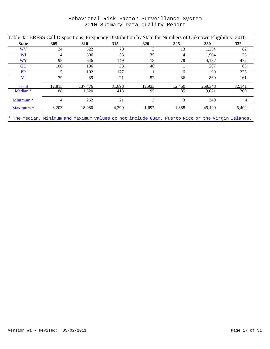| Table 4a: BRFSS Call Dispositions, Frequency Distribution by State for Numbers of Unknown Eligibility, 2010 |        |            |        |        |        |         |            |  |  |  |
|-------------------------------------------------------------------------------------------------------------|--------|------------|--------|--------|--------|---------|------------|--|--|--|
| <b>State</b>                                                                                                | 305    | <b>310</b> | 315    | 320    | 325    | 330     | <b>332</b> |  |  |  |
| WV                                                                                                          | 24     | 522        | 70     | 3      | 13     | 1,254   | 82         |  |  |  |
| WI                                                                                                          | 4      | 806        | 53     | 35     | 4      | 1.904   | 23         |  |  |  |
| WY                                                                                                          | 95     | 646        | 149    | 18     | 78     | 4,137   | 472        |  |  |  |
| <b>GU</b>                                                                                                   | 106    | 106        | 38     | 46     |        | 207     | 63         |  |  |  |
| <b>PR</b>                                                                                                   | 15     | 102        | 177    |        | 6      | 99      | 225        |  |  |  |
| <b>VI</b>                                                                                                   | 79     | 39         | 21     | 52     | 36     | 860     | 161        |  |  |  |
| Total                                                                                                       | 12.813 | 137.476    | 31.893 | 12.923 | 12.450 | 269.343 | 32.141     |  |  |  |
| Median <sup>*</sup>                                                                                         | 88     | 1,520      | 418    | 95     | 85     | 3.021   | 300        |  |  |  |
| Minimum <sup>*</sup>                                                                                        | 4      | 262        | 21     | 3      | 3      | 340     | 4          |  |  |  |
| Maximum <sup>*</sup>                                                                                        | 3,203  | 18,980     | 4,299  | 1,697  | 1,888  | 49,199  | 5,402      |  |  |  |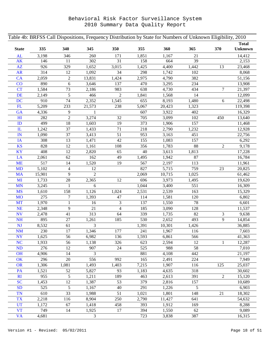| <b>State</b>           | 335    | 340            | 345            | 350                 | 355   | 360                | 365       | 370            | <b>Total</b><br><b>Unknown</b> |
|------------------------|--------|----------------|----------------|---------------------|-------|--------------------|-----------|----------------|--------------------------------|
| AL                     | 3,198  | 346            | 260            | 171                 | 1,851 | 1,167              | 21        |                | 14,412                         |
| AK                     | 146    | 11             | 302            | 31                  | 158   | 664                | 39        |                | 2,153                          |
| AZ                     | 926    | 329            | 1,652          | 3,015               | 1,425 | 4,400              | 1,442     | 13             | 23,468                         |
| AR                     | 314    | 12             | 1,092          | 34                  | 298   | 1,742              | 102       |                | 8,068                          |
| CA                     | 2,059  | $\overline{c}$ | 13,831         | 1,424               | 2,975 | 4,790              | 382       |                | 51,156                         |
| CO                     | 890    | 6              | 3,646          | 137                 | 470   | 3,295              | 234       |                | 13,908                         |
| <b>CT</b>              | 1,584  | 73             | 2,186          | 983                 | 638   | 4,730              | 434       | $\overline{7}$ | 21,397                         |
| <b>DE</b>              | 2,149  | 5              | 466            | $\overline{2}$      | 1,841 | 1,568              | 14        |                | 12,099                         |
| <b>DC</b>              | 910    | 74             | 2,352          | 1,545               | 655   | 8,193              | 1,480     | 6              | 22,498                         |
| FL                     | 5,209  | 233            | 21,573         | 238                 | 5,067 | 20,423             | 1,323     |                | 119,398                        |
| GA                     | 4,336  | 9              | $\mathbf{1}$   |                     | 607   | 3,922              | 402       |                | 16,329                         |
| H1                     | 282    | $\overline{2}$ | 3,274          | 32                  | 705   | 3,099              | 102       | 450            | 13,640                         |
| ID                     | 499    | 18             | 1,603          | 19                  | 373   | 1,906              | 157       |                | 11,468                         |
| $\mathbf{I}$           | 1,242  | 37             | 1,433          | 71                  | 218   | 2,790              | 1,232     |                | 12,928                         |
| IN                     | 1,090  | 37             | 3,413          | 51                  | 953   | 3,163              | 451       |                | 22,756                         |
| IA                     | 308    | 13             | 1,471          | 42                  | 155   | 1,083              | 157       |                | 6,292                          |
| <b>KS</b>              | 828    | 12             | 1,161          | 108                 | 356   | 1,783              | 88        | $\overline{c}$ | 9,178                          |
| KY                     | 408    | 12             | 2,820          | 65                  | 40    | 3,613              | 1,813     |                | 17,228                         |
| LA                     | 2,061  | 62             | 162            | 49                  | 1,495 | 1,942              | 87        |                | 16,784                         |
| <b>ME</b>              | 517    | 14             | 1,520          | 19                  | 567   | 2,197              | 113       |                | 11,961                         |
| <b>MD</b>              | 5,102  | $\overline{4}$ | 12             |                     | 827   | 5,715              | 759       | 23             | 20,825                         |
| <b>MA</b>              | 15,901 | 9              | $\overline{2}$ |                     | 2,069 | 10,715             | 1,025     |                | 61,462                         |
| MI                     | 1,733  | 28             | 2,365          | 12                  | 696   | 3,973              | 1,495     |                |                                |
| MN                     | 3,245  | 1              | 6              |                     | 1,044 | 3,400              | 551       |                | 19,620                         |
| <b>MS</b>              | 1,610  |                |                |                     |       | 2,539              | 163       |                | 16,309                         |
|                        |        | 158            | 1,126          | 1,024               | 2,531 |                    |           |                | 15,329                         |
| <b>MO</b><br><b>MT</b> | 275    | $\tau$         | 1,393          | 47                  | 114   | 1,581              | 120<br>78 |                | 6,802                          |
|                        | 1,970  | 1              | 16<br>21       | 3<br>$\overline{4}$ | 137   | 1,550              |           |                | 6,601                          |
| NE                     | 2,348  | 9              |                |                     | 185   | 3,090              | 128       |                | 11,537                         |
| <b>NV</b>              | 2,478  | 41             | 313            | 64                  | 339   | 1,735              | 82        | 3              | 9,638                          |
| <b>NH</b>              | 895    | $27\,$         | 1,261          | 185                 | 530   | 2,652              | 493       | 9              | 14,854                         |
| <b>NJ</b>              | 8,532  | 61             | 3              |                     | 1,391 | 10,301             | 1,426     |                | 36,885                         |
| <b>NM</b>              | 230    | 17             | 1,346          | 177                 | 241   | 1,967              | 116       |                | 7,603                          |
| <b>NY</b>              | 1,625  | 56             | 6,982          | 136                 | 1,593 | 6,861              | 566       |                | 41,363                         |
| <b>NC</b>              | 1,933  | 56             | 1,138          | 326                 | 623   | 2,594              | 12        | 1              | 12,287                         |
| <b>ND</b>              | 276    | 12             | 907            | 24                  | 525   | 988                | 58        |                | 7,010                          |
| <b>OH</b>              | 4,906  | 14             | 3              |                     | 881   | 4,108              | 442       |                | 21,197                         |
| OK                     | 296    | 20             | 556            | 992                 | 165   | 2,491              | 224       |                | 7,949                          |
| <b>OR</b>              | 1,306  | 1,081          | 1,493          | 1,403               | 7,215 | 1,907              | 116       | 125            | 25,037                         |
| PA                     | 1,521  | 52             | 5,827          | 93                  | 1,183 | 4,635              | 318       |                | 30,602                         |
| R <sub>I</sub>         | 955    | 5              | 1,211          | 189                 | 463   | 2,613              | 391       | $\sqrt{2}$     | 15,120                         |
| <b>SC</b>              | 1,453  | 12             | 1,387          | 53                  | 379   | 2,816              | 157       |                | 10,689                         |
| <b>SD</b>              | 525    | 5              | 1,167          | 40                  | 291   | 1,226              | 5         |                | 6,903                          |
| <b>TN</b>              | 610    | 33             | 1,988          | 51                  | 1,021 | 1,801              | 148       | $21\,$         | 18,302                         |
| <b>TX</b>              | 2,218  | 116            | 8,904          | 250                 | 2,790 | 11,427             | 641       |                | 54,632                         |
| <b>UT</b>              | 1,172  | 67             | 1,418          | 458                 | 393   | 1,912              | 169       |                | 8,288                          |
| <b>VT</b>              | 749    | 14             | 1,925          | 17                  | 394   | $\overline{1,550}$ | 62        |                | 9,089                          |
| <b>VA</b>              | 4,681  |                | 3              |                     | 723   | 3,838              | 387       |                | 16,315                         |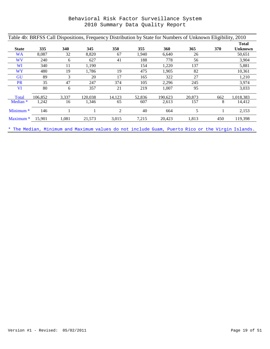| Table 4b: BRFSS Call Dispositions, Frequency Distribution by State for Numbers of Unknown Eligibility, 2010 |  |  |
|-------------------------------------------------------------------------------------------------------------|--|--|
|                                                                                                             |  |  |

|                      |         |       |         |        |        |         |        |     | <b>Total</b>   |
|----------------------|---------|-------|---------|--------|--------|---------|--------|-----|----------------|
| <b>State</b>         | 335     | 340   | 345     | 350    | 355    | 360     | 365    | 370 | <b>Unknown</b> |
| WA                   | 8,087   | 32    | 8,820   | 67     | 1,940  | 6.640   | 26     |     | 50,651         |
| <b>WV</b>            | 240     | 6     | 627     | 41     | 188    | 778     | 56     |     | 3,904          |
| <b>WI</b>            | 340     | 11    | 1,190   |        | 154    | 1,220   | 137    |     | 5,881          |
| WY                   | 480     | 19    | 1,786   | 19     | 475    | 1,905   | 82     |     | 10,361         |
| <b>GU</b>            | 89      | 3     | 20      | 17     | 165    | 322     | 27     |     | 1,210          |
| <b>PR</b>            | 35      | 47    | 247     | 374    | 105    | 2,296   | 245    |     | 3,974          |
| <b>VI</b>            | 80      | 6     | 357     | 21     | 219    | 1,007   | 95     |     | 3,033          |
| Total                | 106,852 | 3,337 | 120.038 | 14,123 | 52,836 | 190,623 | 20,873 | 662 | 1,018,383      |
| Median <sup>*</sup>  | 1,242   | 16    | 1,346   | 65     | 607    | 2,613   | 157    | 8   | 14,412         |
| Minimum $*$          | 146     |       |         | 2      | 40     | 664     | 5      |     | 2,153          |
| Maximum <sup>*</sup> | 15,901  | 1,081 | 21,573  | 3,015  | 7,215  | 20,423  | 1,813  | 450 | 119,398        |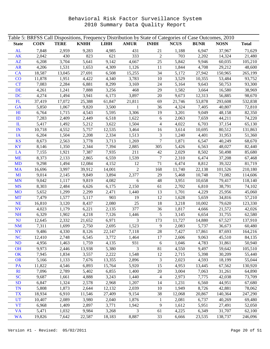| Table 5: BRFSS Call Dispositions, Frequency Distribution by State of Categories of Case Outcomes, 2010 |             |             |             |             |                |                          |             |             |             |              |
|--------------------------------------------------------------------------------------------------------|-------------|-------------|-------------|-------------|----------------|--------------------------|-------------|-------------|-------------|--------------|
| <b>State</b>                                                                                           | <b>COIN</b> | <b>TERE</b> | <b>KNHH</b> | <b>LIHH</b> | <b>AMUR</b>    | <b>INHH</b>              | <b>NCUS</b> | <b>BUNR</b> | <b>NOSN</b> | <b>Total</b> |
| AL                                                                                                     | 7,848       | 2,959       | 9,283       | 4,985       | 431            | 21                       | 1,188       | 6,947       | 37,967      | 71,629       |
| <b>AK</b>                                                                                              | 2,042       | 430         | 823         | 621         | 333            | $\mathfrak{2}$           | 703         | 2,202       | 14,324      | 21,480       |
| AZ                                                                                                     | 6,208       | 3,704       | 5,641       | 9,142       | 4,667          | 25                       | 5,842       | 9,946       | 60,035      | 105,210      |
| <b>AR</b>                                                                                              | 4,206       | 1,531       | 1,653       | 4,309       | 1,126          | 11                       | 1,844       | 4,708       | 29,212      | 48,600       |
| CA                                                                                                     | 18,587      | 13,045      | 27,691      | 6,508       | 15,255         | 34                       | 5,172       | 27,942      | 150,965     | 265,199      |
| CO                                                                                                     | 11,878      | 1,951       | 4,422       | 4,340       | 3,783          | 10                       | 3,529       | 10,355      | 53,484      | 93,752       |
| <b>CT</b>                                                                                              | 7,083       | 2,284       | 6,881       | 8,299       | 3,169          | 24                       | 5,164       | 9,643       | 50,753      | 93,300       |
| DE                                                                                                     | 4,261       | 1,241       | 7,888       | 3,256       | 468            | 29                       | 1,582       | 3,664       | 16,580      | 38,969       |
| <b>DC</b>                                                                                              | 4,274       | 1,494       | 3,941       | 6,173       | 3,897          | 20                       | 9,673       | 12,313      | 56,885      | 98,670       |
| FL                                                                                                     | 37,419      | 17,072      | 25,388      | 61,847      | 21,811         | 69                       | 21,746      | 53,878      | 293,608     | 532,838      |
| GA                                                                                                     | 5,850       | 1,067       | 9,820       | 3,500       | $\mathbf{1}$   | 36                       | 4,324       | 7,405       | 40,807      | 72,810       |
| H1                                                                                                     | 6,764       | 1,715       | 4,543       | 5,595       | 3,306          | 19                       | 3,201       | 9,049       | 48,158      | 82,350       |
| ID                                                                                                     | 7,283       | 2,409       | 2,449       | 6,518       | 1,622          | 6                        | 2,063       | 7,659       | 44,211      | 74,220       |
| $\mathbf{L}$                                                                                           | 5,417       | 1,492       | 5,212       | 3,622       | 1,504          | $\overline{\mathcal{L}}$ | 4,022       | 6,703       | 37,154      | 65,130       |
| IN                                                                                                     | 10,718      | 4,552       | 5,757       | 12,535      | 3,464          | 16                       | 3,614       | 10,695      | 80,512      | 131,863      |
| IA                                                                                                     | 6,204       | 1,504       | 2,208       | 2,334       | 1,513          | 3                        | 1,240       | 4,401       | 31,953      | 51,360       |
| <b>KS</b>                                                                                              | 8,673       | 2,563       | 3,778       | 3,713       | 1,269          | 7                        | 1,871       | 6,547       | 40,249      | 68,670       |
| <b>KY</b>                                                                                              | 8,146       | 1,350       | 2,344       | 7,394       | 2,885          | 305                      | 5,426       | 6,563       | 48,027      | 82,440       |
| LA                                                                                                     | 7,155       | 1,921       | 7,387       | 7,935       | 211            | 42                       | 2,029       | 8,502       | 50,498      | 85,680       |
| <b>ME</b>                                                                                              | 8,373       | 2,133       | 2,865       | 6,559       | 1,539          | 7                        | 2,310       | 6,474       | 37,208      | 67,468       |
| <b>MD</b>                                                                                              | 9,298       | 1,494       | 12,084      | 4,152       | 12             | 71                       | 6,474       | 8,812       | 39,322      | 81,719       |
| <b>MA</b>                                                                                              | 16,696      | 3,997       | 39,912      | 14,001      | 2              | 168                      | 11,740      | 22,138      | 101,526     | 210,180      |
| MI                                                                                                     | 9,014       | 2,145       | 9,849       | 3,894       | 2,377          | 29                       | 5,468       | 10,748      | 71,082      | 114,606      |
| <b>MN</b>                                                                                              | 9,042       | 1,117       | 9,819       | 4,082       | 6              | 48                       | 3,951       | 10,658      | 79,417      | 118,140      |
| <b>MS</b>                                                                                              | 8,303       | 2,484       | 6,626       | 6,175       | 2,150          | 61                       | 2,702       | 6,810       | 38,791      | 74,102       |
| <b>MO</b>                                                                                              | 5,652       | 1,299       | 2,299       | 2,471       | 1,440          | 13                       | 1,701       | 4,229       | 25,956      | 45,060       |
| <b>MT</b>                                                                                              | 7,479       | 1,577       | 5,117       | 903         | 19             | 12                       | 1,628       | 5,659       | 34,816      | 57,210       |
| <b>NE</b>                                                                                              | 16,810      | 3,120       | 8,437       | 2,080       | 25             | 18                       | 3,218       | 10,002      | 79,620      | 123,330      |
| <b>NV</b>                                                                                              | 4,023       | 1,179       | 6,221       | 2,135       | 377            | 36                       | 1,817       | 4,666       | 21,572      | 42,026       |
| <b>NH</b>                                                                                              | 6,329       | 1,902       | 4,218       | 7,126       | 1,446          | 5                        | 3,145       | 6,654       | 31,755      | 62,580       |
| <b>NJ</b>                                                                                              | 12,645      | 2,332       | 21,652      | 6,971       | 3              | 173                      | 11,727      | 14,880      | 67,527      | 137,910      |
| NM                                                                                                     | 7,311       | 1,699       | 2,750       | 2,695       | 1,523          | 9                        | 2,083       | 5,737       | 36,673      | 60,480       |
| <b>NY</b>                                                                                              | 9,486       | 4,330       | 8,126       | 22,147      | 7,118          | $28\,$                   | 7,427       | 17,861      | 87,693      | 164,216      |
| <b>NC</b>                                                                                              | 12,410      | 2,748       | 6,545       | 3,772       | 1,464          | 17                       | 2,606       | 9,063       | 45,510      | 84,135       |
| ND                                                                                                     | 4,956       | 1,463       | 1,759       | 4,135       | 931            | 6                        | 1,046       | 4,783       | 31,861      | 50,940       |
| <b>OH</b>                                                                                              | 9,973       | 2,446       | 13,938      | 5,380       | 3              | 81                       | 4,550       | 9,497       | 59,642      | 105,510      |
| OK                                                                                                     | 7,945       | 1,834       | 3,557       | 2,222       | 1,548          | 12                       | 2,715       | 5,398       | 30,209      | 55,440       |
| <b>OR</b>                                                                                              | 5,166       | 1,133       | 7,676       | 13,355      | 2,896          | 3                        | 2,023       | 4,593       | 18,199      | 55,044       |
| PA                                                                                                     | 11,822      | 4,546       | 6,893       | 15,764      | 5,920          | 15                       | 4,953       | 13,445      | 67,562      | 130,920      |
| RI                                                                                                     | 7,096       | 2,789       | 5,402       | 6,855       | 1,400          | 20                       | 3,004       | 7,063       | 31,261      | 64,890       |
| <b>SC</b>                                                                                              | 9,687       | 1,661       | 4,888       | 3,243       | 1,440          | $\overline{\mathcal{L}}$ | 2,973       | 7,775       | 42,038      | 73,709       |
| <b>SD</b>                                                                                              | 6,847       | 1,324       | 2,578       | 2,968       | 1,207          | 14                       | 1,231       | 6,560       | 44,951      | 67,680       |
| <b>TN</b>                                                                                              | 5,808       | 1,873       | 2,644       | 12,132      | 2,039          | 10                       | 1,949       | 8,726       | 42,881      | 78,062       |
| <b>TX</b>                                                                                              | 18,934      | 6,910       | 11,546      | 27,409      | 9,154          | 38                       | 12,068      | 20,867      | 140,364     | 247,290      |
| <b>UT</b>                                                                                              | 10,407      | 2,089       | 3,980       | 2,040       | 1,876          | 1                        | 2,081       | 6,737       | 40,269      | 69,480       |
| <b>VT</b>                                                                                              | 6,968       | 1,409       | 2,897       | 3,771       | 1,942          | 9                        | 1,612       | 5,951       | 27,491      | 52,050       |
| <b>VA</b>                                                                                              | 5,471       | 1,032       | 9,984       | 3,268       | $\mathfrak{Z}$ | 61                       | 4,225       | 6,349       | 31,707      | 62,100       |
| <b>WA</b>                                                                                              | 19,826      | 7,642       | 22,587      | 18,183      | 8,887          | 33                       | 6,666       | 23,535      | 138,737     | 246,096      |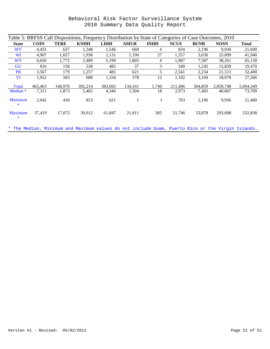| Table 5: BRFSS Call Dispositions, Frequency Distribution by State of Categories of Case Outcomes, 2010 |             |             |             |             |             |             |             |             |             |              |
|--------------------------------------------------------------------------------------------------------|-------------|-------------|-------------|-------------|-------------|-------------|-------------|-------------|-------------|--------------|
| <b>State</b>                                                                                           | <b>COIN</b> | <b>TERE</b> | <b>KNHH</b> | <b>LIHH</b> | <b>AMUR</b> | <b>INHH</b> | <b>NCUS</b> | <b>BUNR</b> | <b>NOSN</b> | <b>Total</b> |
| <b>WV</b>                                                                                              | 4,431       | 637         | 1,348       | 1,546       | 668         | 4           | 834         | 2,196       | 9,936       | 21,600       |
| WI                                                                                                     | 4,907       | 1,657       | 1,936       | 2,131       | 1,190       | 27          | 1,357       | 3,636       | 25,099      | 41,940       |
| <b>WY</b>                                                                                              | 6,026       | 1,772       | 2,489       | 5,199       | 1,805       | 4           | 1,987       | 7,587       | 38,261      | 65,130       |
| <b>GU</b>                                                                                              | 816         | 158         | 538         | 485         | 37          | 3           | 349         | 1,245       | 15,839      | 19,470       |
| <b>PR</b>                                                                                              | 3,567       | 179         | 1,257       | 483         | 621         | 5           | 2,541       | 2,234       | 21,513      | 32,400       |
| <b>VI</b>                                                                                              | 1,922       | 583         | 688         | 1,334       | 378         | 12          | 1,102       | 3,169       | 18,078      | 27,266       |
| <b>Total</b>                                                                                           | 465,463     | 140.976     | 392,214     | 383,692     | 134,161     | 1,740       | 211,496     | 504,859     | 2,859,748   | 5,094,349    |
| Median <sup>*</sup>                                                                                    | 7,311       | 1,873       | 5,402       | 4,340       | 1,504       | 18          | 2,973       | 7,405       | 40,807      | 73,709       |
| Minimum<br>$\ast$                                                                                      | 2,042       | 430         | 823         | 621         |             |             | 703         | 2,196       | 9,936       | 21,480       |
| <b>Maximum</b><br>*                                                                                    | 37.419      | 17,072      | 39,912      | 61,847      | 21,811      | 305         | 21,746      | 53,878      | 293,608     | 532,838      |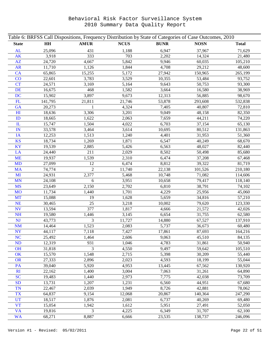| Table 6: BRFSS Call Dispositions, Frequency Distribution by State of Categories of Case Outcomes, 2010 |         |                |             |             |             |              |  |
|--------------------------------------------------------------------------------------------------------|---------|----------------|-------------|-------------|-------------|--------------|--|
| <b>State</b>                                                                                           | H H     | <b>AMUR</b>    | <b>NCUS</b> | <b>BUNR</b> | <b>NOSN</b> | <b>Total</b> |  |
| AL                                                                                                     | 25,096  | 431            | 1,188       | 6,947       | 37,967      | 71,629       |  |
| <b>AK</b>                                                                                              | 3,918   | 333            | 703         | 2,202       | 14,324      | 21,480       |  |
| AZ                                                                                                     | 24,720  | 4,667          | 5,842       | 9,946       | 60,035      | 105,210      |  |
| <b>AR</b>                                                                                              | 11,710  | 1,126          | 1,844       | 4,708       | 29,212      | 48,600       |  |
| <b>CA</b>                                                                                              | 65,865  | 15,255         | 5,172       | 27,942      | 150,965     | 265,199      |  |
| CO                                                                                                     | 22,601  | 3,783          | 3,529       | 10,355      | 53,484      | 93,752       |  |
| <b>CT</b>                                                                                              | 24,571  | 3,169          | 5,164       | 9,643       | 50,753      | 93,300       |  |
| <b>DE</b>                                                                                              | 16,675  | 468            | 1,582       | 3,664       | 16,580      | 38,969       |  |
| <b>DC</b>                                                                                              | 15,902  | 3,897          | 9,673       | 12,313      | 56,885      | 98,670       |  |
| FL                                                                                                     | 141,795 | 21,811         | 21,746      | 53,878      | 293,608     | 532,838      |  |
| GA                                                                                                     | 20,273  | 1              | 4,324       | 7,405       | 40,807      | 72,810       |  |
| H1                                                                                                     | 18,636  | 3,306          | 3,201       | 9,049       | 48,158      | 82,350       |  |
| ID                                                                                                     | 18,665  | 1,622          | 2,063       | 7,659       | 44,211      | 74,220       |  |
| $\mathbf{I}$                                                                                           | 15,747  | 1,504          | 4,022       | 6,703       | 37,154      | 65,130       |  |
| $\mathbb{N}$                                                                                           | 33,578  | 3,464          | 3,614       | 10,695      | 80,512      | 131,863      |  |
| IA                                                                                                     | 12,253  | 1,513          | 1,240       | 4,401       | 31,953      | 51,360       |  |
| <b>KS</b>                                                                                              | 18,734  | 1,269          | 1,871       | 6,547       | 40,249      | 68,670       |  |
| <b>KY</b>                                                                                              | 19,539  | 2,885          | 5,426       | 6,563       | 48,027      | 82,440       |  |
| LA                                                                                                     | 24,440  | 211            | 2,029       | 8,502       | 50,498      | 85,680       |  |
| <b>ME</b>                                                                                              | 19,937  | 1,539          | 2,310       | 6,474       | 37,208      | 67,468       |  |
| <b>MD</b>                                                                                              | 27,099  | 12             | 6,474       | 8,812       | 39,322      | 81,719       |  |
| <b>MA</b>                                                                                              | 74,774  | $\overline{2}$ | 11,740      | 22,138      | 101,526     | 210,180      |  |
| MI                                                                                                     | 24,931  | 2,377          | 5,468       | 10,748      | 71,082      | 114,606      |  |
| <b>MN</b>                                                                                              | 24,108  | 6              | 3,951       | 10,658      | 79,417      | 118,140      |  |
| <b>MS</b>                                                                                              | 23,649  | 2,150          | 2,702       | 6,810       | 38,791      | 74,102       |  |
| <b>MO</b>                                                                                              | 11,734  | 1,440          | 1,701       | 4,229       | 25,956      | 45,060       |  |
| <b>MT</b>                                                                                              | 15,088  | 19             | 1,628       | 5,659       | 34,816      | 57,210       |  |
| <b>NE</b>                                                                                              | 30,465  | 25             | 3,218       | 10,002      | 79,620      | 123,330      |  |
| <b>NV</b>                                                                                              | 13,594  | 377            | 1,817       | 4,666       | 21,572      | 42,026       |  |
| <b>NH</b>                                                                                              | 19,580  | 1,446          | 3,145       | 6,654       | 31,755      | 62,580       |  |
| <b>NJ</b>                                                                                              | 43,773  | 3              | 11,727      | 14,880      | 67,527      | 137,910      |  |
| <b>NM</b>                                                                                              | 14,464  | 1,523          | 2,083       | 5,737       | 36,673      | 60,480       |  |
| <b>NY</b>                                                                                              | 44,117  | 7,118          | 7,427       | 17,861      | 87,693      | 164,216      |  |
| <b>NC</b>                                                                                              | 25,492  | 1,464          | 2,606       | 9,063       | 45,510      | 84,135       |  |
| <b>ND</b>                                                                                              | 12,319  | 931            | 1,046       | 4,783       | 31,861      | 50,940       |  |
| <b>OH</b>                                                                                              | 31,818  | 3              | 4,550       | 9,497       | 59,642      | 105,510      |  |
| OK                                                                                                     | 15,570  | 1,548          | 2,715       | 5,398       | 30,209      | 55,440       |  |
| <b>OR</b>                                                                                              | 27,333  | 2,896          | 2,023       | 4,593       | 18,199      | 55,044       |  |
| PA                                                                                                     | 39,040  | 5,920          | 4,953       | 13,445      | 67,562      | 130,920      |  |
| RI                                                                                                     | 22,162  | 1,400          | 3,004       | 7,063       | 31,261      | 64,890       |  |
| <b>SC</b>                                                                                              | 19,483  | 1,440          | 2,973       | 7,775       | 42,038      | 73,709       |  |
| <b>SD</b>                                                                                              | 13,731  | 1,207          | 1,231       | 6,560       | 44,951      | 67,680       |  |
| <b>TN</b>                                                                                              | 22,467  | 2,039          | 1,949       | 8,726       | 42,881      | 78,062       |  |
| <b>TX</b>                                                                                              | 64,837  | 9,154          | 12,068      | 20,867      | 140,364     | 247,290      |  |
| <b>UT</b>                                                                                              | 18,517  | 1,876          | 2,081       | 6,737       | 40,269      | 69,480       |  |
| <b>VT</b>                                                                                              | 15,054  | 1,942          | 1,612       | 5,951       | 27,491      | 52,050       |  |
| <b>VA</b>                                                                                              | 19,816  | 3              | 4,225       | 6,349       | 31,707      | 62,100       |  |
| <b>WA</b>                                                                                              | 68,271  | 8,887          | 6,666       | 23,535      | 138,737     | 246,096      |  |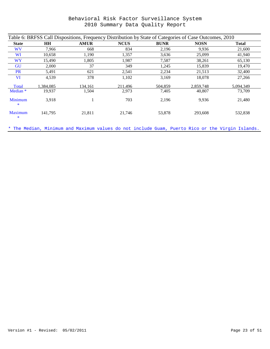| Table 6: BRFSS Call Dispositions, Frequency Distribution by State of Categories of Case Outcomes, 2010 |           |             |             |             |             |              |  |  |  |
|--------------------------------------------------------------------------------------------------------|-----------|-------------|-------------|-------------|-------------|--------------|--|--|--|
| <b>State</b>                                                                                           | <b>HH</b> | <b>AMUR</b> | <b>NCUS</b> | <b>BUNR</b> | <b>NOSN</b> | <b>Total</b> |  |  |  |
| <b>WV</b>                                                                                              | 7,966     | 668         | 834         | 2,196       | 9,936       | 21,600       |  |  |  |
| <b>WI</b>                                                                                              | 10,658    | 1,190       | 1,357       | 3,636       | 25,099      | 41,940       |  |  |  |
| <b>WY</b>                                                                                              | 15,490    | 1,805       | 1,987       | 7,587       | 38,261      | 65,130       |  |  |  |
| GU                                                                                                     | 2,000     | 37          | 349         | 1,245       | 15,839      | 19,470       |  |  |  |
| <b>PR</b>                                                                                              | 5,491     | 621         | 2,541       | 2,234       | 21,513      | 32,400       |  |  |  |
| VI                                                                                                     | 4,539     | 378         | 1,102       | 3,169       | 18,078      | 27,266       |  |  |  |
| Total                                                                                                  | 1.384.085 | 134.161     | 211,496     | 504,859     | 2.859.748   | 5,094,349    |  |  |  |
| Median <sup>*</sup>                                                                                    | 19,937    | 1,504       | 2,973       | 7,405       | 40,807      | 73,709       |  |  |  |
| <b>Minimum</b><br>*                                                                                    | 3,918     |             | 703         | 2,196       | 9,936       | 21,480       |  |  |  |
| <b>Maximum</b><br>*                                                                                    | 141.795   | 21,811      | 21,746      | 53,878      | 293.608     | 532,838      |  |  |  |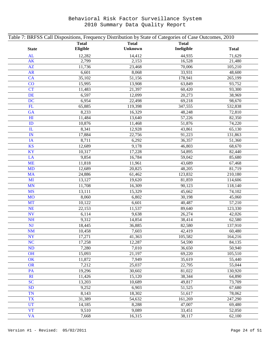| Table 7: BRFSS Call Dispositions, Frequency Distribution by State of Categories of Case Outcomes, 2010 |              |                |              |              |  |  |  |  |  |
|--------------------------------------------------------------------------------------------------------|--------------|----------------|--------------|--------------|--|--|--|--|--|
|                                                                                                        | <b>Total</b> | <b>Total</b>   | <b>Total</b> |              |  |  |  |  |  |
| <b>State</b>                                                                                           | Eligible     | <b>Unknown</b> | Ineligible   | <b>Total</b> |  |  |  |  |  |
| AL                                                                                                     | 12,282       | 14,412         | 44,935       | 71,629       |  |  |  |  |  |
| <b>AK</b>                                                                                              | 2,799        | 2,153          | 16,528       | 21,480       |  |  |  |  |  |
| AZ                                                                                                     | 11,736       | 23,468         | 70,006       | 105,210      |  |  |  |  |  |
| <b>AR</b>                                                                                              | 6,601        | 8,068          | 33,931       | 48,600       |  |  |  |  |  |
| <b>CA</b>                                                                                              | 35,102       | 51,156         | 178,941      | 265,199      |  |  |  |  |  |
| CO                                                                                                     | 15,995       | 13,908         | 63,849       | 93,752       |  |  |  |  |  |
| <b>CT</b>                                                                                              | 11,483       | 21,397         | 60,420       | 93,300       |  |  |  |  |  |
| <b>DE</b>                                                                                              | 6,597        | 12,099         | 20,273       | 38,969       |  |  |  |  |  |
| <b>DC</b>                                                                                              | 6,954        | 22,498         | 69,218       | 98,670       |  |  |  |  |  |
| FL                                                                                                     | 65,885       | 119,398        | 347,555      | 532,838      |  |  |  |  |  |
| GA                                                                                                     | 8,233        | 16,329         | 48,248       | 72,810       |  |  |  |  |  |
| H1                                                                                                     | 11,484       | 13,640         | 57,226       | 82,350       |  |  |  |  |  |
| ID                                                                                                     | 10,876       | 11,468         | 51,876       | 74,220       |  |  |  |  |  |
| ${\rm I\!L}$                                                                                           | 8,341        | 12,928         | 43,861       | 65,130       |  |  |  |  |  |
| IN                                                                                                     | 17,884       | 22,756         | 91,223       | 131,863      |  |  |  |  |  |
| IA                                                                                                     | 8,711        | 6,292          | 36,357       | 51,360       |  |  |  |  |  |
| <b>KS</b>                                                                                              | 12,689       | 9,178          | 46,803       | 68,670       |  |  |  |  |  |
| <b>KY</b>                                                                                              | 10,317       | 17,228         | 54,895       | 82,440       |  |  |  |  |  |
| LA                                                                                                     | 9,854        | 16,784         | 59,042       | 85,680       |  |  |  |  |  |
| <b>ME</b>                                                                                              | 11,818       | 11,961         | 43,689       | 67,468       |  |  |  |  |  |
| <b>MD</b>                                                                                              | 12,689       | 20,825         | 48,205       | 81,719       |  |  |  |  |  |
| <b>MA</b>                                                                                              | 24,886       | 61,462         | 123,832      | 210,180      |  |  |  |  |  |
| MI                                                                                                     | 13,127       | 19,620         | 81,859       | 114,606      |  |  |  |  |  |
| <b>MN</b>                                                                                              | 11,708       | 16,309         | 90,123       | 118,140      |  |  |  |  |  |
| <b>MS</b>                                                                                              | 13,111       | 15,329         | 45,662       | 74,102       |  |  |  |  |  |
| <b>MO</b>                                                                                              | 8,060        | 6,802          | 30,198       | 45,060       |  |  |  |  |  |
| <b>MT</b>                                                                                              | 10,122       | 6,601          | 40,487       | 57,210       |  |  |  |  |  |
| <b>NE</b>                                                                                              | 22,153       | 11,537         | 89,640       | 123,330      |  |  |  |  |  |
| <b>NV</b>                                                                                              | 6,114        | 9,638          | 26,274       | 42,026       |  |  |  |  |  |
| <b>NH</b>                                                                                              | 9,312        | 14,854         | 38,414       | 62,580       |  |  |  |  |  |
| <b>NJ</b>                                                                                              | 18,445       | 36,885         | 82,580       | 137,910      |  |  |  |  |  |
| $\mathbf{NM}$                                                                                          | 10,458       | 7,603          | 42,419       | 60,480       |  |  |  |  |  |
| <b>NY</b>                                                                                              | 17,271       | 41,363         | 105,582      | 164,216      |  |  |  |  |  |
| <b>NC</b>                                                                                              | 17,258       | 12,287         | 54,590       | 84,135       |  |  |  |  |  |
| <b>ND</b>                                                                                              | 7,280        | 7,010          | 36,650       | 50,940       |  |  |  |  |  |
| OH                                                                                                     | 15,093       | 21,197         | 69,220       | 105,510      |  |  |  |  |  |
| OK                                                                                                     | 11,872       | 7,949          | 35,619       | 55,440       |  |  |  |  |  |
| <b>OR</b>                                                                                              | 7,212        | 25,037         | 22,795       | 55,044       |  |  |  |  |  |
| PA                                                                                                     | 19,296       | 30,602         | 81,022       | 130,920      |  |  |  |  |  |
| RI                                                                                                     | 11,426       | 15,120         | 38,344       | 64,890       |  |  |  |  |  |
| <sub>SC</sub>                                                                                          | 13,203       | 10,689         | 49,817       | 73,709       |  |  |  |  |  |
| <b>SD</b>                                                                                              | 9,252        | 6,903          | 51,525       | 67,680       |  |  |  |  |  |
| <b>TN</b>                                                                                              | 8,143        | 18,302         | 51,617       | 78,062       |  |  |  |  |  |
| <b>TX</b>                                                                                              | 31,389       | 54,632         | 161,269      | 247,290      |  |  |  |  |  |
| <b>UT</b>                                                                                              | 14,185       | 8,288          | 47,007       | 69,480       |  |  |  |  |  |
| <b>VT</b>                                                                                              | 9,510        | 9,089          | 33,451       | 52,050       |  |  |  |  |  |
| <b>VA</b>                                                                                              | 7,668        | 16,315         | 38,117       | 62,100       |  |  |  |  |  |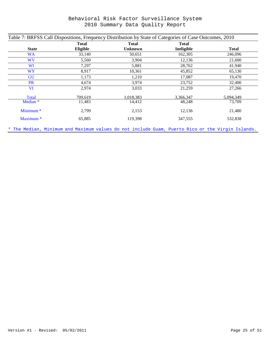| <b>Total</b><br><b>Total</b><br><b>Total</b> |                 |           |            |              |  |  |  |  |  |
|----------------------------------------------|-----------------|-----------|------------|--------------|--|--|--|--|--|
| <b>State</b>                                 | <b>Eligible</b> | Unknown   | Ineligible | <b>Total</b> |  |  |  |  |  |
| <b>WA</b>                                    | 33,140          | 50,651    | 162,305    | 246,096      |  |  |  |  |  |
| <b>WV</b>                                    | 5,560           | 3,904     | 12,136     | 21,600       |  |  |  |  |  |
| WI                                           | 7,297           | 5,881     | 28,762     | 41,940       |  |  |  |  |  |
| <b>WY</b>                                    | 8,917           | 10,361    | 45,852     | 65,130       |  |  |  |  |  |
| GU                                           | 1,173           | 1,210     | 17,087     | 19,470       |  |  |  |  |  |
| <b>PR</b>                                    | 4,674           | 3,974     | 23,752     | 32,400       |  |  |  |  |  |
| <b>VI</b>                                    | 2,974           | 3,033     | 21,259     | 27,266       |  |  |  |  |  |
| Total                                        | 709,619         | 1,018,383 | 3,366,347  | 5,094,349    |  |  |  |  |  |
| Median <sup>*</sup>                          | 11,483          | 14,412    | 48,248     | 73,709       |  |  |  |  |  |
| Minimum <sup>*</sup>                         | 2,799           | 2,153     | 12,136     | 21,480       |  |  |  |  |  |
| Maximum <sup>*</sup>                         | 65,885          | 119,398   | 347,555    | 532,838      |  |  |  |  |  |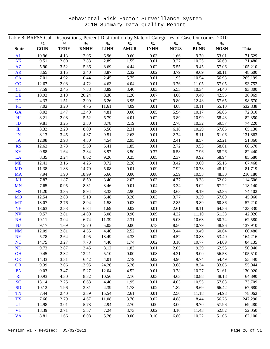|              |               |               |               |               | Table 8: BRFSS Call Dispositions, Percent Distribution by State of Categories of Case Outcomes, 2010 |               |               |               |               |              |
|--------------|---------------|---------------|---------------|---------------|------------------------------------------------------------------------------------------------------|---------------|---------------|---------------|---------------|--------------|
|              | $\frac{0}{0}$ | $\frac{0}{0}$ | $\frac{0}{0}$ | $\frac{0}{0}$ | $\frac{0}{0}$                                                                                        | $\frac{0}{0}$ | $\frac{0}{0}$ | $\frac{0}{0}$ | $\frac{0}{0}$ |              |
| <b>State</b> | <b>COIN</b>   | <b>TERE</b>   | <b>KNHH</b>   | L I H H       | $\bf AMUR$                                                                                           | <b>INHH</b>   | ${\bf NCVS}$  | <b>BUNR</b>   | <b>NOSN</b>   | <b>Total</b> |
| AL           | 10.96         | 4.13          | 12.96         | 6.96          | 0.60                                                                                                 | 0.03          | 1.66          | 9.70          | 53.01         | 71,629       |
| AK           | 9.51          | 2.00          | 3.83          | 2.89          | 1.55                                                                                                 | 0.01          | 3.27          | 10.25         | 66.69         | 21,480       |
| AZ           | 5.90          | 3.52          | 5.36          | 8.69          | 4.44                                                                                                 | 0.02          | 5.55          | 9.45          | 57.06         | 105,210      |
| <b>AR</b>    | 8.65          | 3.15          | 3.40          | 8.87          | 2.32                                                                                                 | 0.02          | 3.79          | 9.69          | 60.11         | 48,600       |
| <b>CA</b>    | 7.01          | 4.92          | 10.44         | 2.45          | 5.75                                                                                                 | 0.01          | 1.95          | 10.54         | 56.93         | 265,199      |
| CO           | 12.67         | 2.08          | 4.72          | 4.63          | 4.04                                                                                                 | 0.01          | 3.76          | 11.05         | 57.05         | 93,752       |
| <b>CT</b>    | 7.59          | 2.45          | 7.38          | 8.89          | 3.40                                                                                                 | 0.03          | 5.53          | 10.34         | 54.40         | 93,300       |
| <b>DE</b>    | 10.93         | 3.18          | 20.24         | 8.36          | 1.20                                                                                                 | 0.07          | 4.06          | 9.40          | 42.55         | 38,969       |
| <b>DC</b>    | 4.33          | 1.51          | 3.99          | 6.26          | 3.95                                                                                                 | 0.02          | 9.80          | 12.48         | 57.65         | 98,670       |
| FL           | 7.02          | 3.20          | 4.76          | 11.61         | 4.09                                                                                                 | 0.01          | 4.08          | 10.11         | 55.10         | 532,838      |
| GA           | 8.03          | 1.47          | 13.49         | 4.81          | 0.00                                                                                                 | 0.05          | 5.94          | 10.17         | 56.05         | 72,810       |
| H1           | 8.21          | 2.08          | 5.52          | 6.79          | 4.01                                                                                                 | 0.02          | 3.89          | 10.99         | 58.48         | 82,350       |
| ID           | 9.81          | 3.25          | 3.30          | 8.78          | 2.19                                                                                                 | 0.01          | 2.78          | 10.32         | 59.57         | 74,220       |
| $\mathbf{I}$ | 8.32          | 2.29          | 8.00          | 5.56          | 2.31                                                                                                 | 0.01          | 6.18          | 10.29         | 57.05         | 65,130       |
| IN           | 8.13          | 3.45          | 4.37          | 9.51          | 2.63                                                                                                 | 0.01          | 2.74          | 8.11          | 61.06         | 131,863      |
| IA           | 12.08         | 2.93          | 4.30          | 4.54          | 2.95                                                                                                 | 0.01          | 2.41          | 8.57          | 62.21         | 51,360       |
| <b>KS</b>    | 12.63         | 3.73          | 5.50          | 5.41          | 1.85                                                                                                 | 0.01          | 2.72          | 9.53          | 58.61         | 68,670       |
| KY           | 9.88          | 1.64          | 2.84          | 8.97          | 3.50                                                                                                 | 0.37          | 6.58          | 7.96          | 58.26         | 82,440       |
| LA           | 8.35          | 2.24          | 8.62          | 9.26          | 0.25                                                                                                 | 0.05          | 2.37          | 9.92          | 58.94         | 85,680       |
| <b>ME</b>    | 12.41         | 3.16          | 4.25          | 9.72          | 2.28                                                                                                 | 0.01          | 3.42          | 9.60          | 55.15         | 67,468       |
| <b>MD</b>    | 11.38         | 1.83          | 14.79         | 5.08          | 0.01                                                                                                 | 0.09          | 7.92          | 10.78         | 48.12         | 81,719       |
| <b>MA</b>    | 7.94          | 1.90          | 18.99         | 6.66          | $0.00\,$                                                                                             | 0.08          | 5.59          | 10.53         | 48.30         | 210,180      |
| MI           | 7.87          | 1.87          | 8.59          | 3.40          | 2.07                                                                                                 | 0.03          | 4.77          | 9.38          | 62.02         | 114,606      |
| <b>MN</b>    | 7.65          | 0.95          | 8.31          | 3.46          | 0.01                                                                                                 | 0.04          | 3.34          | 9.02          | 67.22         | 118,140      |
| <b>MS</b>    | 11.20         | 3.35          | 8.94          | 8.33          | 2.90                                                                                                 | 0.08          | 3.65          | 9.19          | 52.35         | 74,102       |
| <b>MO</b>    | 12.54         | 2.88          | 5.10          | 5.48          | 3.20                                                                                                 | 0.03          | 3.77          | 9.39          | 57.60         | 45,060       |
| <b>MT</b>    | 13.07         | 2.76          | 8.94          | 1.58          | 0.03                                                                                                 | 0.02          | 2.85          | 9.89          | 60.86         | 57,210       |
| <b>NE</b>    | 13.63         | 2.53          | 6.84          | 1.69          | 0.02                                                                                                 | 0.01          | 2.61          | 8.11          | 64.56         | 123,330      |
| <b>NV</b>    | 9.57          | 2.81          | 14.80         | 5.08          | 0.90                                                                                                 | 0.09          | 4.32          | 11.10         | 51.33         | 42,026       |
| <b>NH</b>    | 10.11         | 3.04          | 6.74          | 11.39         | 2.31                                                                                                 | 0.01          | 5.03          | 10.63         | 50.74         | 62,580       |
| <b>NJ</b>    | 9.17          | 1.69          | 15.70         | 5.05          | 0.00                                                                                                 | 0.13          | 8.50          | 10.79         | 48.96         | 137,910      |
| NM           | 12.09         | 2.81          | 4.55          | 4.46          | 2.52                                                                                                 | $0.01\,$      | 3.44          | 9.49          | 60.64         | 60,480       |
| <b>NY</b>    | 5.78          | 2.64          | 4.95          | 13.49         | 4.33                                                                                                 | 0.02          | 4.52          | 10.88         | 53.40         | 164,216      |
| <b>NC</b>    | 14.75         | 3.27          | 7.78          | 4.48          | 1.74                                                                                                 | 0.02          | 3.10          | 10.77         | 54.09         | 84,135       |
| ND           | 9.73          | 2.87          | 3.45          | 8.12          | 1.83                                                                                                 | 0.01          | 2.05          | 9.39          | 62.55         | 50,940       |
| <b>OH</b>    | 9.45          | 2.32          | 13.21         | 5.10          | 0.00                                                                                                 | 0.08          | 4.31          | 9.00          | 56.53         | 105,510      |
| OK           | 14.33         | 3.31          | 6.42          | 4.01          | 2.79                                                                                                 | 0.02          | 4.90          | 9.74          | 54.49         | 55,440       |
| <b>OR</b>    | 9.39          | 2.06          | 13.95         | 24.26         | 5.26                                                                                                 | 0.01          | 3.68          | 8.34          | 33.06         | 55,044       |
| PA           | 9.03          | 3.47          | 5.27          | 12.04         | 4.52                                                                                                 | 0.01          | 3.78          | 10.27         | 51.61         | 130,920      |
| RI           | 10.93         | 4.30          | 8.32          | 10.56         | 2.16                                                                                                 | 0.03          | 4.63          | 10.88         | 48.18         | 64,890       |
| <b>SC</b>    | 13.14         | 2.25          | 6.63          | 4.40          | 1.95                                                                                                 | 0.01          | 4.03          | 10.55         | 57.03         | 73,709       |
| <b>SD</b>    | 10.12         | 1.96          | 3.81          | 4.39          | 1.78                                                                                                 | 0.02          | 1.82          | 9.69          | 66.42         | 67,680       |
| <b>TN</b>    | 7.44          | 2.40          | 3.39          | 15.54         | 2.61                                                                                                 | 0.01          | 2.50          | 11.18         | 54.93         | 78,062       |
| <b>TX</b>    | 7.66          | 2.79          | 4.67          | 11.08         | 3.70                                                                                                 | 0.02          | 4.88          | 8.44          | 56.76         | 247,290      |
| <b>UT</b>    | 14.98         | 3.01          | 5.73          | 2.94          | 2.70                                                                                                 | 0.00          | 3.00          | 9.70          | 57.96         | 69,480       |
| <b>VT</b>    | 13.39         | 2.71          | 5.57          | 7.24          | 3.73                                                                                                 | 0.02          | 3.10          | 11.43         | 52.82         | 52,050       |
| <b>VA</b>    | 8.81          | 1.66          | 16.08         | 5.26          | 0.00                                                                                                 | 0.10          | 6.80          | 10.22         | 51.06         | 62,100       |
|              |               |               |               |               |                                                                                                      |               |               |               |               |              |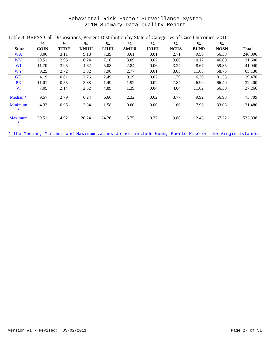| Behavioral Risk Factor Surveillance System |  |                                  |  |
|--------------------------------------------|--|----------------------------------|--|
|                                            |  | 2010 Summary Data Quality Report |  |

| Table 8: BRFSS Call Dispositions, Percent Distribution by State of Categories of Case Outcomes, 2010 |               |               |               |               |               |               |               |               |               |              |
|------------------------------------------------------------------------------------------------------|---------------|---------------|---------------|---------------|---------------|---------------|---------------|---------------|---------------|--------------|
|                                                                                                      | $\frac{0}{0}$ | $\frac{6}{9}$ | $\frac{0}{0}$ | $\frac{6}{9}$ | $\frac{0}{0}$ | $\frac{0}{0}$ | $\frac{0}{0}$ | $\frac{0}{0}$ | $\frac{0}{0}$ |              |
| <b>State</b>                                                                                         | <b>COIN</b>   | <b>TERE</b>   | <b>KNHH</b>   | LIHH          | <b>AMUR</b>   | <b>INHH</b>   | <b>NCUS</b>   | <b>BUNR</b>   | <b>NOSN</b>   | <b>Total</b> |
| <b>WA</b>                                                                                            | 8.06          | 3.11          | 9.18          | 7.39          | 3.61          | 0.01          | 2.71          | 9.56          | 56.38         | 246,096      |
| <b>WV</b>                                                                                            | 20.51         | 2.95          | 6.24          | 7.16          | 3.09          | 0.02          | 3.86          | 10.17         | 46.00         | 21,600       |
| WI                                                                                                   | 11.70         | 3.95          | 4.62          | 5.08          | 2.84          | 0.06          | 3.24          | 8.67          | 59.85         | 41,940       |
| <b>WY</b>                                                                                            | 9.25          | 2.72          | 3.82          | 7.98          | 2.77          | 0.01          | 3.05          | 11.65         | 58.75         | 65,130       |
| GU                                                                                                   | 4.19          | 0.81          | 2.76          | 2.49          | 0.19          | 0.02          | 1.79          | 6.39          | 81.35         | 19,470       |
| <b>PR</b>                                                                                            | 11.01         | 0.55          | 3.88          | 1.49          | 1.92          | 0.02          | 7.84          | 6.90          | 66.40         | 32,400       |
| <b>VI</b>                                                                                            | 7.05          | 2.14          | 2.52          | 4.89          | 1.39          | 0.04          | 4.04          | 11.62         | 66.30         | 27,266       |
| Median <sup>*</sup>                                                                                  | 9.57          | 2.79          | 6.24          | 6.66          | 2.32          | 0.02          | 3.77          | 9.92          | 56.93         | 73,709       |
| <b>Minimum</b><br>*                                                                                  | 4.33          | 0.95          | 2.84          | 1.58          | 0.00          | 0.00          | 1.66          | 7.96          | 33.06         | 21,480       |
| Maximum<br>*                                                                                         | 20.51         | 4.92          | 20.24         | 24.26         | 5.75          | 0.37          | 9.80          | 12.48         | 67.22         | 532,838      |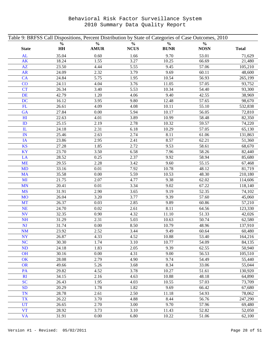| Table 9: BRFSS Call Dispositions, Percent Distribution by State of Categories of Case Outcomes, 2010 |               |               |               |               |               |              |
|------------------------------------------------------------------------------------------------------|---------------|---------------|---------------|---------------|---------------|--------------|
|                                                                                                      | $\frac{0}{0}$ | $\frac{0}{0}$ | $\frac{0}{0}$ | $\frac{0}{0}$ | $\frac{0}{0}$ |              |
| <b>State</b>                                                                                         | HH            | <b>AMUR</b>   | <b>NCUS</b>   | <b>BUNR</b>   | <b>NOSN</b>   | <b>Total</b> |
| AL                                                                                                   | 35.04         | 0.60          | 1.66          | 9.70          | 53.01         | 71,629       |
| <b>AK</b>                                                                                            | 18.24         | 1.55          | 3.27          | 10.25         | 66.69         | 21,480       |
| AZ                                                                                                   | 23.50         | 4.44          | 5.55          | 9.45          | 57.06         | 105,210      |
| <b>AR</b>                                                                                            | 24.09         | 2.32          | 3.79          | 9.69          | 60.11         | 48,600       |
| <b>CA</b>                                                                                            | 24.84         | 5.75          | 1.95          | 10.54         | 56.93         | 265,199      |
| CO                                                                                                   | 24.11         | 4.04          | 3.76          | 11.05         | 57.05         | 93,752       |
| <b>CT</b>                                                                                            | 26.34         | 3.40          | 5.53          | 10.34         | 54.40         | 93,300       |
| <b>DE</b>                                                                                            | 42.79         | 1.20          | 4.06          | 9.40          | 42.55         | 38,969       |
| <b>DC</b>                                                                                            | 16.12         | 3.95          | 9.80          | 12.48         | 57.65         | 98,670       |
| FL                                                                                                   | 26.61         | 4.09          | 4.08          | 10.11         | 55.10         | 532,838      |
| GA                                                                                                   | 27.84         | 0.00          | 5.94          | 10.17         | 56.05         | 72,810       |
| H1                                                                                                   | 22.63         | 4.01          | 3.89          | 10.99         | 58.48         | 82,350       |
| ID                                                                                                   | 25.15         | 2.19          | 2.78          | 10.32         | 59.57         | 74,220       |
| ${\rm IL}$                                                                                           | 24.18         | 2.31          | 6.18          | 10.29         | 57.05         | 65,130       |
| IN                                                                                                   | 25.46         | 2.63          | 2.74          | 8.11          | 61.06         | 131,863      |
| IA                                                                                                   | 23.86         | 2.95          | 2.41          | 8.57          | 62.21         | 51,360       |
| <b>KS</b>                                                                                            | 27.28         | 1.85          | 2.72          | 9.53          | 58.61         | 68,670       |
| KY                                                                                                   | 23.70         | 3.50          | 6.58          | 7.96          | 58.26         | 82,440       |
| LA                                                                                                   | 28.52         | 0.25          | 2.37          | 9.92          | 58.94         | 85,680       |
| <b>ME</b>                                                                                            | 29.55         | 2.28          | 3.42          | 9.60          | 55.15         | 67,468       |
| <b>MD</b>                                                                                            | 33.16         | 0.01          | 7.92          | 10.78         | 48.12         | 81,719       |
| <b>MA</b>                                                                                            | 35.58         | $0.00\,$      | 5.59          | 10.53         | 48.30         | 210,180      |
| MI                                                                                                   | 21.75         | 2.07          | 4.77          | 9.38          | 62.02         | 114,606      |
| <b>MN</b>                                                                                            | 20.41         | 0.01          | 3.34          | 9.02          | 67.22         | 118,140      |
| <b>MS</b>                                                                                            | 31.91         | 2.90          | 3.65          | 9.19          | 52.35         | 74,102       |
| <b>MO</b>                                                                                            | 26.04         | 3.20          | 3.77          | 9.39          | 57.60         | 45,060       |
| <b>MT</b>                                                                                            | 26.37         | 0.03          | 2.85          | 9.89          | 60.86         | 57,210       |
| NE                                                                                                   | 24.70         | 0.02          | 2.61          | 8.11          | 64.56         | 123,330      |
| <b>NV</b>                                                                                            | 32.35         | 0.90          | 4.32          | 11.10         | 51.33         | 42,026       |
| <b>NH</b>                                                                                            | 31.29         | 2.31          | 5.03          | 10.63         | 50.74         | 62,580       |
| <b>NJ</b>                                                                                            | 31.74         | 0.00          | 8.50          | 10.79         | 48.96         | 137,910      |
| <b>NM</b>                                                                                            | 23.92         | 2.52          | 3.44          | 9.49          | 60.64         | 60,480       |
| <b>NY</b>                                                                                            | 26.87         | 4.33          | 4.52          | 10.88         | 53.40         | 164,216      |
| <b>NC</b>                                                                                            | 30.30         | 1.74          | 3.10          | 10.77         | 54.09         | 84,135       |
| ND                                                                                                   | 24.18         | 1.83          | 2.05          | 9.39          | 62.55         | 50,940       |
| <b>OH</b>                                                                                            | 30.16         | $0.00\,$      | 4.31          | 9.00          | 56.53         | 105,510      |
| OK                                                                                                   | 28.08         | 2.79          | 4.90          | 9.74          | 54.49         | 55,440       |
| <b>OR</b>                                                                                            | 49.66         | 5.26          | 3.68          | 8.34          | 33.06         | 55,044       |
| PA                                                                                                   | 29.82         | 4.52          | 3.78          | 10.27         | 51.61         | 130,920      |
| RI                                                                                                   | 34.15         | 2.16          | 4.63          | 10.88         | 48.18         | 64,890       |
| <b>SC</b>                                                                                            | 26.43         | 1.95          | 4.03          | 10.55         | 57.03         | 73,709       |
| <b>SD</b>                                                                                            | 20.29         | 1.78          | 1.82          | 9.69          | 66.42         | 67,680       |
| <b>TN</b>                                                                                            | 28.78         | 2.61          | 2.50          | 11.18         | 54.93         | 78,062       |
| <b>TX</b>                                                                                            | 26.22         | 3.70          | 4.88          | 8.44          | 56.76         | 247,290      |
| <b>UT</b>                                                                                            | 26.65         | 2.70          | 3.00          | 9.70          | 57.96         | 69,480       |
| <b>VT</b>                                                                                            | 28.92         | 3.73          | 3.10          | 11.43         | 52.82         | 52,050       |
| <b>VA</b>                                                                                            | 31.91         | 0.00          | 6.80          | 10.22         | 51.06         | 62,100       |
|                                                                                                      |               |               |               |               |               |              |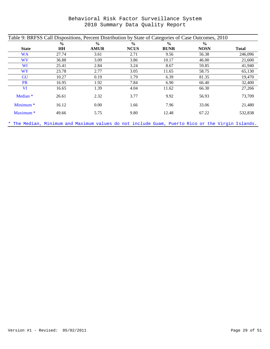| Table 9: BRFSS Call Dispositions, Percent Distribution by State of Categories of Case Outcomes, 2010 |               |               |               |               |               |              |
|------------------------------------------------------------------------------------------------------|---------------|---------------|---------------|---------------|---------------|--------------|
|                                                                                                      | $\frac{0}{0}$ | $\frac{0}{0}$ | $\frac{0}{0}$ | $\frac{0}{0}$ | $\frac{0}{0}$ |              |
| <b>State</b>                                                                                         | HH            | <b>AMUR</b>   | <b>NCUS</b>   | <b>BUNR</b>   | <b>NOSN</b>   | <b>Total</b> |
| <b>WA</b>                                                                                            | 27.74         | 3.61          | 2.71          | 9.56          | 56.38         | 246,096      |
| <b>WV</b>                                                                                            | 36.88         | 3.09          | 3.86          | 10.17         | 46.00         | 21,600       |
| WI                                                                                                   | 25.41         | 2.84          | 3.24          | 8.67          | 59.85         | 41,940       |
| <b>WY</b>                                                                                            | 23.78         | 2.77          | 3.05          | 11.65         | 58.75         | 65,130       |
| GU                                                                                                   | 10.27         | 0.19          | 1.79          | 6.39          | 81.35         | 19,470       |
| <b>PR</b>                                                                                            | 16.95         | 1.92          | 7.84          | 6.90          | 66.40         | 32,400       |
| <b>VI</b>                                                                                            | 16.65         | 1.39          | 4.04          | 11.62         | 66.30         | 27,266       |
| Median <sup>*</sup>                                                                                  | 26.61         | 2.32          | 3.77          | 9.92          | 56.93         | 73,709       |
| Minimum <sup>*</sup>                                                                                 | 16.12         | 0.00          | 1.66          | 7.96          | 33.06         | 21,480       |
| Maximum <sup>*</sup>                                                                                 | 49.66         | 5.75          | 9.80          | 12.48         | 67.22         | 532,838      |
|                                                                                                      |               |               |               |               |               |              |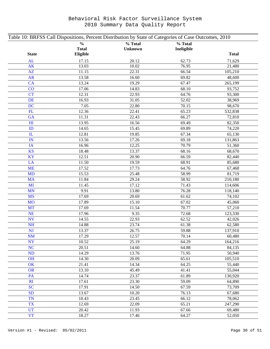| Table 10: BRFSS Call Dispositions, Percent Distribution by State of Categories of Case Outcomes, 2010 |                |                |                |                      |  |  |  |
|-------------------------------------------------------------------------------------------------------|----------------|----------------|----------------|----------------------|--|--|--|
|                                                                                                       | $\frac{0}{0}$  | % Total        | % Total        |                      |  |  |  |
|                                                                                                       | <b>Total</b>   | <b>Unknown</b> | Ineligible     |                      |  |  |  |
| <b>State</b>                                                                                          | Eligible       |                |                | <b>Total</b>         |  |  |  |
| AL                                                                                                    | 17.15          | 20.12          | 62.73          | 71,629               |  |  |  |
| AK                                                                                                    | 13.03          | 10.02          | 76.95          | 21,480               |  |  |  |
| $\mathbf{A}\mathbf{Z}$                                                                                | 11.15          | 22.31          | 66.54          | 105,210              |  |  |  |
| <b>AR</b>                                                                                             | 13.58          | 16.60          | 69.82          | 48,600               |  |  |  |
| CA                                                                                                    | 13.24          | 19.29          | 67.47          | 265,199              |  |  |  |
| CO                                                                                                    | 17.06          | 14.83          | 68.10          | 93,752               |  |  |  |
| <b>CT</b>                                                                                             | 12.31          | 22.93          | 64.76          | 93,300               |  |  |  |
| <b>DE</b>                                                                                             | 16.93          | 31.05          | 52.02          | 38,969               |  |  |  |
| <b>DC</b>                                                                                             | 7.05           | 22.80          | 70.15          | 98,670               |  |  |  |
| FL                                                                                                    | 12.36          | 22.41          | 65.23          | 532,838              |  |  |  |
| GA                                                                                                    | 11.31          | 22.43          | 66.27          | 72,810               |  |  |  |
| H1                                                                                                    | 13.95          | 16.56          | 69.49          | 82,350               |  |  |  |
| ID                                                                                                    | 14.65          | 15.45          | 69.89          | 74,220               |  |  |  |
| ${\rm I\!L}$                                                                                          | 12.81          | 19.85          | 67.34          | 65,130               |  |  |  |
| IN                                                                                                    | 13.56          | 17.26          | 69.18          | 131,863              |  |  |  |
| IA                                                                                                    | 16.96          | 12.25          | 70.79          | 51,360               |  |  |  |
| <b>KS</b>                                                                                             | 18.48          | 13.37          | 68.16          | 68,670               |  |  |  |
| KY                                                                                                    | 12.51          | 20.90          | 66.59          | 82,440               |  |  |  |
| LA                                                                                                    | 11.50          | 19.59          | 68.91          | 85,680               |  |  |  |
| <b>ME</b>                                                                                             | 17.52          | 17.73          | 64.76          | 67,468               |  |  |  |
| <b>MD</b>                                                                                             | 15.53          | 25.48          | 58.99          | 81,719               |  |  |  |
| <b>MA</b>                                                                                             | 11.84          | 29.24          | 58.92          | 210,180              |  |  |  |
| MI                                                                                                    | 11.45          | 17.12          | 71.43          | 114,606              |  |  |  |
| <b>MN</b>                                                                                             | 9.91           | 13.80          | 76.28          | 118,140              |  |  |  |
| <b>MS</b>                                                                                             | 17.69          | 20.69          | 61.62          | 74,102               |  |  |  |
| <b>MO</b>                                                                                             | 17.89          | 15.10          | 67.02          | 45,060               |  |  |  |
| <b>MT</b>                                                                                             | 17.69          | 11.54          | 70.77          | 57,210               |  |  |  |
| NE                                                                                                    | 17.96          | 9.35           | 72.68          | 123,330              |  |  |  |
| <b>NV</b>                                                                                             | 14.55          | 22.93          | 62.52          | 42,026               |  |  |  |
| <b>NH</b>                                                                                             | 14.88          | 23.74          | 61.38          | 62,580               |  |  |  |
| NJ                                                                                                    | 13.37          | 26.75          | 59.88          | 137,910              |  |  |  |
| <b>NM</b>                                                                                             | 17.29          | 12.57          | 70.14          | 60,480               |  |  |  |
| <b>NY</b>                                                                                             | 10.52          | 25.19          | 64.29          | $\overline{164,216}$ |  |  |  |
| <b>NC</b>                                                                                             | 20.51          | 14.60          | 64.88          | 84,135               |  |  |  |
| <b>ND</b>                                                                                             | 14.29          | 13.76          | 71.95          | 50,940               |  |  |  |
| <b>OH</b>                                                                                             | 14.30          | 20.09          | 65.61          | 105,510              |  |  |  |
| OK                                                                                                    | 21.41          | 14.34          | 64.25          | 55,440               |  |  |  |
| <b>OR</b>                                                                                             | 13.10          | 45.49          | 41.41<br>61.89 | 55,044               |  |  |  |
| PA                                                                                                    | 14.74          | 23.37          |                | 130,920              |  |  |  |
| RI<br><b>SC</b>                                                                                       | 17.61          | 23.30<br>14.50 | 59.09<br>67.59 | 64,890<br>73,709     |  |  |  |
| <b>SD</b>                                                                                             | 17.91<br>13.67 | 10.20          | 76.13          | 67,680               |  |  |  |
| <b>TN</b>                                                                                             | 10.43          | 23.45          | 66.12          | 78,062               |  |  |  |
| <b>TX</b>                                                                                             | 12.69          | 22.09          | 65.21          | 247,290              |  |  |  |
| <b>UT</b>                                                                                             | 20.42          | 11.93          | 67.66          | 69,480               |  |  |  |
| <b>VT</b>                                                                                             | 18.27          | 17.46          | 64.27          | 52,050               |  |  |  |
|                                                                                                       |                |                |                |                      |  |  |  |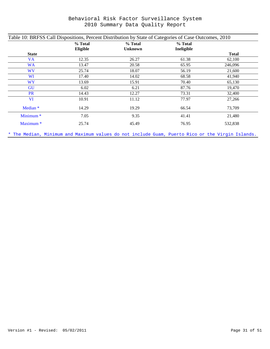| Table 10: BRFSS Call Dispositions, Percent Distribution by State of Categories of Case Outcomes, 2010 |                     |                           |                       |              |  |  |  |
|-------------------------------------------------------------------------------------------------------|---------------------|---------------------------|-----------------------|--------------|--|--|--|
|                                                                                                       | % Total<br>Eligible | % Total<br><b>Unknown</b> | % Total<br>Ineligible |              |  |  |  |
| <b>State</b>                                                                                          |                     |                           |                       | <b>Total</b> |  |  |  |
| <b>VA</b>                                                                                             | 12.35               | 26.27                     | 61.38                 | 62,100       |  |  |  |
| <b>WA</b>                                                                                             | 13.47               | 20.58                     | 65.95                 | 246,096      |  |  |  |
| WV                                                                                                    | 25.74               | 18.07                     | 56.19                 | 21,600       |  |  |  |
| <b>WI</b>                                                                                             | 17.40               | 14.02                     | 68.58                 | 41,940       |  |  |  |
| <b>WY</b>                                                                                             | 13.69               | 15.91                     | 70.40                 | 65,130       |  |  |  |
| <b>GU</b>                                                                                             | 6.02                | 6.21                      | 87.76                 | 19,470       |  |  |  |
| <b>PR</b>                                                                                             | 14.43               | 12.27                     | 73.31                 | 32,400       |  |  |  |
| <b>VI</b>                                                                                             | 10.91               | 11.12                     | 77.97                 | 27,266       |  |  |  |
| Median <sup>*</sup>                                                                                   | 14.29               | 19.29                     | 66.54                 | 73,709       |  |  |  |
| Minimum <sup>*</sup>                                                                                  | 7.05                | 9.35                      | 41.41                 | 21,480       |  |  |  |
| Maximum <sup>*</sup>                                                                                  | 25.74               | 45.49                     | 76.95                 | 532,838      |  |  |  |
|                                                                                                       |                     |                           |                       |              |  |  |  |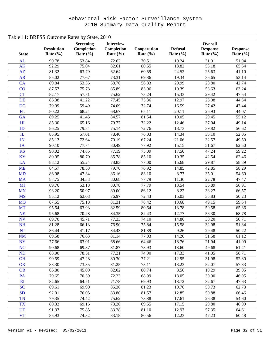| Table 11: BRFSS Outcome Rates by State, 2010 |                                   |                                                |                                                |                             |                                |                                                   |                                 |  |
|----------------------------------------------|-----------------------------------|------------------------------------------------|------------------------------------------------|-----------------------------|--------------------------------|---------------------------------------------------|---------------------------------|--|
| <b>State</b>                                 | <b>Resolution</b><br>Rate $(\% )$ | <b>Screening</b><br>Completion<br>Rate $(\% )$ | <b>Interview</b><br>Completion<br>Rate $(\% )$ | Cooperation<br>Rate $(\% )$ | <b>Refusal</b><br>Rate $(\% )$ | <b>Overall</b><br><b>Response</b><br>Rate $(\% )$ | <b>Response</b><br>Rate $(\% )$ |  |
| <b>AL</b>                                    | 90.78                             | 53.84                                          | 72.62                                          | 70.51                       | 19.24                          | 31.91                                             | 51.04                           |  |
| <b>AK</b>                                    | 92.29                             | 75.04                                          | 82.61                                          | 80.55                       | 13.82                          | 53.18                                             | 65.64                           |  |
| AZ                                           | 81.32                             | 63.79                                          | 62.64                                          | 60.59                       | 24.52                          | 25.63                                             | 41.10                           |  |
| <b>AR</b>                                    | 85.02                             | 77.67                                          | 73.31                                          | 69.86                       | 19.34                          | 36.65                                             | 53.14                           |  |
| CA                                           | 89.84                             | 53.35                                          | 58.76                                          | 56.83                       | 29.99                          | 28.80                                             | 42.74                           |  |
| CO                                           | 87.57                             | 75.78                                          | 85.89                                          | 83.06                       | 10.39                          | 53.63                                             | 63.24                           |  |
| <b>CT</b>                                    | 82.17                             | 57.71                                          | 75.62                                          | 73.24                       | 15.33                          | 29.42                                             | 47.54                           |  |
| <b>DE</b>                                    | 86.38                             | 41.22                                          | 77.45                                          | 75.36                       | 12.97                          | 26.08                                             | 44.54                           |  |
| <b>DC</b>                                    | 79.99                             | 59.49                                          | 74.09                                          | 72.74                       | 16.59                          | 27.42                                             | 47.44                           |  |
| FL                                           | 80.22                             | 68.24                                          | 68.67                                          | 65.11                       | 20.11                          | 26.93                                             | 44.07                           |  |
| GA                                           | 89.25                             | 41.45                                          | 84.57                                          | 81.54                       | 10.05                          | 29.45                                             | 55.12                           |  |
| H1                                           | 85.30                             | 65.16                                          | 79.77                                          | 72.22                       | 12.46                          | 37.04                                             | 49.14                           |  |
| ID                                           | 86.25                             | 79.84                                          | 75.14                                          | 72.76                       | 18.73                          | 39.82                                             | 56.62                           |  |
| IL                                           | 85.95                             | 57.01                                          | 78.40                                          | 76.03                       | 14.34                          | 35.10                                             | 52.05                           |  |
| IN                                           | 85.13                             | 72.64                                          | 70.19                                          | 67.24                       | 21.06                          | 32.57                                             | 49.59                           |  |
| IA                                           | 90.10                             | 77.74                                          | 80.49                                          | 77.92                       | 15.15                          | 51.67                                             | 62.50                           |  |
| <b>KS</b>                                    | 90.02                             | 74.85                                          | 77.19                                          | 75.09                       | 17.50                          | 47.24                                             | 59.22                           |  |
| KY                                           | 80.95                             | 80.70                                          | 85.78                                          | 85.10                       | 10.35                          | 42.54                                             | 62.46                           |  |
| LA                                           | 88.12                             | 55.24                                          | 78.83                                          | 77.00                       | 15.68                          | 29.87                                             | 58.39                           |  |
| <b>ME</b>                                    | 84.57                             | 78.58                                          | 79.70                                          | 76.92                       | 14.85                          | 42.85                                             | 58.29                           |  |
| <b>MD</b>                                    | 86.98                             | 47.34                                          | 86.16                                          | 83.10                       | 8.77                           | 35.01                                             | 54.60                           |  |
| <b>MA</b>                                    | 87.75                             | 34.33                                          | 80.68                                          | 77.79                       | 11.36                          | 22.78                                             | 47.47                           |  |
| MI                                           | 89.76                             | 53.18                                          | 80.78                                          | 77.79                       | 13.54                          | 36.89                                             | 56.91                           |  |
| <b>MN</b>                                    | 93.20                             | 50.97                                          | 89.00                                          | 86.12                       | 8.22                           | 38.27                                             | 66.57                           |  |
| <b>MS</b>                                    | 85.12                             | 62.08                                          | 76.97                                          | 72.43                       | 15.03                          | 35.83                                             | 50.23                           |  |
| <b>MO</b>                                    | 87.55                             | 75.18                                          | 81.31                                          | 78.42                       | 13.68                          | 49.15                                             | 59.54                           |  |
| <b>MT</b>                                    | 95.54                             | 63.93                                          | 82.59                                          | 80.64                       | 13.78                          | 50.58                                             | 65.36                           |  |
| <b>NE</b>                                    | 95.68                             | 70.28                                          | 84.35                                          | 82.43                       | 12.77                          | 56.30                                             | 68.78                           |  |
| <b>NV</b>                                    | 89.70                             | 45.71                                          | 77.33                                          | 74.10                       | 14.86                          | 30.20                                             | 50.71                           |  |
| <b>NH</b>                                    | 81.28                             | 66.13                                          | 76.90                                          | 75.84                       | 15.58                          | 32.98                                             | 51.84                           |  |
| <b>NJ</b>                                    | 86.44                             | 41.17                                          | 84.43                                          | 81.39                       | 9.26                           | 29.48                                             | 50.22                           |  |
| <b>NM</b>                                    | 89.58                             | 76.63                                          | 81.14                                          | 77.03                       | 14.20                          | 51.58                                             | 61.12                           |  |
| <b>NY</b>                                    | 77.66                             | 63.01                                          | 68.66                                          | 64.46                       | $\overline{18.76}$             | 21.94                                             | 41.09                           |  |
| <b>NC</b>                                    | 90.68                             | 69.87                                          | 81.87                                          | 78.93                       | 13.60                          | 49.68                                             | 61.41                           |  |
| ND                                           | 88.00                             | 78.51                                          | 77.21                                          | 74.90                       | 17.33                          | 41.05                                             | 58.71                           |  |
| <b>OH</b>                                    | 90.59                             | 47.28                                          | 80.30                                          | 77.21                       | 12.95                          | 31.98                                             | 52.80                           |  |
| OK                                           | 88.30                             | 73.35                                          | 81.25                                          | 78.11                       | 13.23                          | 52.07                                             | 57.33                           |  |
| <b>OR</b>                                    | 66.80                             | 45.09                                          | 82.02                                          | 80.74                       | 8.56                           | 19.29                                             | 39.05                           |  |
| PA                                           | 79.65                             | 70.39                                          | 72.23                                          | 68.99                       | 18.05                          | 30.90                                             | 46.95                           |  |
| RI                                           | 82.65                             | 64.71                                          | 71.78                                          | 69.93                       | 18.72                          | 32.67                                             | 47.63                           |  |
| <b>SC</b>                                    | 89.61                             | 69.90                                          | 85.36                                          | 81.23                       | 10.76                          | 50.73                                             | 62.73                           |  |
| <b>SD</b>                                    | 92.01                             | 76.05                                          | 83.80                                          | 81.57                       | 12.85                          | 50.88                                             | 66.46                           |  |
| <b>TN</b>                                    | 79.35                             | 74.42                                          | 75.62                                          | 73.88                       | 17.61                          | 26.38                                             | 54.60                           |  |
| <b>TX</b>                                    | 80.33                             | 69.15                                          | 73.26                                          | 69.55                       | 17.15                          | 29.80                                             | 46.99                           |  |
| <b>UT</b>                                    | 91.37                             | 75.85                                          | 83.28                                          | 81.10                       | 12.97                          | 57.35                                             | 64.61                           |  |
| <b>VT</b>                                    | 85.93                             | 74.32                                          | 83.18                                          | 80.56                       | 12.23                          | 47.23                                             | 60.48                           |  |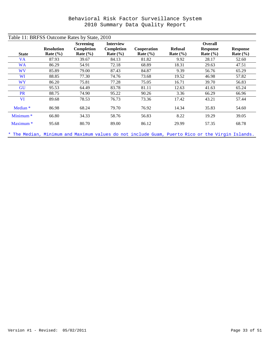| Table 11: BRFSS Outcome Rates by State, 2010 |                   |                  |                  |              |                |                 |                 |
|----------------------------------------------|-------------------|------------------|------------------|--------------|----------------|-----------------|-----------------|
|                                              |                   | <b>Screening</b> | <b>Interview</b> |              |                | <b>Overall</b>  |                 |
|                                              | <b>Resolution</b> | Completion       | Completion       | Cooperation  | <b>Refusal</b> | <b>Response</b> | <b>Response</b> |
| <b>State</b>                                 | Rate $(\% )$      | Rate $(\% )$     | Rate $(\% )$     | Rate $(\% )$ | Rate $(\% )$   | Rate $(\% )$    | Rate $(\% )$    |
| <b>VA</b>                                    | 87.93             | 39.67            | 84.13            | 81.82        | 9.92           | 28.17           | 52.60           |
| <b>WA</b>                                    | 86.29             | 54.91            | 72.18            | 68.89        | 18.31          | 29.63           | 47.51           |
| <b>WV</b>                                    | 85.89             | 79.00            | 87.43            | 84.87        | 9.39           | 56.76           | 65.29           |
| WI                                           | 88.85             | 77.30            | 74.76            | 73.68        | 19.52          | 46.98           | 57.82           |
| <b>WY</b>                                    | 86.20             | 75.81            | 77.28            | 75.05        | 16.71          | 39.70           | 56.83           |
| <b>GU</b>                                    | 95.53             | 64.49            | 83.78            | 81.11        | 12.63          | 41.63           | 65.24           |
| <b>PR</b>                                    | 88.75             | 74.90            | 95.22            | 90.26        | 3.36           | 66.29           | 66.96           |
| <b>VI</b>                                    | 89.68             | 78.53            | 76.73            | 73.36        | 17.42          | 43.21           | 57.44           |
| Median <sup>*</sup>                          | 86.98             | 68.24            | 79.70            | 76.92        | 14.34          | 35.83           | 54.60           |
| Minimum <sup>*</sup>                         | 66.80             | 34.33            | 58.76            | 56.83        | 8.22           | 19.29           | 39.05           |
| Maximum <sup>*</sup>                         | 95.68             | 80.70            | 89.00            | 86.12        | 29.99          | 57.35           | 68.78           |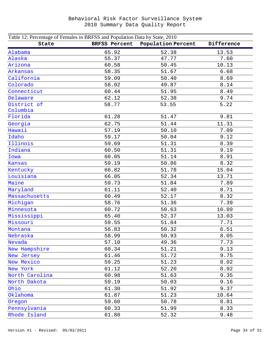| Table 12: Percentage of Females in BRFSS and Population Data by State, 2010 |                      |                    |            |  |  |  |  |
|-----------------------------------------------------------------------------|----------------------|--------------------|------------|--|--|--|--|
| State                                                                       | <b>BRFSS Percent</b> | Population Percent | Difference |  |  |  |  |
| Alabama                                                                     | 65.92                | 52.38              | 13.53      |  |  |  |  |
| Alaska                                                                      | 55.37                | 47.77              | 7.60       |  |  |  |  |
| Arizona                                                                     | 60.58                | 50.45              | 10.13      |  |  |  |  |
| Arkansas                                                                    | 58.35                | 51.67              | 6.68       |  |  |  |  |
| California                                                                  | 59.09                | 50.40              | 8.69       |  |  |  |  |
| Colorado                                                                    | 58.02                | 49.87              | 8.14       |  |  |  |  |
| Connecticut                                                                 | 60.44                | 51.95              | 8.49       |  |  |  |  |
| Delaware                                                                    | 62.12                | 52.38              | 9.74       |  |  |  |  |
| District of                                                                 | 58.77                | 53.55              | 5.22       |  |  |  |  |
| Columbia                                                                    |                      |                    |            |  |  |  |  |
| Florida                                                                     | 61.28                | 51.47              | 9.81       |  |  |  |  |
| Georgia                                                                     | 62.75                | 51.44              | 11.31      |  |  |  |  |
| Hawaii                                                                      | 57.19                | 50.10              | 7.09       |  |  |  |  |
| Idaho                                                                       | 59.17                | 50.04              | 9.12       |  |  |  |  |
| Illinois                                                                    | 59.69                | 51.31              | 8.39       |  |  |  |  |
| Indiana                                                                     | 60.50                | 51.31              | 9.19       |  |  |  |  |
| Iowa                                                                        | 60.05                | 51.14              | 8.91       |  |  |  |  |
| <b>Kansas</b>                                                               | 59.19                | 50.86              | 8.32       |  |  |  |  |
| Kentucky                                                                    | 66.82                | 51.78              | 15.04      |  |  |  |  |
| Louisiana                                                                   | 66.05                | 52.34              | 13.71      |  |  |  |  |
| Maine                                                                       | 59.73                | 51.84              | 7.89       |  |  |  |  |
| Maryland                                                                    | 61.11                | 52.40              | 8.71       |  |  |  |  |
| Massachusetts                                                               | 60.49                | 52.17              | 8.32       |  |  |  |  |
| Michigan                                                                    | 58.76                | 51.36              | 7.39       |  |  |  |  |
| Minnesota                                                                   | 60.72                | 50.63              | 10.09      |  |  |  |  |
| Mississippi                                                                 | 65.40                | 52.37              | 13.03      |  |  |  |  |
| Missouri                                                                    | 59.55                | 51.84              | 7.71       |  |  |  |  |
| Montana                                                                     | 56.83                | 50.32              | 6.51       |  |  |  |  |
| Nebraska                                                                    | 58.99                | 50.93              | 8.05       |  |  |  |  |
| Nevada                                                                      | 57.10                | 49.36              | 7.73       |  |  |  |  |
| New Hampshire                                                               | 60.34                | 51.21              | 9.13       |  |  |  |  |
| New Jersey                                                                  | 61.46                | 51.72              | 9.75       |  |  |  |  |
| New Mexico                                                                  | 59.25                | 51.23              | 8.02       |  |  |  |  |
| New York                                                                    | 61.12                | 52.20              | 8.92       |  |  |  |  |
| North Carolina                                                              | 60.98                | 51.63              | 9.35       |  |  |  |  |
| North Dakota                                                                | 59.19                | 50.03              | 9.16       |  |  |  |  |
| Ohio                                                                        | 61.30                | 51.92              | 9.37       |  |  |  |  |
| Oklahoma                                                                    | 61.87                | 51.23              | 10.64      |  |  |  |  |
| Oregon                                                                      | 59.60                | 50.78              | 8.81       |  |  |  |  |
| Pennsylvania                                                                | 60.33                | 51.99              | 8.33       |  |  |  |  |
| Rhode Island                                                                | 61.80                | 52.32              | 9.48       |  |  |  |  |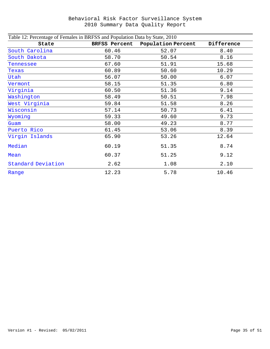| Table 12: Percentage of Females in BRFSS and Population Data by State, 2010 |                      |                    |            |  |  |  |  |  |
|-----------------------------------------------------------------------------|----------------------|--------------------|------------|--|--|--|--|--|
| State                                                                       | <b>BRFSS Percent</b> | Population Percent | Difference |  |  |  |  |  |
| South Carolina                                                              | 60.46                | 52.07              | 8.40       |  |  |  |  |  |
| South Dakota                                                                | 58.70                | 50.54              | 8.16       |  |  |  |  |  |
| Tennessee                                                                   | 67.60                | 51.91              | 15.68      |  |  |  |  |  |
| Texas                                                                       | 60.89                | 50.60              | 10.29      |  |  |  |  |  |
| Utah                                                                        | 56.07                | 50.00              | 6.07       |  |  |  |  |  |
| Vermont                                                                     | 58.15                | 51.35              | 6.80       |  |  |  |  |  |
| Virginia                                                                    | 60.50                | 51.36              | 9.14       |  |  |  |  |  |
| Washington                                                                  | 58.49                | 50.51              | 7.98       |  |  |  |  |  |
| West Virginia                                                               | 59.84                | 51.58              | 8.26       |  |  |  |  |  |
| Wisconsin                                                                   | 57.14                | 50.73              | 6.41       |  |  |  |  |  |
| Wyoming                                                                     | 59.33                | 49.60              | 9.73       |  |  |  |  |  |
| Guam                                                                        | 58.00                | 49.23              | 8.77       |  |  |  |  |  |
| Puerto Rico                                                                 | 61.45                | 53.06              | 8.39       |  |  |  |  |  |
| Virgin Islands                                                              | 65.90                | 53.26              | 12.64      |  |  |  |  |  |
| Median                                                                      | 60.19                | 51.35              | 8.74       |  |  |  |  |  |
| Mean                                                                        | 60.37                | 51.25              | 9.12       |  |  |  |  |  |
| Standard Deviation                                                          | 2.62                 | 1.08               | 2.10       |  |  |  |  |  |
| Range                                                                       | 12.23                | 5.78               | 10.46      |  |  |  |  |  |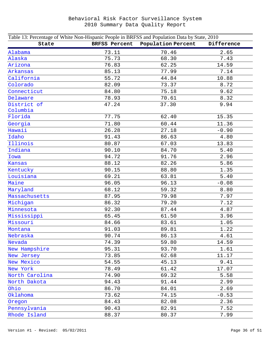| Table 13: Percentage of White Non-Hispanic People in BRFSS and Population Data by State, 2010 |               |                    |            |  |  |  |  |
|-----------------------------------------------------------------------------------------------|---------------|--------------------|------------|--|--|--|--|
| State                                                                                         | BRFSS Percent | Population Percent | Difference |  |  |  |  |
| Alabama                                                                                       | 73.11         | 70.46              | 2.65       |  |  |  |  |
| Alaska                                                                                        | 75.73         | 68.30              | 7.43       |  |  |  |  |
| Arizona                                                                                       | 76.83         | 62.25              | 14.59      |  |  |  |  |
| Arkansas                                                                                      | 85.13         | 77.99              | 7.14       |  |  |  |  |
| California                                                                                    | 55.72         | 44.84              | 10.88      |  |  |  |  |
| Colorado                                                                                      | 82.09         | 73.37              | 8.72       |  |  |  |  |
| Connecticut                                                                                   | 84.80         | 75.18              | 9.62       |  |  |  |  |
| Delaware                                                                                      | 78.93         | 70.61              | 8.32       |  |  |  |  |
| District of                                                                                   | 47.24         | 37.30              | 9.94       |  |  |  |  |
| Columbia                                                                                      |               |                    |            |  |  |  |  |
| Florida                                                                                       | 77.75         | 62.40              | 15.35      |  |  |  |  |
| Georgia                                                                                       | 71.80         | 60.44              | 11.36      |  |  |  |  |
| Hawaii                                                                                        | 26.28         | 27.18              | $-0.90$    |  |  |  |  |
| Idaho                                                                                         | 91.43         | 86.63              | 4.80       |  |  |  |  |
| Illinois                                                                                      | 80.87         | 67.03              | 13.83      |  |  |  |  |
| Indiana                                                                                       | 90.10         | 84.70              | 5.40       |  |  |  |  |
| Iowa                                                                                          | 94.72         | 91.76              | 2.96       |  |  |  |  |
| Kansas                                                                                        | 88.12         | 82.26              | 5.86       |  |  |  |  |
| Kentucky                                                                                      | 90.15         | 88.80              | 1.35       |  |  |  |  |
| Louisiana                                                                                     | 69.21         | 63.81              | 5.40       |  |  |  |  |
| Maine                                                                                         | 96.05         | 96.13              | $-0.08$    |  |  |  |  |
| Maryland                                                                                      | 68.12         | 59.32              | 8.80       |  |  |  |  |
| Massachusetts                                                                                 | 87.95         | 79.98              | 7.97       |  |  |  |  |
| Michigan                                                                                      | 86.32         | 79.20              | 7.12       |  |  |  |  |
| Minnesota                                                                                     | 92.30         | 87.44              | 4.87       |  |  |  |  |
| Mississippi                                                                                   | 65.45         | 61.50              | 3.96       |  |  |  |  |
| Missouri                                                                                      | 84.66         | 83.61              | 1.05       |  |  |  |  |
| Montana                                                                                       | 91.03         | 89.81              | 1.22       |  |  |  |  |
| Nebraska                                                                                      | 90.74         | 86.13              | 4.61       |  |  |  |  |
| Nevada                                                                                        | 74.39         | 59.80              | 14.59      |  |  |  |  |
| New Hampshire                                                                                 | 95.31         | 93.70              | 1.61       |  |  |  |  |
| New Jersey                                                                                    | 73.85         | 62.68              | 11.17      |  |  |  |  |
| New Mexico                                                                                    | 54.55         | 45.13              | 9.41       |  |  |  |  |
| New York                                                                                      | 78.49         | 61.42              | 17.07      |  |  |  |  |
| North Carolina                                                                                | 74.90         | 69.32              | 5.58       |  |  |  |  |
| North Dakota                                                                                  | 94.43         | 91.44              | 2.99       |  |  |  |  |
| Ohio                                                                                          | 86.70         | 84.01              | 2.69       |  |  |  |  |
| Oklahoma                                                                                      | 73.62         | 74.15              | $-0.53$    |  |  |  |  |
| Oregon                                                                                        | 84.43         | 82.08              | 2.36       |  |  |  |  |
| Pennsylvania                                                                                  | 90.43         | 82.91              | 7.52       |  |  |  |  |
| Rhode Island                                                                                  | 88.37         | 80.37              | 7.99       |  |  |  |  |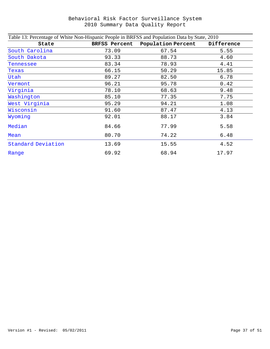| Table 13: Percentage of White Non-Hispanic People in BRFSS and Population Data by State, 2010 |                      |                           |            |  |  |  |  |
|-----------------------------------------------------------------------------------------------|----------------------|---------------------------|------------|--|--|--|--|
| State                                                                                         | <b>BRFSS Percent</b> | <b>Population Percent</b> | Difference |  |  |  |  |
| South Carolina                                                                                | 73.09                | 67.54                     | 5.55       |  |  |  |  |
| South Dakota                                                                                  | 93.33                | 88.73                     | 4.60       |  |  |  |  |
| Tennessee                                                                                     | 83.34                | 78.93                     | 4.41       |  |  |  |  |
| Texas                                                                                         | 66.15                | 50.29                     | 15.85      |  |  |  |  |
| Utah                                                                                          | 89.27                | 82.50                     | 6.78       |  |  |  |  |
| Vermont                                                                                       | 96.21                | 95.78                     | 0.42       |  |  |  |  |
| Virginia                                                                                      | 78.10                | 68.63                     | 9.48       |  |  |  |  |
| Washington                                                                                    | 85.10                | 77.35                     | 7.75       |  |  |  |  |
| West Virginia                                                                                 | 95.29                | 94.21                     | 1.08       |  |  |  |  |
| Wisconsin                                                                                     | 91.60                | 87.47                     | 4.13       |  |  |  |  |
| Wyoming                                                                                       | 92.01                | 88.17                     | 3.84       |  |  |  |  |
| Median                                                                                        | 84.66                | 77.99                     | 5.58       |  |  |  |  |
| Mean                                                                                          | 80.70                | 74.22                     | 6.48       |  |  |  |  |
| Standard Deviation                                                                            | 13.69                | 15.55                     | 4.52       |  |  |  |  |
| Range                                                                                         | 69.92                | 68.94                     | 17.97      |  |  |  |  |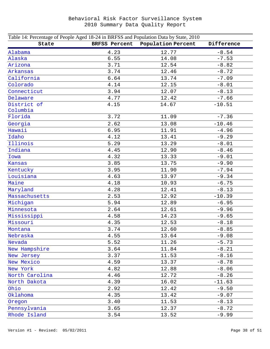| Table 14: Percentage of People Aged 18-24 in BRFSS and Population Data by State, 2010 |                      |                    |            |
|---------------------------------------------------------------------------------------|----------------------|--------------------|------------|
| State                                                                                 | <b>BRFSS Percent</b> | Population Percent | Difference |
| Alabama                                                                               | 4.23                 | 12.77              | $-8.54$    |
| Alaska                                                                                | 6.55                 | 14.08              | $-7.53$    |
| Arizona                                                                               | 3.71                 | 12.54              | $-8.82$    |
| Arkansas                                                                              | 3.74                 | 12.46              | $-8.72$    |
| California                                                                            | 6.64                 | 13.74              | $-7.09$    |
| Colorado                                                                              | 4.14                 | 12.15              | $-8.01$    |
| Connecticut                                                                           | 3.94                 | 12.07              | $-8.13$    |
| Delaware                                                                              | 4.77                 | 12.42              | $-7.66$    |
| District of<br>Columbia                                                               | 4.15                 | 14.67              | $-10.51$   |
| Florida                                                                               | 3.72                 | 11.09              | $-7.36$    |
| Georgia                                                                               | 2.62                 | 13.08              | $-10.46$   |
| Hawaii                                                                                | 6.95                 | 11.91              | $-4.96$    |
| Idaho                                                                                 | 4.12                 | 13.41              | $-9.29$    |
| Illinois                                                                              | 5.29                 | 13.29              | $-8.01$    |
| Indiana                                                                               | 4.45                 | 12.90              | $-8.46$    |
| Iowa                                                                                  | 4.32                 | 13.33              | $-9.01$    |
| <b>Kansas</b>                                                                         | 3.85                 | 13.75              | $-9.90$    |
| Kentucky                                                                              | 3.95                 | 11.90              | $-7.94$    |
| Louisiana                                                                             | 4.63                 | 13.97              | $-9.34$    |
| Maine                                                                                 | 4.18                 | 10.93              | $-6.75$    |
| Maryland                                                                              | 4.28                 | 12.41              | $-8.13$    |
| Massachusetts                                                                         | 2.53                 | 12.92              | $-10.39$   |
| Michigan                                                                              | 5.94                 | 12.89              | $-6.95$    |
| Minnesota                                                                             | 2.64                 | 12.61              | $-9.96$    |
| Mississippi                                                                           | 4.58                 | 14.23              | $-9.65$    |
| Missouri                                                                              | 4.35                 | 12.53              | $-8.18$    |
| Montana                                                                               | 3.74                 | 12.60              | $-8.85$    |
| Nebraska                                                                              | 4.55                 | 13.64              | $-9.08$    |
| Nevada                                                                                | 5.52                 | 11.26              | $-5.73$    |
| New Hampshire                                                                         | 3.64                 | 11.84              | $-8.21$    |
| New Jersey                                                                            | 3.37                 | 11.53              | $-8.16$    |
| New Mexico                                                                            | 4.59                 | 13.37              | $-8.78$    |

New York 4.82 12.88 -8.06 North Carolina 12.72 -8.26<br>North Dakota 139 16.02 -11.63 North Dakota 1.39 16.02 -11.63<br>
Ohio 2.92 12.42 -9.50 Ohio 2.92 12.42 -9.50 Oklahoma 4.35 13.42 -9.07 Oregon 3.40 11.53 -8.13 Pennsylvania 3.65 12.37 -8.72

Rhode Island 3.54 13.52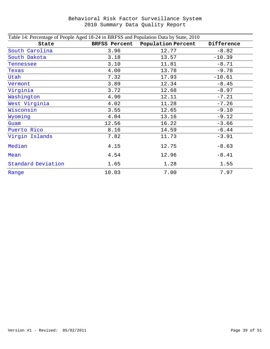| Table 14: Percentage of People Aged 18-24 in BRFSS and Population Data by State, 2010 |                      |                    |            |
|---------------------------------------------------------------------------------------|----------------------|--------------------|------------|
| State                                                                                 | <b>BRFSS Percent</b> | Population Percent | Difference |
| South Carolina                                                                        | 3.96                 | 12.77              | $-8.82$    |
| South Dakota                                                                          | 3.18                 | 13.57              | $-10.39$   |
| Tennessee                                                                             | 3.10                 | 11.81              | $-8.71$    |
| Texas                                                                                 | 4.00                 | 13.78              | $-9.78$    |
| Utah                                                                                  | 7.32                 | 17.93              | $-10.61$   |
| Vermont                                                                               | 3.89                 | 12.34              | $-8.45$    |
| Virginia                                                                              | 3.72                 | 12.68              | $-8.97$    |
| Washington                                                                            | 4.90                 | 12.11              | $-7.21$    |
| West Virginia                                                                         | 4.02                 | 11.28              | $-7.26$    |
| Wisconsin                                                                             | 3.55                 | 12.65              | $-9.10$    |
| Wyoming                                                                               | 4.04                 | 13.16              | $-9.12$    |
| Guam                                                                                  | 12.56                | 16.22              | $-3.66$    |
| Puerto Rico                                                                           | 8.16                 | 14.59              | $-6.44$    |
| Virgin Islands                                                                        | 7.82                 | 11.73              | $-3.91$    |
| Median                                                                                | 4.15                 | 12.75              | $-8.63$    |
| Mean                                                                                  | 4.54                 | 12.96              | $-8.41$    |
| Standard Deviation                                                                    | 1.65                 | 1.28               | 1.55       |
| Range                                                                                 | 10.03                | 7.00               | 7.97       |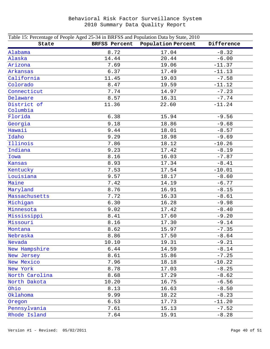| Table 15: Percentage of People Aged 25-34 in BRFSS and Population Data by State, 2010 |                      |                    |            |
|---------------------------------------------------------------------------------------|----------------------|--------------------|------------|
| State                                                                                 | <b>BRFSS Percent</b> | Population Percent | Difference |
| Alabama                                                                               | 8.72                 | 17.04              | $-8.32$    |
| Alaska                                                                                | 14.44                | 20.44              | $-6.00$    |
| Arizona                                                                               | 7.69                 | 19.06              | $-11.37$   |
| Arkansas                                                                              | 6.37                 | 17.49              | $-11.13$   |
| California                                                                            | 11.45                | 19.03              | $-7.58$    |
| Colorado                                                                              | 8.47                 | 19.59              | $-11.12$   |
| Connecticut                                                                           | 7.74                 | 14.97              | $-7.23$    |
| Delaware                                                                              | 8.57                 | 16.31              | $-7.74$    |
| District of                                                                           | 11.36                | 22.60              | $-11.24$   |
| Columbia                                                                              |                      |                    |            |
| Florida                                                                               | 6.38                 | 15.94              | $-9.56$    |
| Georgia                                                                               | 9.18                 | 18.86              | $-9.68$    |
| Hawaii                                                                                | 9.44                 | 18.01              | $-8.57$    |
| Idaho                                                                                 | 9.29                 | 18.98              | $-9.69$    |
| Illinois                                                                              | 7.86                 | 18.12              | $-10.26$   |
| Indiana                                                                               | 9.23                 | 17.42              | $-8.19$    |
| Iowa                                                                                  | 8.16                 | 16.03              | $-7.87$    |
| Kansas                                                                                | 8.93                 | 17.34              | $-8.41$    |
| Kentucky                                                                              | 7.53                 | 17.54              | $-10.01$   |
| Louisiana                                                                             | 9.57                 | 18.17              | $-8.60$    |
| Maine                                                                                 | 7.42                 | 14.19              | $-6.77$    |
| Maryland                                                                              | 8.76                 | 16.91              | $-8.15$    |
| Massachusetts                                                                         | 7.72                 | 16.33              | $-8.61$    |
| Michigan                                                                              | 6.30                 | 16.28              | $-9.98$    |
| Minnesota                                                                             | 9.02                 | 17.42              | $-8.40$    |
| Mississippi                                                                           | 8.41                 | 17.60              | $-9.20$    |
| Missouri                                                                              | 8.16                 | 17.30              | $-9.14$    |
| Montana                                                                               | 8.62                 | 15.97              | $-7.35$    |
| Nebraska                                                                              | 8.86                 | 17.50              | $-8.64$    |
| Nevada                                                                                | 10.10                | 19.31              | $-9.21$    |
| New Hampshire                                                                         | 6.44                 | 14.59              | $-8.14$    |
| New Jersey                                                                            | 8.61                 | 15.86              | $-7.25$    |
| New Mexico                                                                            | 7.96                 | 18.18              | $-10.22$   |
| New York                                                                              | 8.78                 | 17.03              | $-8.25$    |
| North Carolina                                                                        | 8.68                 | 17.29              | $-8.62$    |
| North Dakota                                                                          | 10.20                | 16.75              | $-6.56$    |
| Ohio                                                                                  | 8.13                 | 16.63              | $-8.50$    |
| Oklahoma                                                                              | 9.99                 | 18.22              | $-8.23$    |
| Oregon                                                                                | 6.53                 | 17.73              | $-11.20$   |
| Pennsylvania                                                                          | 7.61                 | 15.13              | $-7.52$    |
| Rhode Island                                                                          | 7.64                 | 15.91              | $-8.28$    |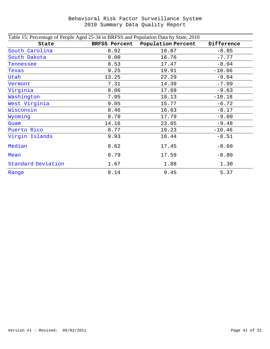| Table 15: Percentage of People Aged 25-34 in BRFSS and Population Data by State, 2010 |                      |                    |            |
|---------------------------------------------------------------------------------------|----------------------|--------------------|------------|
| State                                                                                 | <b>BRFSS Percent</b> | Population Percent | Difference |
| South Carolina                                                                        | 8.02                 | 16.87              | $-8.85$    |
| South Dakota                                                                          | 9.00                 | 16.76              | $-7.77$    |
| Tennessee                                                                             | 8.53                 | 17.47              | $-8.94$    |
| Texas                                                                                 | 9.25                 | 19.91              | $-10.66$   |
| Utah                                                                                  | 13.25                | 22.29              | $-9.04$    |
| Vermont                                                                               | 7.31                 | 14.39              | $-7.09$    |
| Virginia                                                                              | 8.06                 | 17.69              | $-9.63$    |
| Washington                                                                            | 7.95                 | 18.13              | $-10.18$   |
| West Virginia                                                                         | 9.05                 | 15.77              | $-6.72$    |
| Wisconsin                                                                             | 8.46                 | 16.63              | $-8.17$    |
| Wyoming                                                                               | 8.70                 | 17.79              | $-9.09$    |
| Guam                                                                                  | 14.16                | 23.65              | $-9.48$    |
| Puerto Rico                                                                           | 8.77                 | 19.23              | $-10.46$   |
| Virgin Islands                                                                        | 9.93                 | 18.44              | $-8.51$    |
| Median                                                                                | 8.62                 | 17.45              | $-8.60$    |
| Mean                                                                                  | 8.79                 | 17.59              | $-8.80$    |
| Standard Deviation                                                                    | 1.67                 | 1.88               | 1.30       |
| Range                                                                                 | 8.14                 | 9.45               | 5.37       |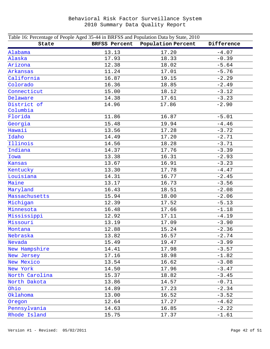| Table 16: Percentage of People Aged 35-44 in BRFSS and Population Data by State, 2010 |                      |                    |            |
|---------------------------------------------------------------------------------------|----------------------|--------------------|------------|
| State                                                                                 | <b>BRFSS Percent</b> | Population Percent | Difference |
| Alabama                                                                               | 13.13                | 17.20              | $-4.07$    |
| Alaska                                                                                | 17.93                | 18.33              | $-0.39$    |
| Arizona                                                                               | 12.38                | 18.02              | $-5.64$    |
| Arkansas                                                                              | 11.24                | 17.01              | $-5.76$    |
| California                                                                            | 16.87                | 19.15              | $-2.29$    |
| Colorado                                                                              | 16.36                | 18.85              | $-2.49$    |
| Connecticut                                                                           | 15.00                | 18.12              | $-3.12$    |
| Delaware                                                                              | 14.38                | 17.61              | $-3.23$    |
| District of                                                                           | 14.96                | 17.86              | $-2.90$    |
| Columbia                                                                              |                      |                    |            |
| Florida                                                                               | 11.86                | 16.87              | $-5.01$    |
| Georgia                                                                               | 15.48                | 19.94              | $-4.46$    |
| Hawaii                                                                                | 13.56                | 17.28              | $-3.72$    |
| Idaho                                                                                 | 14.49                | 17.20              | $-2.71$    |
| Illinois                                                                              | 14.56                | 18.28              | $-3.71$    |
| Indiana                                                                               | 14.37                | 17.76              | $-3.39$    |
| Iowa                                                                                  | 13.38                | 16.31              | $-2.93$    |
| Kansas                                                                                | 13.67                | 16.91              | $-3.23$    |
| Kentucky                                                                              | 13.30                | 17.78              | $-4.47$    |
| Louisiana                                                                             | 14.31                | 16.77              | $-2.45$    |
| Maine                                                                                 | 13.17                | 16.73              | $-3.56$    |
| Maryland                                                                              | 16.43                | 18.51              | $-2.08$    |
| Massachusetts                                                                         | 15.94                | 18.00              | $-2.06$    |
| Michigan                                                                              | 12.39                | 17.52              | $-5.13$    |
| Minnesota                                                                             | 16.48                | 17.66              | $-1.18$    |
| Mississippi                                                                           | 12.92                | 17.11              | $-4.19$    |
| Missouri                                                                              | 13.19                | 17.09              | $-3.90$    |
| Montana                                                                               | 12.88                | 15.24              | $-2.36$    |
| Nebraska                                                                              | 13.82                | 16.57              | $-2.74$    |
| Nevada                                                                                | 15.49                | 19.47              | $-3.99$    |
| New Hampshire                                                                         | 14.41                | 17.98              | $-3.57$    |
| New Jersey                                                                            | 17.16                | 18.98              | $-1.82$    |
| New Mexico                                                                            | 13.54                | 16.62              | $-3.08$    |
| New York                                                                              | 14.50                | 17.96              | $-3.47$    |
| North Carolina                                                                        | 15.37                | 18.82              | $-3.45$    |
| North Dakota                                                                          | 13.86                | 14.57              | $-0.71$    |
| Ohio                                                                                  | 14.89                | 17.23              | $-2.34$    |
| Oklahoma                                                                              | 13.00                | 16.52              | $-3.52$    |
| Oregon                                                                                | 12.64                | 17.27              | $-4.62$    |
| Pennsylvania                                                                          | 14.63                | 16.85              | $-2.22$    |
| Rhode Island                                                                          | 15.75                | 17.37              | $-1.61$    |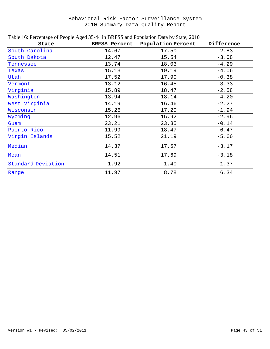| Table 16: Percentage of People Aged 35-44 in BRFSS and Population Data by State, 2010 |                      |                    |            |
|---------------------------------------------------------------------------------------|----------------------|--------------------|------------|
| State                                                                                 | <b>BRFSS Percent</b> | Population Percent | Difference |
| South Carolina                                                                        | 14.67                | 17.50              | $-2.83$    |
| South Dakota                                                                          | 12.47                | 15.54              | $-3.08$    |
| Tennessee                                                                             | 13.74                | 18.03              | $-4.29$    |
| Texas                                                                                 | 15.13                | 19.19              | $-4.06$    |
| Utah                                                                                  | 17.52                | 17.90              | $-0.38$    |
| Vermont                                                                               | 13.12                | 16.45              | $-3.33$    |
| Virginia                                                                              | 15.89                | 18.47              | $-2.58$    |
| Washington                                                                            | 13.94                | 18.14              | $-4.20$    |
| West Virginia                                                                         | 14.19                | 16.46              | $-2.27$    |
| Wisconsin                                                                             | 15.26                | 17.20              | $-1.94$    |
| Wyoming                                                                               | 12.96                | 15.92              | $-2.96$    |
| Guam                                                                                  | 23.21                | 23.35              | $-0.14$    |
| Puerto Rico                                                                           | 11.99                | 18.47              | $-6.47$    |
| Virgin Islands                                                                        | 15.52                | 21.19              | $-5.66$    |
| Median                                                                                | 14.37                | 17.57              | $-3.17$    |
| Mean                                                                                  | 14.51                | 17.69              | $-3.18$    |
| Standard Deviation                                                                    | 1.92                 | 1.40               | 1.37       |
| Range                                                                                 | 11.97                | 8.78               | 6.34       |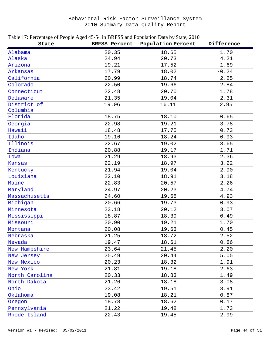| Table 17: Percentage of People Aged 45-54 in BRFSS and Population Data by State, 2010 |                      |                    |            |
|---------------------------------------------------------------------------------------|----------------------|--------------------|------------|
| State                                                                                 | <b>BRFSS Percent</b> | Population Percent | Difference |
| Alabama                                                                               | 20.35                | 18.65              | 1.70       |
| Alaska                                                                                | 24.94                | 20.73              | 4.21       |
| Arizona                                                                               | 19.21                | 17.52              | 1.69       |
| Arkansas                                                                              | 17.79                | 18.02              | $-0.24$    |
| California                                                                            | 20.99                | 18.74              | 2.25       |
| Colorado                                                                              | 22.50                | 19.66              | 2.84       |
| Connecticut                                                                           | 22.48                | 20.70              | 1.78       |
| Delaware                                                                              | 21.35                | 19.04              | 2.31       |
| District of                                                                           | 19.06                | 16.11              | 2.95       |
| Columbia                                                                              |                      |                    |            |
| Florida                                                                               | 18.75                | 18.10              | 0.65       |
| Georgia                                                                               | 22.98                | 19.21              | 3.78       |
| Hawaii                                                                                | 18.48                | 17.75              | 0.73       |
| Idaho                                                                                 | 19.16                | 18.24              | 0.93       |
| Illinois                                                                              | 22.67                | 19.02              | 3.65       |
| Indiana                                                                               | 20.88                | 19.17              | 1.71       |
| Iowa                                                                                  | 21.29                | 18.93              | 2.36       |
| Kansas                                                                                | 22.19                | 18.97              | 3.22       |
| Kentucky                                                                              | 21.94                | 19.04              | 2.90       |
| Louisiana                                                                             | 22.10                | 18.91              | 3.18       |
| Maine                                                                                 | 22.83                | 20.57              | 2.26       |
| Maryland                                                                              | 24.97                | 20.23              | 4.74       |
| Massachusetts                                                                         | 24.60                | 19.68              | 4.93       |
| Michigan                                                                              | 20.66                | 19.73              | 0.93       |
| Minnesota                                                                             | 23.18                | 20.12              | 3.07       |
| Mississippi                                                                           | 18.87                | 18.39              | 0.49       |
| Missouri                                                                              | 20.90                | 19.21              | 1.70       |
| Montana                                                                               | 20.08                | 19.63              | 0.45       |
| Nebraska                                                                              | 21.25                | 18.72              | 2.52       |
| Nevada                                                                                | 19.47                | 18.61              | 0.86       |
| New Hampshire                                                                         | 23.64                | 21.45              | 2.20       |
| New Jersey                                                                            | 25.49                | 20.44              | 5.05       |
| New Mexico                                                                            | 20.23                | 18.32              | 1.91       |
| New York                                                                              | 21.81                | 19.18              | 2.63       |
| North Carolina                                                                        | 20.33                | 18.83              | 1.49       |
| North Dakota                                                                          | 21.26                | 18.18              | 3.08       |
| Ohio                                                                                  | 23.42                | 19.51              | 3.91       |
| Oklahoma                                                                              | 19.08                | 18.21              | 0.87       |
| Oregon                                                                                | 18.78                | 18.62              | 0.17       |
| Pennsylvania                                                                          | 21.22                | 19.48              | 1.73       |
| Rhode Island                                                                          | 22.43                | 19.45              | 2.99       |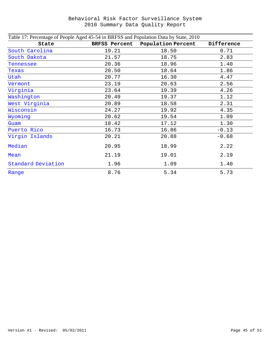| Table 17: Percentage of People Aged 45-54 in BRFSS and Population Data by State, 2010 |                      |                    |            |
|---------------------------------------------------------------------------------------|----------------------|--------------------|------------|
| State                                                                                 | <b>BRFSS Percent</b> | Population Percent | Difference |
| South Carolina                                                                        | 19.21                | 18.50              | 0.71       |
| South Dakota                                                                          | 21.57                | 18.75              | 2.83       |
| Tennessee                                                                             | 20.36                | 18.96              | 1.40       |
| Texas                                                                                 | 20.50                | 18.64              | 1.86       |
| Utah                                                                                  | 20.77                | 16.30              | 4.47       |
| Vermont                                                                               | 23.19                | 20.63              | 2.56       |
| Virginia                                                                              | 23.64                | 19.39              | 4.26       |
| Washington                                                                            | 20.49                | 19.37              | 1.12       |
| West Virginia                                                                         | 20.89                | 18.58              | 2.31       |
| Wisconsin                                                                             | 24.27                | 19.92              | 4.35       |
| Wyoming                                                                               | 20.62                | 19.54              | 1.09       |
| Guam                                                                                  | 18.42                | 17.12              | 1.30       |
| Puerto Rico                                                                           | 16.73                | 16.86              | $-0.13$    |
| Virgin Islands                                                                        | 20.21                | 20.88              | $-0.68$    |
| Median                                                                                | 20.95                | 18.99              | 2.22       |
| Mean                                                                                  | 21.19                | 19.01              | 2.19       |
| Standard Deviation                                                                    | 1.96                 | 1.09               | 1.40       |
| Range                                                                                 | 8.76                 | 5.34               | 5.73       |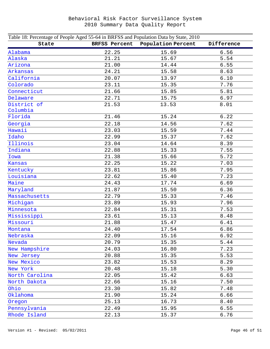| Table 18: Percentage of People Aged 55-64 in BRFSS and Population Data by State, 2010 |                      |                    |            |  |
|---------------------------------------------------------------------------------------|----------------------|--------------------|------------|--|
| State                                                                                 | <b>BRFSS Percent</b> | Population Percent | Difference |  |
| Alabama                                                                               | 22.25                | 15.69              | 6.56       |  |
| Alaska                                                                                | 21.21                | 15.67              | 5.54       |  |
| Arizona                                                                               | 21.00                | 14.44              | 6.55       |  |
| Arkansas                                                                              | 24.21                | 15.58              | 8.63       |  |
| California                                                                            | 20.07                | 13.97              | 6.10       |  |
| Colorado                                                                              | 23.11                | 15.35              | 7.76       |  |
| Connecticut                                                                           | 21.66                | 15.85              | 5.81       |  |
| Delaware                                                                              | 22.71                | 15.75              | 6.97       |  |
| District of                                                                           | 21.53                | 13.53              | 8.01       |  |
| Columbia                                                                              |                      |                    |            |  |
| Florida                                                                               | 21.46                | 15.24              | 6.22       |  |
| Georgia                                                                               | 22.18                | 14.56              | 7.62       |  |
| Hawaii                                                                                | 23.03                | 15.59              | 7.44       |  |
| Idaho                                                                                 | 22.99                | 15.37              | 7.62       |  |
| Illinois                                                                              | 23.04                | 14.64              | 8.39       |  |
| Indiana                                                                               | 22.88                | 15.33              | 7.55       |  |
| Iowa                                                                                  | 21.38                | 15.66              | 5.72       |  |
| Kansas                                                                                | 22.25                | 15.22              | 7.03       |  |
| Kentucky                                                                              | 23.81                | 15.86              | 7.95       |  |
| Louisiana                                                                             | 22.62                | 15.40              | 7.23       |  |
| Maine                                                                                 | 24.43                | 17.74              | 6.69       |  |
| Maryland                                                                              | 21.87                | 15.50              | 6.36       |  |
| Massachusetts                                                                         | 22.79                | 15.33              | 7.46       |  |
| Michigan                                                                              | 23.89                | 15.93              | 7.96       |  |
| Minnesota                                                                             | 22.84                | 15.31              | 7.53       |  |
| Mississippi                                                                           | 23.61                | 15.13              | 8.48       |  |
| Missouri                                                                              | 21.88                | 15.47              | 6.41       |  |
| Montana                                                                               | 24.40                | 17.54              | 6.86       |  |
| Nebraska                                                                              | 22.09                | 15.16              | 6.92       |  |
| Nevada                                                                                | 20.79                | 15.35              | 5.44       |  |
| New Hampshire                                                                         | 24.03                | 16.80              | 7.23       |  |
| New Jersey                                                                            | 20.88                | 15.35              | 5.53       |  |
| New Mexico                                                                            | 23.82                | 15.53              | 8.29       |  |
| New York                                                                              | 20.48                | 15.18              | 5.30       |  |
| North Carolina                                                                        | 22.05                | 15.42              | 6.63       |  |
| North Dakota                                                                          | 22.66                | 15.16              | 7.50       |  |
| Ohio                                                                                  | 23.30                | 15.82              | 7.48       |  |
| Oklahoma                                                                              | 21.90                | 15.24              | 6.66       |  |
| Oregon                                                                                | 25.13                | 16.73              | 8.40       |  |
| Pennsylvania                                                                          | 22.49                | 15.95              | 6.55       |  |
| Rhode Island                                                                          | 22.13                | 15.37              | 6.76       |  |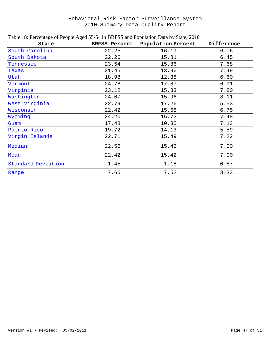| Table 18: Percentage of People Aged 55-64 in BRFSS and Population Data by State, 2010 |                      |                    |            |
|---------------------------------------------------------------------------------------|----------------------|--------------------|------------|
| State                                                                                 | <b>BRFSS Percent</b> | Population Percent | Difference |
| South Carolina                                                                        | 22.25                | 16.19              | 6.06       |
| South Dakota                                                                          | 22.26                | 15.81              | 6.45       |
| Tennessee                                                                             | 23.54                | 15.86              | 7.68       |
| Texas                                                                                 | 21.45                | 13.96              | 7.49       |
| Utah                                                                                  | 18.98                | 12.38              | 6.60       |
| Vermont                                                                               | 24.78                | 17.87              | 6.91       |
| Virginia                                                                              | 23.12                | 15.33              | 7.80       |
| Washington                                                                            | 24.07                | 15.96              | 8.11       |
| West Virginia                                                                         | 22.79                | 17.26              | 5.53       |
| Wisconsin                                                                             | 22.42                | 15.68              | 6.75       |
| Wyoming                                                                               | 24.20                | 16.72              | 7.48       |
| Guam                                                                                  | 17.48                | 10.35              | 7.13       |
| Puerto Rico                                                                           | 19.72                | 14.13              | 5.59       |
| Virgin Islands                                                                        | 22.71                | 15.49              | 7.22       |
| Median                                                                                | 22.56                | 15.45              | 7.00       |
| Mean                                                                                  | 22.42                | 15.42              | 7.00       |
| Standard Deviation                                                                    | 1.45                 | 1.18               | 0.87       |
| Range                                                                                 | 7.65                 | 7.52               | 3.33       |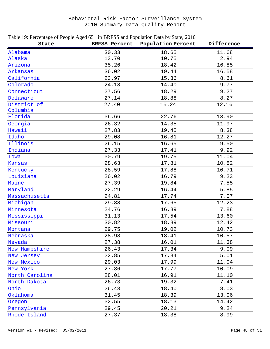| Table 19: Percentage of People Aged 65+ in BRFSS and Population Data by State, 2010 |                      |                    |            |
|-------------------------------------------------------------------------------------|----------------------|--------------------|------------|
| State                                                                               | <b>BRFSS Percent</b> | Population Percent | Difference |
| Alabama                                                                             | 30.33                | 18.65              | 11.68      |
| Alaska                                                                              | 13.70                | 10.75              | 2.94       |
| Arizona                                                                             | 35.26                | 18.42              | 16.85      |
| Arkansas                                                                            | 36.02                | 19.44              | 16.58      |
| California                                                                          | 23.97                | 15.36              | 8.61       |
| Colorado                                                                            | 24.18                | 14.40              | 9.77       |
| Connecticut                                                                         | 27.56                | 18.29              | 9.27       |
| Delaware                                                                            | 27.14                | 18.88              | 8.27       |
| District of                                                                         | 27.40                | 15.24              | 12.16      |
| Columbia                                                                            |                      |                    |            |
| Florida                                                                             | 36.66                | 22.76              | 13.90      |
| Georgia                                                                             | 26.32                | 14.35              | 11.97      |
| Hawaii                                                                              | 27.83                | 19.45              | 8.38       |
| Idaho                                                                               | 29.08                | 16.81              | 12.27      |
| Illinois                                                                            | 26.15                | 16.65              | 9.50       |
| Indiana                                                                             | 27.33                | 17.41              | 9.92       |
| Iowa                                                                                | 30.79                | 19.75              | 11.04      |
| Kansas                                                                              | 28.63                | 17.81              | 10.82      |
| Kentucky                                                                            | 28.59                | 17.88              | 10.71      |
| Louisiana                                                                           | 26.02                | 16.79              | 9.23       |
| Maine                                                                               | 27.39                | 19.84              | 7.55       |
| Maryland                                                                            | 22.29                | 16.44              | 5.85       |
| Massachusetts                                                                       | 24.81                | 17.74              | 7.07       |
| Michigan                                                                            | 29.88                | 17.65              | 12.23      |
| Minnesota                                                                           | 24.76                | 16.89              | 7.88       |
| Mississippi                                                                         | 31.13                | 17.54              | 13.60      |
| Missouri                                                                            | 30.82                | 18.39              | 12.42      |
| Montana                                                                             | 29.75                | 19.02              | 10.73      |
| Nebraska                                                                            | 28.98                | 18.41              | 10.57      |
| Nevada                                                                              | 27.38                | 16.01              | 11.38      |
| New Hampshire                                                                       | 26.43                | 17.34              | 9.09       |
| New Jersey                                                                          | 22.85                | 17.84              | 5.01       |
| New Mexico                                                                          | 29.03                | 17.99              | 11.04      |
| New York                                                                            | 27.86                | 17.77              | 10.09      |
| North Carolina                                                                      | 28.01                | 16.91              | 11.10      |
| North Dakota                                                                        | 26.73                | 19.32              | 7.41       |
| Ohio                                                                                | 26.43                | 18.40              | 8.03       |
| Oklahoma                                                                            | 31.45                | 18.39              | 13.06      |
| Oregon                                                                              | 32.55                | 18.13              | 14.42      |
| Pennsylvania                                                                        | 29.45                | 20.21              | 9.24       |
| Rhode Island                                                                        | 27.37                | 18.38              | 8.99       |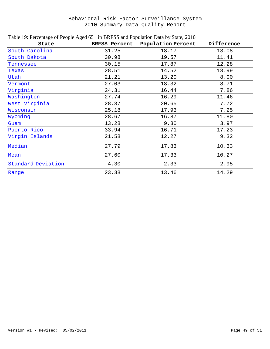| Table 19: Percentage of People Aged 65+ in BRFSS and Population Data by State, 2010 |                      |                    |            |
|-------------------------------------------------------------------------------------|----------------------|--------------------|------------|
| State                                                                               | <b>BRFSS Percent</b> | Population Percent | Difference |
| South Carolina                                                                      | 31.25                | 18.17              | 13.08      |
| South Dakota                                                                        | 30.98                | 19.57              | 11.41      |
| Tennessee                                                                           | 30.15                | 17.87              | 12.28      |
| Texas                                                                               | 28.51                | 14.52              | 13.99      |
| Utah                                                                                | 21.21                | 13.20              | 8.00       |
| Vermont                                                                             | 27.03                | 18.32              | 8.71       |
| Virginia                                                                            | 24.31                | 16.44              | 7.86       |
| Washington                                                                          | 27.74                | 16.29              | 11.46      |
| West Virginia                                                                       | 28.37                | 20.65              | 7.72       |
| Wisconsin                                                                           | 25.18                | 17.93              | 7.25       |
| Wyoming                                                                             | 28.67                | 16.87              | 11.80      |
| Guam                                                                                | 13.28                | 9.30               | 3.97       |
| Puerto Rico                                                                         | 33.94                | 16.71              | 17.23      |
| Virgin Islands                                                                      | 21.58                | 12.27              | 9.32       |
| Median                                                                              | 27.79                | 17.83              | 10.33      |
| Mean                                                                                | 27.60                | 17.33              | 10.27      |
| Standard Deviation                                                                  | 4.30                 | 2.33               | 2.95       |
| Range                                                                               | 23.38                | 13.46              | 14.29      |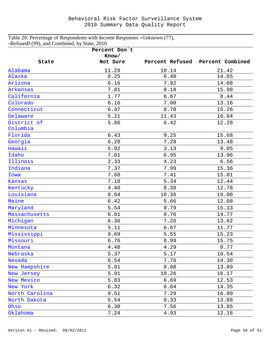#### Table 20: Percentage of Respondents with Income Responses ―Unknown (77), ―Refused‖ (99), and Combined, by State, 2010

|                | Percent Don't<br>Know/ |       |                                  |
|----------------|------------------------|-------|----------------------------------|
| State          | Not Sure               |       | Percent Refused Percent Combined |
| Alabama        | 11.29                  | 10.14 | 21.42                            |
| Alaska         | 8.25                   | 6.40  | 14.65                            |
| Arizona        | 6.16                   | 7.92  | 14.08                            |
| Arkansas       | 7.81                   | 8.18  | 15.98                            |
| California     | 1.77                   | 6.67  | 8.44                             |
| Colorado       | 6.16                   | 7.00  | 13.16                            |
| Connecticut    | 6.47                   | 8.78  | 15.26                            |
| Delaware       | 5.21                   | 11.43 | 16.64                            |
| District of    | 5.86                   | 6.42  | 12.28                            |
| Columbia       |                        |       |                                  |
| Florida        | 6.43                   | 9.25  | 15.68                            |
| Georgia        | 6.20                   | 7.28  | 13.48                            |
| Hawaii         | 5.92                   | 3.13  | 9.05                             |
| Idaho          | 7.01                   | 6.95  | 13.96                            |
| Illinois       | 2.33                   | 4.23  | 6.56                             |
| Indiana        | 7.37                   | 7.99  | 15.36                            |
| Iowa           | 7.60                   | 7.41  | 15.01                            |
| Kansas         | 7.10                   | 5.34  | 12.44                            |
| Kentucky       | 4.40                   | 8.38  | 12.78                            |
| Louisiana      | 8.64                   | 10.36 | 19.00                            |
| Maine          | 6.42                   | 5.66  | 12.08                            |
| Maryland       | 5.54                   | 9.79  | 15.33                            |
| Massachusetts  | 6.01                   | 8.76  | 14.77                            |
| Michigan       | 6.36                   | 7.26  | 13.62                            |
| Minnesota      | 5.11                   | 6.67  | 11.77                            |
| Mississippi    | 9.69                   | 5.55  | 15.23                            |
| Missouri       | 6.76                   | 8.99  | 15.75                            |
| Montana        | 4.48                   | 4.29  | 8.77                             |
| Nebraska       | 5.37                   | 5.17  | 10.54                            |
| Nevada         | 6.54                   | 7.76  | 14.30                            |
| New Hampshire  | 5.81                   | 8.08  | 13.89                            |
| New Jersey     | 5.91                   | 10.26 | 16.17                            |
| New Mexico     | 5.83                   | 6.69  | 12.53                            |
| New York       | 6.32                   | 8.04  | 14.35                            |
| North Carolina | 9.51                   | 7.29  | 16.80                            |
| North Dakota   | 5.54                   | 8.33  | 13.88                            |
| Ohio           | 6.30                   | 7.56  | 13.85                            |
| Oklahoma       | 7.24                   | 4.93  | 12.16                            |